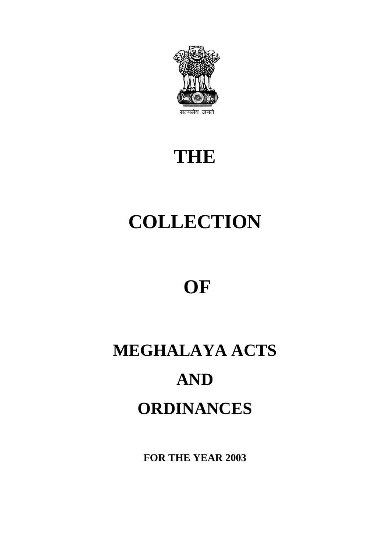

# **THE**

# **COLLECTION**

# **OF**

# **MEGHALAYA ACTS AND ORDINANCES**

**FOR THE YEAR 2003**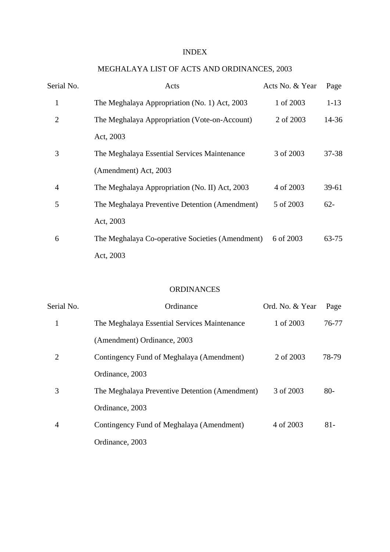#### INDEX

# MEGHALAYA LIST OF ACTS AND ORDINANCES, 2003

| Serial No. | Acts                                             | Acts No. & Year | Page      |
|------------|--------------------------------------------------|-----------------|-----------|
| 1          | The Meghalaya Appropriation (No. 1) Act, 2003    | 1 of 2003       | $1 - 13$  |
| 2          | The Meghalaya Appropriation (Vote-on-Account)    | 2 of 2003       | 14-36     |
|            | Act, 2003                                        |                 |           |
| 3          | The Meghalaya Essential Services Maintenance     | 3 of 2003       | 37-38     |
|            | (Amendment) Act, 2003                            |                 |           |
| 4          | The Meghalaya Appropriation (No. II) Act, 2003   | 4 of 2003       | $39 - 61$ |
| 5          | The Meghalaya Preventive Detention (Amendment)   | 5 of 2003       | $62 -$    |
|            | Act, 2003                                        |                 |           |
| 6          | The Meghalaya Co-operative Societies (Amendment) | 6 of 2003       | 63-75     |
|            | Act, 2003                                        |                 |           |

#### ORDINANCES

| Serial No.     | Ordinance                                      | Ord. No. & Year | Page   |
|----------------|------------------------------------------------|-----------------|--------|
| 1              | The Meghalaya Essential Services Maintenance   | 1 of 2003       | 76-77  |
|                | (Amendment) Ordinance, 2003                    |                 |        |
| $\overline{2}$ | Contingency Fund of Meghalaya (Amendment)      | 2 of 2003       | 78-79  |
|                | Ordinance, 2003                                |                 |        |
| 3              | The Meghalaya Preventive Detention (Amendment) | 3 of 2003       | $80-$  |
|                | Ordinance, 2003                                |                 |        |
| 4              | Contingency Fund of Meghalaya (Amendment)      | 4 of 2003       | $81 -$ |
|                | Ordinance, 2003                                |                 |        |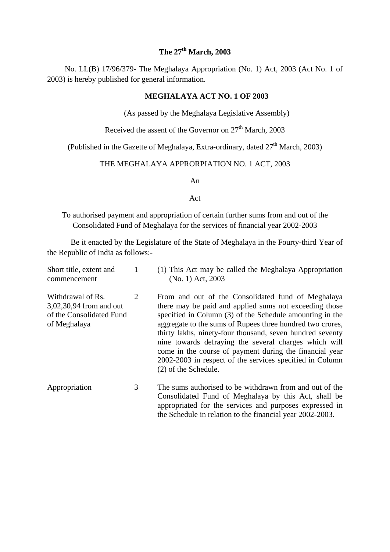### **The 27th March, 2003**

 No. LL(B) 17/96/379- The Meghalaya Appropriation (No. 1) Act, 2003 (Act No. 1 of 2003) is hereby published for general information.

#### **MEGHALAYA ACT NO. 1 OF 2003**

(As passed by the Meghalaya Legislative Assembly)

Received the assent of the Governor on  $27<sup>th</sup>$  March, 2003

(Published in the Gazette of Meghalaya, Extra-ordinary, dated  $27<sup>th</sup>$  March, 2003)

#### THE MEGHALAYA APPRORPIATION NO. 1 ACT, 2003

An

#### Act

To authorised payment and appropriation of certain further sums from and out of the Consolidated Fund of Meghalaya for the services of financial year 2002-2003

Be it enacted by the Legislature of the State of Meghalaya in the Fourty-third Year of the Republic of India as follows:-

| Short title, extent and<br>commencement                                                  |   | (1) This Act may be called the Meghalaya Appropriation<br>(No. 1) Act, 2003                                                                                                                                                                                                                                                                                                                                                                                                                                |
|------------------------------------------------------------------------------------------|---|------------------------------------------------------------------------------------------------------------------------------------------------------------------------------------------------------------------------------------------------------------------------------------------------------------------------------------------------------------------------------------------------------------------------------------------------------------------------------------------------------------|
| Withdrawal of Rs.<br>3,02,30,94 from and out<br>of the Consolidated Fund<br>of Meghalaya | 2 | From and out of the Consolidated fund of Meghalaya<br>there may be paid and applied sums not exceeding those<br>specified in Column (3) of the Schedule amounting in the<br>aggregate to the sums of Rupees three hundred two crores,<br>thirty lakhs, ninety-four thousand, seven hundred seventy<br>nine towards defraying the several charges which will<br>come in the course of payment during the financial year<br>2002-2003 in respect of the services specified in Column<br>(2) of the Schedule. |
| Appropriation                                                                            | 3 | The sums authorised to be withdrawn from and out of the<br>Consolidated Fund of Meghalaya by this Act, shall be<br>appropriated for the services and purposes expressed in<br>the Schedule in relation to the financial year 2002-2003.                                                                                                                                                                                                                                                                    |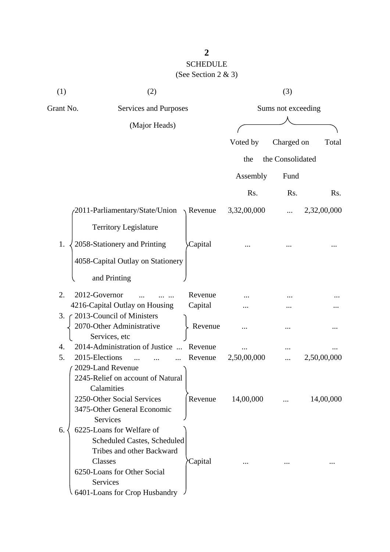# SCHEDULE (See Section 2 & 3)

| (1)       | (2)                                                                                                                                                                                 |                     |             | (3)                |             |
|-----------|-------------------------------------------------------------------------------------------------------------------------------------------------------------------------------------|---------------------|-------------|--------------------|-------------|
| Grant No. | Services and Purposes                                                                                                                                                               |                     |             | Sums not exceeding |             |
|           | (Major Heads)                                                                                                                                                                       |                     |             |                    |             |
|           |                                                                                                                                                                                     |                     | Voted by    | Charged on         | Total       |
|           |                                                                                                                                                                                     |                     | the         | the Consolidated   |             |
|           |                                                                                                                                                                                     |                     |             |                    |             |
|           |                                                                                                                                                                                     |                     | Assembly    | Fund               |             |
|           |                                                                                                                                                                                     |                     | Rs.         | Rs.                | Rs.         |
|           | 2011-Parliamentary/State/Union                                                                                                                                                      | $\setminus$ Revenue | 3,32,00,000 |                    | 2,32,00,000 |
|           | <b>Territory Legislature</b>                                                                                                                                                        |                     |             |                    |             |
| 1.        | 2058-Stationery and Printing                                                                                                                                                        | Capital             |             |                    |             |
|           | 4058-Capital Outlay on Stationery                                                                                                                                                   |                     |             |                    |             |
|           | and Printing                                                                                                                                                                        |                     |             |                    |             |
| 2.        | 2012-Governor                                                                                                                                                                       | Revenue             |             |                    |             |
|           | 4216-Capital Outlay on Housing                                                                                                                                                      | Capital             |             |                    |             |
| 3.        | 2013-Council of Ministers                                                                                                                                                           |                     |             |                    |             |
|           | 2070-Other Administrative<br>Services, etc                                                                                                                                          | Revenue             |             |                    |             |
| 4.        | 2014-Administration of Justice<br>$\dddotsc$                                                                                                                                        | Revenue             |             |                    |             |
| 5.        | 2015-Elections                                                                                                                                                                      | Revenue             | 2,50,00,000 |                    | 2,50,00,000 |
|           | 2029-Land Revenue                                                                                                                                                                   |                     |             |                    |             |
|           | 2245-Relief on account of Natural<br>Calamities<br>2250-Other Social Services<br>3475-Other General Economic<br>Services                                                            | Revenue             | 14,00,000   |                    | 14,00,000   |
| 6.        | 6225-Loans for Welfare of<br>Scheduled Castes, Scheduled<br>Tribes and other Backward<br>Classes<br>6250-Loans for Other Social<br><b>Services</b><br>6401-Loans for Crop Husbandry | Capital             |             |                    |             |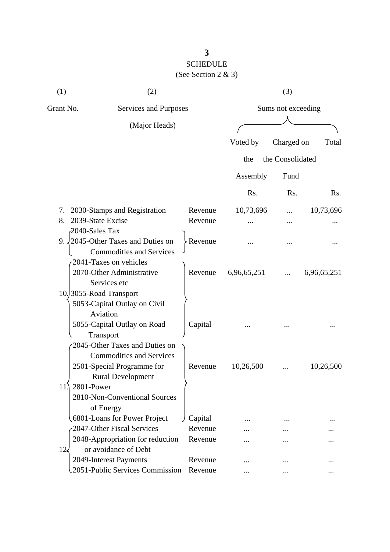# SCHEDULE (See Section 2 & 3)

| (1)       | (2)                                                                                                                                       | (3)                   |                  |                    |             |  |  |
|-----------|-------------------------------------------------------------------------------------------------------------------------------------------|-----------------------|------------------|--------------------|-------------|--|--|
| Grant No. |                                                                                                                                           | Services and Purposes |                  | Sums not exceeding |             |  |  |
|           | (Major Heads)                                                                                                                             |                       |                  |                    |             |  |  |
|           |                                                                                                                                           |                       | Voted by         | Charged on         | Total       |  |  |
|           |                                                                                                                                           |                       | the              | the Consolidated   |             |  |  |
|           |                                                                                                                                           |                       | Assembly         | Fund               |             |  |  |
|           |                                                                                                                                           |                       | R <sub>s</sub> . | Rs.                | Rs.         |  |  |
| 7.        | 2030-Stamps and Registration                                                                                                              | Revenue               | 10,73,696        |                    | 10,73,696   |  |  |
| 8.        | 2039-State Excise                                                                                                                         | Revenue               |                  |                    |             |  |  |
|           | 2040-Sales Tax<br>9. $\sqrt{2045}$ -Other Taxes and Duties on<br><b>Commodities and Services</b>                                          | >Revenue              |                  |                    |             |  |  |
|           | 2041-Taxes on vehicles<br>2070-Other Administrative<br>Services etc                                                                       | Revenue               | 6,96,65,251      |                    | 6,96,65,251 |  |  |
|           | 10.3055-Road Transport<br>5053-Capital Outlay on Civil<br>Aviation<br>5055-Capital Outlay on Road<br>Transport                            | Capital               |                  |                    |             |  |  |
| 11.       | 2045-Other Taxes and Duties on<br><b>Commodities and Services</b><br>2501-Special Programme for<br><b>Rural Development</b><br>2801-Power | Revenue               | 10,26,500        |                    | 10,26,500   |  |  |
|           | 2810-Non-Conventional Sources<br>of Energy                                                                                                |                       |                  |                    |             |  |  |
|           | 6801-Loans for Power Project                                                                                                              | Capital               |                  |                    |             |  |  |
|           | 2047-Other Fiscal Services                                                                                                                | Revenue               |                  |                    |             |  |  |
| $12\zeta$ | 2048-Appropriation for reduction<br>or avoidance of Debt                                                                                  | Revenue               |                  |                    |             |  |  |
|           | 2049-Interest Payments                                                                                                                    | Revenue               | .                |                    |             |  |  |
|           | 2051-Public Services Commission                                                                                                           | Revenue               |                  |                    |             |  |  |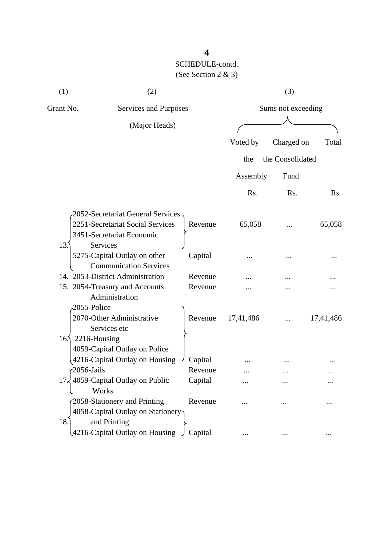| (1)<br>(2)      |                                                               |         | (3)                |                  |           |  |
|-----------------|---------------------------------------------------------------|---------|--------------------|------------------|-----------|--|
| Grant No.       | Services and Purposes                                         |         | Sums not exceeding |                  |           |  |
|                 | (Major Heads)                                                 |         |                    |                  |           |  |
|                 |                                                               |         | Voted by           | Charged on       | Total     |  |
|                 |                                                               |         | the                | the Consolidated |           |  |
|                 |                                                               |         | Assembly           | Fund             |           |  |
|                 |                                                               |         | Rs.                | Rs.              | Rs        |  |
|                 | 2052-Secretariat General Services                             |         |                    |                  |           |  |
|                 | 2251-Secretariat Social Services                              | Revenue | 65,058             |                  | 65,058    |  |
|                 | 3451-Secretariat Economic                                     |         |                    |                  |           |  |
| 13.             | Services                                                      |         |                    |                  |           |  |
|                 | 5275-Capital Outlay on other<br><b>Communication Services</b> | Capital |                    |                  |           |  |
|                 | 14. 2053-District Administration                              | Revenue |                    |                  |           |  |
|                 | 15. 2054-Treasury and Accounts                                | Revenue |                    |                  |           |  |
|                 | Administration                                                |         |                    |                  |           |  |
|                 | 2055-Police                                                   |         |                    |                  |           |  |
|                 | 2070-Other Administrative                                     | Revenue | 17,41,486          |                  | 17,41,486 |  |
|                 | Services etc                                                  |         |                    |                  |           |  |
| 16 <sub>2</sub> | 2216-Housing                                                  |         |                    |                  |           |  |
|                 | 4059-Capital Outlay on Police                                 |         |                    |                  |           |  |
|                 | 4216-Capital Outlay on Housing                                | Capital |                    |                  |           |  |
|                 | $-2056$ -Jails                                                | Revenue |                    |                  |           |  |
| 17.             | 4059-Capital Outlay on Public                                 | Capital |                    |                  |           |  |
|                 | Works                                                         |         |                    |                  |           |  |
|                 | 2058-Stationery and Printing                                  | Revenue |                    |                  |           |  |
|                 | 4058-Capital Outlay on Stationery                             |         |                    |                  |           |  |
| 18.             | and Printing                                                  |         |                    |                  |           |  |
|                 | 4216-Capital Outlay on Housing                                | Capital |                    |                  |           |  |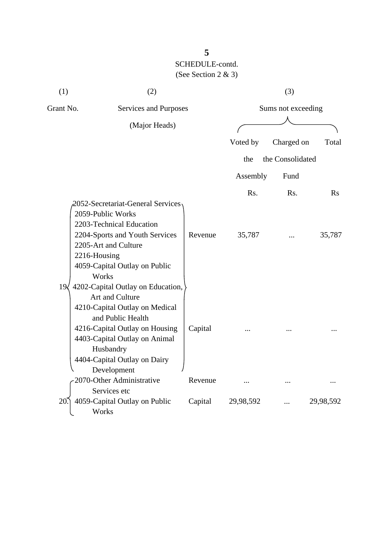| (1)          | (2)                                                                                                                                                                                                                                        |         |                       | (3)              |           |                    |  |  |
|--------------|--------------------------------------------------------------------------------------------------------------------------------------------------------------------------------------------------------------------------------------------|---------|-----------------------|------------------|-----------|--------------------|--|--|
| Grant No.    |                                                                                                                                                                                                                                            |         | Services and Purposes |                  |           | Sums not exceeding |  |  |
|              | (Major Heads)                                                                                                                                                                                                                              |         |                       |                  |           |                    |  |  |
|              |                                                                                                                                                                                                                                            |         | Voted by              | Charged on       | Total     |                    |  |  |
|              |                                                                                                                                                                                                                                            |         | the                   | the Consolidated |           |                    |  |  |
|              |                                                                                                                                                                                                                                            |         | Assembly              | Fund             |           |                    |  |  |
|              |                                                                                                                                                                                                                                            |         | Rs.                   | R <sub>s</sub> . | Rs        |                    |  |  |
|              | 2052-Secretariat-General Services<br>2059-Public Works<br>2203-Technical Education<br>2204-Sports and Youth Services<br>2205-Art and Culture<br>2216-Housing<br>4059-Capital Outlay on Public<br>Works                                     | Revenue | 35,787                |                  | 35,787    |                    |  |  |
| $19\sqrt{ }$ | 4202-Capital Outlay on Education,<br>Art and Culture<br>4210-Capital Outlay on Medical<br>and Public Health<br>4216-Capital Outlay on Housing<br>4403-Capital Outlay on Animal<br>Husbandry<br>4404-Capital Outlay on Dairy<br>Development | Capital |                       |                  |           |                    |  |  |
|              | 2070-Other Administrative                                                                                                                                                                                                                  | Revenue |                       |                  |           |                    |  |  |
| 20           | Services etc<br>4059-Capital Outlay on Public<br>Works                                                                                                                                                                                     | Capital | 29,98,592             |                  | 29,98,592 |                    |  |  |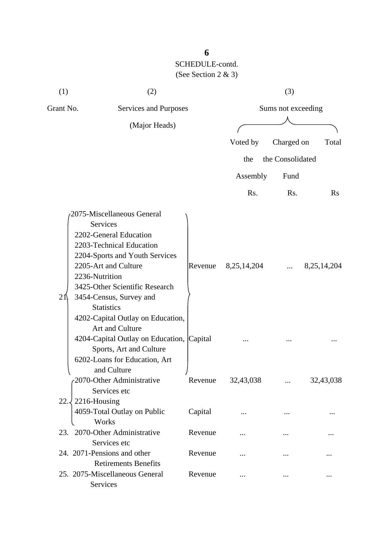| (1)<br>(2)                         |                                                                                                                                                                                                                                                                                                                                                                                            |         | (3)            |                    |                |  |
|------------------------------------|--------------------------------------------------------------------------------------------------------------------------------------------------------------------------------------------------------------------------------------------------------------------------------------------------------------------------------------------------------------------------------------------|---------|----------------|--------------------|----------------|--|
| Grant No.<br>Services and Purposes |                                                                                                                                                                                                                                                                                                                                                                                            |         |                | Sums not exceeding |                |  |
|                                    | (Major Heads)                                                                                                                                                                                                                                                                                                                                                                              |         |                |                    |                |  |
|                                    |                                                                                                                                                                                                                                                                                                                                                                                            |         | Voted by       | Charged on         | Total          |  |
|                                    |                                                                                                                                                                                                                                                                                                                                                                                            |         | the            | the Consolidated   |                |  |
|                                    |                                                                                                                                                                                                                                                                                                                                                                                            |         | Assembly       | Fund               |                |  |
|                                    |                                                                                                                                                                                                                                                                                                                                                                                            |         | Rs.            | Rs.                | $\rm Rs$       |  |
|                                    |                                                                                                                                                                                                                                                                                                                                                                                            |         |                |                    |                |  |
| 21                                 | 2075-Miscellaneous General<br>Services<br>2202-General Education<br>2203-Technical Education<br>2204-Sports and Youth Services<br>2205-Art and Culture<br>2236-Nutrition<br>3425-Other Scientific Research<br>3454-Census, Survey and<br><b>Statistics</b><br>4202-Capital Outlay on Education,<br>Art and Culture<br>4204-Capital Outlay on Education, Capital<br>Sports, Art and Culture | Revenue | 8, 25, 14, 204 |                    | 8, 25, 14, 204 |  |
|                                    | 6202-Loans for Education, Art<br>and Culture<br>2070-Other Administrative<br>Services etc                                                                                                                                                                                                                                                                                                  | Revenue | 32,43,038      |                    | 32,43,038      |  |
| $22.\sqrt{ }$                      | 2216-Housing<br>4059-Total Outlay on Public<br>Works                                                                                                                                                                                                                                                                                                                                       | Capital |                |                    |                |  |
|                                    | 23. 2070-Other Administrative                                                                                                                                                                                                                                                                                                                                                              | Revenue |                |                    |                |  |
|                                    | Services etc<br>24. 2071-Pensions and other<br><b>Retirements Benefits</b>                                                                                                                                                                                                                                                                                                                 | Revenue |                |                    |                |  |
|                                    | 25. 2075-Miscellaneous General<br>Services                                                                                                                                                                                                                                                                                                                                                 | Revenue |                |                    |                |  |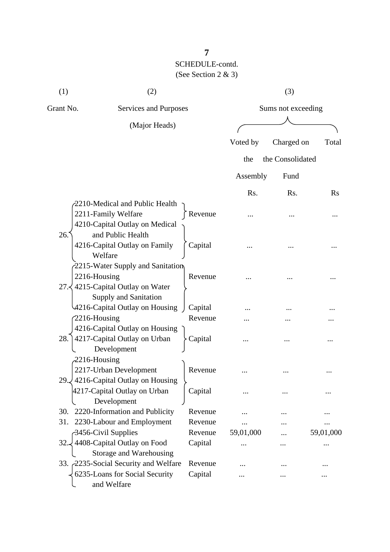| (1)             | (2)                                                                    |                    |           | (3)                |           |
|-----------------|------------------------------------------------------------------------|--------------------|-----------|--------------------|-----------|
| Grant No.       | Services and Purposes                                                  |                    |           | Sums not exceeding |           |
|                 | (Major Heads)                                                          |                    |           |                    |           |
|                 |                                                                        |                    | Voted by  | Charged on         | Total     |
|                 |                                                                        |                    | the       | the Consolidated   |           |
|                 |                                                                        |                    |           |                    |           |
|                 |                                                                        |                    | Assembly  | Fund               |           |
|                 |                                                                        |                    | Rs.       | Rs.                | $\rm Rs$  |
|                 | 2210-Medical and Public Health<br>2211-Family Welfare                  | Revenue            |           |                    |           |
|                 | 4210-Capital Outlay on Medical                                         |                    |           |                    |           |
| 26.             | and Public Health                                                      |                    |           |                    |           |
|                 | 4216-Capital Outlay on Family                                          | Capital            |           |                    |           |
|                 | Welfare                                                                |                    |           |                    |           |
|                 | 2215-Water Supply and Sanitation                                       |                    |           |                    |           |
| 2216-Housing    |                                                                        | Revenue            |           |                    |           |
|                 | 27. 4215-Capital Outlay on Water                                       |                    |           |                    |           |
|                 | Supply and Sanitation                                                  |                    |           |                    |           |
| $2216$ -Housing | 4216-Capital Outlay on Housing                                         | Capital<br>Revenue |           |                    |           |
|                 | 4216-Capital Outlay on Housing                                         |                    | .         |                    |           |
| 28.             | 4217-Capital Outlay on Urban                                           | Capital            |           |                    |           |
|                 | Development                                                            |                    |           |                    |           |
| 2216-Housing    |                                                                        |                    |           |                    |           |
|                 | 2217-Urban Development                                                 | Revenue            |           |                    |           |
|                 | 29. $\frac{1}{2}$ 4216-Capital Outlay on Housing                       |                    |           |                    |           |
|                 | 4217-Capital Outlay on Urban                                           | Capital            |           |                    |           |
|                 | Development                                                            |                    |           |                    |           |
| 30.             | 2220-Information and Publicity                                         | Revenue            |           |                    |           |
| 31.             | 2230-Labour and Employment                                             | Revenue            |           |                    |           |
|                 | 3456-Civil Supplies                                                    | Revenue            | 59,01,000 |                    | 59,01,000 |
| 32.Z            | 4408-Capital Outlay on Food                                            | Capital            |           |                    | $\ddotsc$ |
|                 | Storage and Warehousing                                                |                    |           |                    |           |
|                 | 33. 2235-Social Security and Welfare<br>6235-Loans for Social Security | Revenue<br>Capital |           |                    |           |
|                 | and Welfare                                                            |                    |           |                    |           |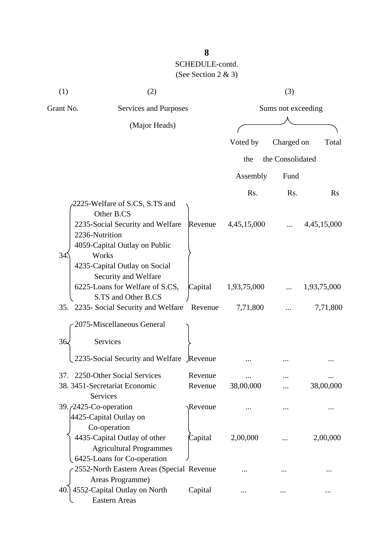| (1)       | (2)                                                                                                                                                                                                                                                                                                                                    |                               |                                        | (3)              |                                        |  |
|-----------|----------------------------------------------------------------------------------------------------------------------------------------------------------------------------------------------------------------------------------------------------------------------------------------------------------------------------------------|-------------------------------|----------------------------------------|------------------|----------------------------------------|--|
| Grant No. | Services and Purposes                                                                                                                                                                                                                                                                                                                  |                               | Sums not exceeding                     |                  |                                        |  |
|           | (Major Heads)                                                                                                                                                                                                                                                                                                                          |                               |                                        |                  |                                        |  |
|           |                                                                                                                                                                                                                                                                                                                                        |                               | Voted by                               | Charged on       | Total                                  |  |
|           |                                                                                                                                                                                                                                                                                                                                        |                               | the                                    | the Consolidated |                                        |  |
|           |                                                                                                                                                                                                                                                                                                                                        |                               |                                        |                  |                                        |  |
|           |                                                                                                                                                                                                                                                                                                                                        |                               | Assembly                               | Fund             |                                        |  |
|           |                                                                                                                                                                                                                                                                                                                                        |                               | Rs.                                    | Rs.              | $\rm Rs$                               |  |
| 34        | 2225-Welfare of S.CS, S.TS and<br>Other B.CS<br>2235-Social Security and Welfare<br>2236-Nutrition<br>4059-Capital Outlay on Public<br>Works<br>4235-Capital Outlay on Social<br>Security and Welfare<br>6225-Loans for Welfare of S.CS,<br>S.TS and Other B.CS<br>35. 2235- Social Security and Welfare<br>2075-Miscellaneous General | Revenue<br>Capital<br>Revenue | 4,45,15,000<br>1,93,75,000<br>7,71,800 |                  | 4,45,15,000<br>1,93,75,000<br>7,71,800 |  |
| 36.       | Services                                                                                                                                                                                                                                                                                                                               |                               |                                        |                  |                                        |  |
|           | 2235-Social Security and Welfare Revenue                                                                                                                                                                                                                                                                                               |                               |                                        |                  |                                        |  |
| 37.       | 2250-Other Social Services                                                                                                                                                                                                                                                                                                             | Revenue                       |                                        |                  |                                        |  |
|           | 38. 3451-Secretariat Economic                                                                                                                                                                                                                                                                                                          | Revenue                       | 38,00,000                              |                  | 38,00,000                              |  |
|           | Services<br>39. <i>(2425-Co-operation</i> )<br>4425-Capital Outlay on<br>Co-operation                                                                                                                                                                                                                                                  | Revenue                       |                                        |                  |                                        |  |
|           | 4435-Capital Outlay of other<br><b>Agricultural Programmes</b><br>6425-Loans for Co-operation                                                                                                                                                                                                                                          | Capital                       | 2,00,000                               |                  | 2,00,000                               |  |
|           | 2552-North Eastern Areas (Special Revenue                                                                                                                                                                                                                                                                                              |                               |                                        |                  |                                        |  |
|           | Areas Programme)<br>40.] 4552-Capital Outlay on North<br><b>Eastern Areas</b>                                                                                                                                                                                                                                                          | Capital                       |                                        |                  |                                        |  |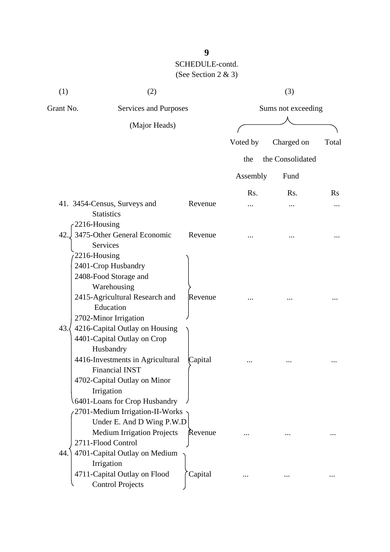| (1)                 | (2)                                                                                                                                                                                                                    |         | (3)                |                  |          |
|---------------------|------------------------------------------------------------------------------------------------------------------------------------------------------------------------------------------------------------------------|---------|--------------------|------------------|----------|
| Grant No.           | Services and Purposes                                                                                                                                                                                                  |         | Sums not exceeding |                  |          |
|                     | (Major Heads)                                                                                                                                                                                                          |         |                    |                  |          |
|                     |                                                                                                                                                                                                                        |         | Voted by           | Charged on       | Total    |
|                     |                                                                                                                                                                                                                        |         | the                | the Consolidated |          |
|                     |                                                                                                                                                                                                                        |         | Assembly           | Fund             |          |
|                     |                                                                                                                                                                                                                        |         | Rs.                | R <sub>s</sub> . | $\rm Rs$ |
|                     | 41. 3454-Census, Surveys and<br><b>Statistics</b>                                                                                                                                                                      | Revenue |                    |                  |          |
| 2216-Housing<br>42. | 3475-Other General Economic<br><b>Services</b>                                                                                                                                                                         | Revenue |                    |                  |          |
| 2216-Housing        | 2401-Crop Husbandry<br>2408-Food Storage and<br>Warehousing<br>2415-Agricultural Research and<br>Education<br>2702-Minor Irrigation                                                                                    | Revenue |                    |                  |          |
| 43.                 | 4216-Capital Outlay on Housing<br>4401-Capital Outlay on Crop<br>Husbandry<br>4416-Investments in Agricultural<br><b>Financial INST</b><br>4702-Capital Outlay on Minor<br>Irrigation<br>6401-Loans for Crop Husbandry | Capital |                    |                  |          |
| 44.                 | 2701-Medium Irrigation-II-Works<br>Under E. And D Wing P.W.D<br><b>Medium Irrigation Projects</b><br>2711-Flood Control<br>4701-Capital Outlay on Medium<br>Irrigation                                                 | Revenue |                    |                  |          |
|                     | 4711-Capital Outlay on Flood<br><b>Control Projects</b>                                                                                                                                                                | Capital |                    |                  |          |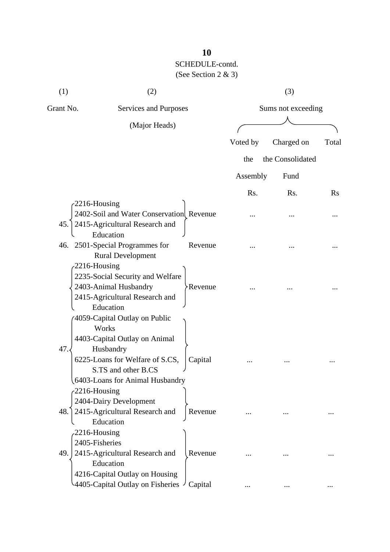| (1)                                | (2)                                         |                    |          | (3)              |       |
|------------------------------------|---------------------------------------------|--------------------|----------|------------------|-------|
| Grant No.<br>Services and Purposes |                                             | Sums not exceeding |          |                  |       |
|                                    | (Major Heads)                               |                    |          |                  |       |
|                                    |                                             |                    | Voted by | Charged on       | Total |
|                                    |                                             |                    | the      | the Consolidated |       |
|                                    |                                             |                    | Assembly | Fund             |       |
|                                    |                                             |                    |          |                  |       |
| 2216-Housing                       |                                             |                    | Rs.      | Rs.              | Rs    |
|                                    | 2402-Soil and Water Conservation Revenue    |                    |          |                  |       |
| 45.                                | 2415-Agricultural Research and              |                    |          |                  |       |
|                                    | Education                                   |                    |          |                  |       |
|                                    | 46. 2501-Special Programmes for             | Revenue            |          |                  |       |
|                                    | <b>Rural Development</b>                    |                    |          |                  |       |
| 2216-Housing                       |                                             |                    |          |                  |       |
|                                    | 2235-Social Security and Welfare            |                    |          |                  |       |
|                                    | 2403-Animal Husbandry                       | <b>Revenue</b>     |          |                  |       |
|                                    | 2415-Agricultural Research and              |                    |          |                  |       |
|                                    | Education                                   |                    |          |                  |       |
|                                    | 4059-Capital Outlay on Public               |                    |          |                  |       |
|                                    | Works                                       |                    |          |                  |       |
|                                    | 4403-Capital Outlay on Animal               |                    |          |                  |       |
| 47.                                | Husbandry                                   |                    |          |                  |       |
|                                    | 6225-Loans for Welfare of S.CS,             | Capital            |          |                  |       |
|                                    | S.TS and other B.CS                         |                    |          |                  |       |
|                                    | 6403-Loans for Animal Husbandry             |                    |          |                  |       |
| $-2216$ -Housing                   |                                             |                    |          |                  |       |
|                                    | 2404-Dairy Development                      |                    |          |                  |       |
| 48.                                | 2415-Agricultural Research and              | Revenue            |          |                  |       |
|                                    | Education                                   |                    |          |                  |       |
| 2216-Housing<br>2405-Fisheries     |                                             |                    |          |                  |       |
| 49.                                |                                             | Revenue            |          |                  |       |
|                                    | 2415-Agricultural Research and<br>Education |                    |          |                  |       |
|                                    | 4216-Capital Outlay on Housing              |                    |          |                  |       |
|                                    | 4405-Capital Outlay on Fisheries            | Capital            |          |                  |       |
|                                    |                                             |                    |          |                  |       |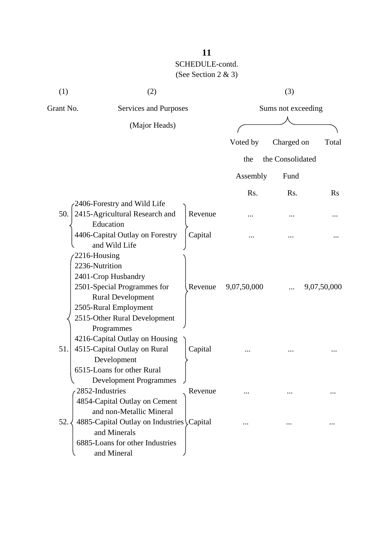| (1)          | (2)                                        |         |             | (3)                |             |
|--------------|--------------------------------------------|---------|-------------|--------------------|-------------|
| Grant No.    | <b>Services and Purposes</b>               |         |             | Sums not exceeding |             |
|              | (Major Heads)                              |         |             |                    |             |
|              |                                            |         | Voted by    | Charged on         | Total       |
|              |                                            |         | the         | the Consolidated   |             |
|              |                                            |         | Assembly    | Fund               |             |
|              |                                            |         | Rs.         | Rs.                | $\rm Rs$    |
|              | 2406-Forestry and Wild Life                |         |             |                    |             |
| 50.          | 2415-Agricultural Research and             | Revenue | .           |                    |             |
|              | Education                                  |         |             |                    |             |
|              | 4406-Capital Outlay on Forestry            | Capital | .           |                    |             |
|              | and Wild Life                              |         |             |                    |             |
| 2216-Housing |                                            |         |             |                    |             |
|              | 2236-Nutrition                             |         |             |                    |             |
|              | 2401-Crop Husbandry                        |         |             |                    |             |
|              | 2501-Special Programmes for                | Revenue | 9,07,50,000 |                    | 9,07,50,000 |
|              | <b>Rural Development</b>                   |         |             |                    |             |
|              | 2505-Rural Employment                      |         |             |                    |             |
|              | 2515-Other Rural Development<br>Programmes |         |             |                    |             |
|              | 4216-Capital Outlay on Housing             |         |             |                    |             |
| 51.          | 4515-Capital Outlay on Rural               | Capital |             |                    |             |
|              | Development                                |         |             |                    |             |
|              | 6515-Loans for other Rural                 |         |             |                    |             |
|              | <b>Development Programmes</b>              |         |             |                    |             |
|              | 2852-Industries                            | Revenue |             |                    |             |
|              | 4854-Capital Outlay on Cement              |         |             |                    |             |
|              | and non-Metallic Mineral                   |         |             |                    |             |
| 52.          | 4885-Capital Outlay on Industries \Capital |         |             |                    |             |
|              | and Minerals                               |         |             |                    |             |
|              | 6885-Loans for other Industries            |         |             |                    |             |
|              | and Mineral                                |         |             |                    |             |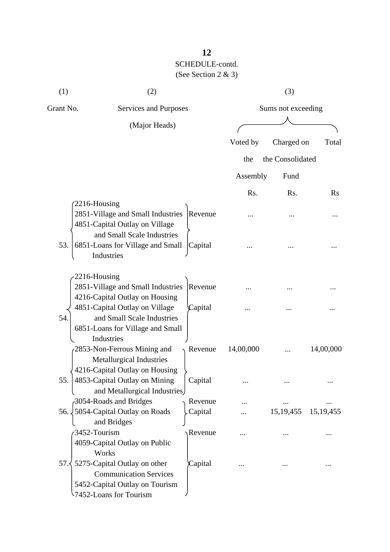| (1)                 | (2)                                                                                                                                                                     |                    |           | (3)                |             |
|---------------------|-------------------------------------------------------------------------------------------------------------------------------------------------------------------------|--------------------|-----------|--------------------|-------------|
| Grant No.           | Services and Purposes                                                                                                                                                   |                    |           | Sums not exceeding |             |
|                     | (Major Heads)                                                                                                                                                           |                    |           |                    |             |
|                     |                                                                                                                                                                         |                    | Voted by  | Charged on         | Total       |
|                     |                                                                                                                                                                         |                    |           | the Consolidated   |             |
|                     |                                                                                                                                                                         |                    | the       |                    |             |
|                     |                                                                                                                                                                         |                    | Assembly  | Fund               |             |
|                     |                                                                                                                                                                         |                    | Rs.       | Rs.                | $\rm Rs$    |
| 2216-Housing        | 2851-Village and Small Industries<br>4851-Capital Outlay on Village<br>and Small Scale Industries                                                                       | Revenue            |           |                    |             |
| 53.                 | 6851-Loans for Village and Small<br>Industries                                                                                                                          | Capital            |           |                    |             |
| 2216-Housing<br>54. | 2851-Village and Small Industries<br>4216-Capital Outlay on Housing<br>4851-Capital Outlay on Village<br>and Small Scale Industries<br>6851-Loans for Village and Small | Revenue<br>Capital |           |                    |             |
|                     | Industries<br>2853-Non-Ferrous Mining and<br><b>Metallurgical Industries</b>                                                                                            | Revenue            | 14,00,000 |                    | 14,00,000   |
| 55.                 | 4216-Capital Outlay on Housing<br>4853-Capital Outlay on Mining<br>and Metallurgical Industries                                                                         | Capital            |           |                    |             |
|                     | 3054-Roads and Bridges                                                                                                                                                  | Revenue            |           |                    |             |
|                     | 56. 5054-Capital Outlay on Roads                                                                                                                                        | Capital            |           | 15, 19, 455        | 15, 19, 455 |
| 3452-Tourism        | and Bridges<br>4059-Capital Outlay on Public<br>Works                                                                                                                   | Revenue            |           |                    |             |
|                     | 57. $\frac{1}{2}$ 5275-Capital Outlay on other<br><b>Communication Services</b><br>5452-Capital Outlay on Tourism<br>-7452-Loans for Tourism                            | Capital            |           |                    |             |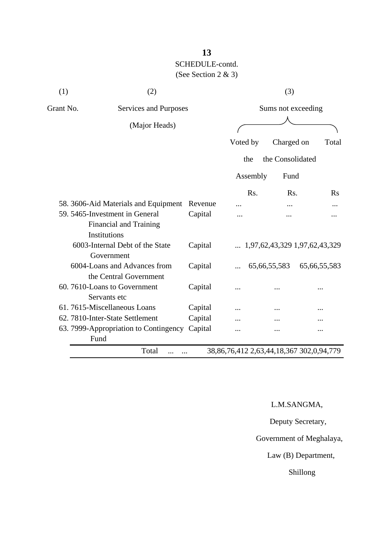| (1)       | (2)                                                    |         | (3)                |                  |                                        |
|-----------|--------------------------------------------------------|---------|--------------------|------------------|----------------------------------------|
| Grant No. | Services and Purposes                                  |         | Sums not exceeding |                  |                                        |
|           | (Major Heads)                                          |         |                    |                  |                                        |
|           |                                                        |         | Voted by           | Charged on       | Total                                  |
|           |                                                        |         | the                | the Consolidated |                                        |
|           |                                                        |         | Assembly           | Fund             |                                        |
|           |                                                        |         | Rs.                | R <sub>s</sub> . | $\rm Rs$                               |
|           | 58. 3606-Aid Materials and Equipment                   | Revenue |                    |                  |                                        |
|           | 59. 5465-Investment in General                         | Capital |                    |                  |                                        |
|           | Financial and Training<br>Institutions                 |         |                    |                  |                                        |
|           | 6003-Internal Debt of the State<br>Government          | Capital |                    |                  | $\ldots$ 1,97,62,43,329 1,97,62,43,329 |
|           | 6004-Loans and Advances from<br>the Central Government | Capital |                    | 65, 66, 55, 583  | 65,66,55,583                           |
|           | 60.7610-Loans to Government<br>Servants etc            | Capital |                    |                  |                                        |
|           | 61.7615-Miscellaneous Loans                            | Capital |                    |                  |                                        |
|           | 62. 7810-Inter-State Settlement                        | Capital |                    |                  |                                        |
| Fund      | 63. 7999-Appropriation to Contingency                  | Capital |                    |                  |                                        |

L.M.SANGMA,

Deputy Secretary,

Government of Meghalaya,

Law (B) Department,

Shillong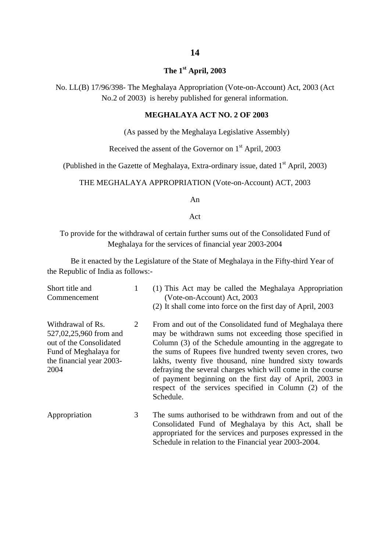### **The 1st April, 2003**

No. LL(B) 17/96/398- The Meghalaya Appropriation (Vote-on-Account) Act, 2003 (Act No.2 of 2003) is hereby published for general information.

#### **MEGHALAYA ACT NO. 2 OF 2003**

(As passed by the Meghalaya Legislative Assembly)

Received the assent of the Governor on  $1<sup>st</sup>$  April, 2003

(Published in the Gazette of Meghalaya, Extra-ordinary issue, dated  $1<sup>st</sup>$  April, 2003)

#### THE MEGHALAYA APPROPRIATION (Vote-on-Account) ACT, 2003

An

Act

To provide for the withdrawal of certain further sums out of the Consolidated Fund of Meghalaya for the services of financial year 2003-2004

Be it enacted by the Legislature of the State of Meghalaya in the Fifty-third Year of the Republic of India as follows:-

| Short title and<br>Commencement                                                                                                     | 1 | (1) This Act may be called the Meghalaya Appropriation<br>(Vote-on-Account) Act, 2003<br>(2) It shall come into force on the first day of April, 2003                                                                                                                                                                                                                                                                                                                                                  |
|-------------------------------------------------------------------------------------------------------------------------------------|---|--------------------------------------------------------------------------------------------------------------------------------------------------------------------------------------------------------------------------------------------------------------------------------------------------------------------------------------------------------------------------------------------------------------------------------------------------------------------------------------------------------|
| Withdrawal of Rs.<br>527,02,25,960 from and<br>out of the Consolidated<br>Fund of Meghalaya for<br>the financial year 2003-<br>2004 | 2 | From and out of the Consolidated fund of Meghalaya there<br>may be withdrawn sums not exceeding those specified in<br>Column (3) of the Schedule amounting in the aggregate to<br>the sums of Rupees five hundred twenty seven crores, two<br>lakhs, twenty five thousand, nine hundred sixty towards<br>defraying the several charges which will come in the course<br>of payment beginning on the first day of April, 2003 in<br>respect of the services specified in Column (2) of the<br>Schedule. |
| Appropriation                                                                                                                       | 3 | The sums authorised to be withdrawn from and out of the<br>Consolidated Fund of Meghalaya by this Act, shall be<br>appropriated for the services and purposes expressed in the                                                                                                                                                                                                                                                                                                                         |

Schedule in relation to the Financial year 2003-2004.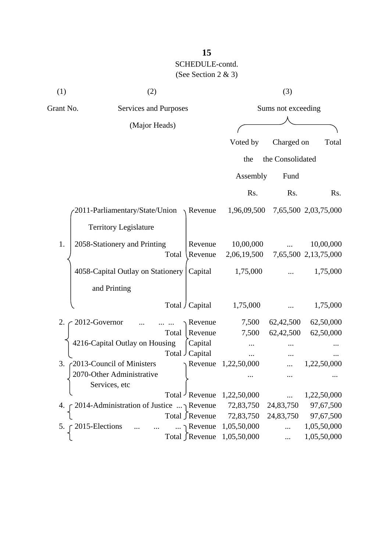| (1) | (2)                                             |                       |                          | (3)              |                                   |  |
|-----|-------------------------------------------------|-----------------------|--------------------------|------------------|-----------------------------------|--|
|     | Grant No.<br>Services and Purposes              |                       | Sums not exceeding       |                  |                                   |  |
|     | (Major Heads)                                   |                       |                          |                  |                                   |  |
|     |                                                 |                       | Voted by                 | Charged on       | Total                             |  |
|     |                                                 |                       | the                      | the Consolidated |                                   |  |
|     |                                                 |                       | Assembly                 | Fund             |                                   |  |
|     |                                                 |                       | Rs.                      | Rs.              | Rs.                               |  |
|     | 2011-Parliamentary/State/Union                  | $\lambda$ Revenue     | 1,96,09,500              |                  | 7,65,500 2,03,75,000              |  |
|     | <b>Territory Legislature</b>                    |                       |                          |                  |                                   |  |
| 1.  | 2058-Stationery and Printing<br>Total           | Revenue<br>Revenue    | 10,00,000<br>2,06,19,500 |                  | 10,00,000<br>7,65,500 2,13,75,000 |  |
|     | 4058-Capital Outlay on Stationery               | Capital               | 1,75,000                 |                  | 1,75,000                          |  |
|     | and Printing                                    |                       |                          |                  |                                   |  |
|     |                                                 | Total / Capital       | 1,75,000                 |                  | 1,75,000                          |  |
| 2.  | 2012-Governor                                   | Revenue               | 7,500                    | 62,42,500        | 62,50,000                         |  |
|     | Total                                           | Revenue               | 7,500                    | 62,42,500        | 62,50,000                         |  |
|     | 4216-Capital Outlay on Housing                  | Capital               |                          |                  |                                   |  |
|     |                                                 | Total Capital         |                          | $\cdots$         |                                   |  |
| 3.  | 2013-Council of Ministers                       | $\Lambda$ Revenue     | 1,22,50,000              |                  | 1,22,50,000                       |  |
|     | 2070-Other Administrative                       |                       |                          | $\cdots$         |                                   |  |
|     | Services, etc                                   |                       |                          |                  |                                   |  |
|     |                                                 | Total Revenue         | 1,22,50,000              |                  | 1,22,50,000                       |  |
| 4.  | 2014-Administration of Justice $\ldots$ Revenue |                       | 72,83,750                | 24,83,750        | 97,67,500                         |  |
|     |                                                 | Total ∫Revenue        | 72,83,750                | 24,83,750        | 97,67,500                         |  |
| 5.  | 2015-Elections                                  | $\ldots \cap$ Revenue | 1,05,50,000              |                  | 1,05,50,000                       |  |
|     |                                                 | Total ∫Revenue        | 1,05,50,000              |                  | 1,05,50,000                       |  |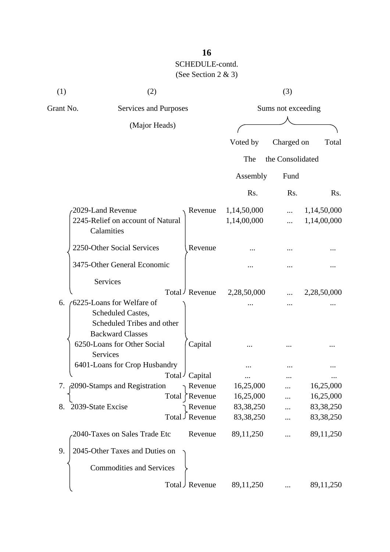| (1)       | (2)                                                                        |                            |                            | (3)                |                            |
|-----------|----------------------------------------------------------------------------|----------------------------|----------------------------|--------------------|----------------------------|
| Grant No. | Services and Purposes                                                      |                            |                            | Sums not exceeding |                            |
|           | (Major Heads)                                                              |                            |                            |                    |                            |
|           |                                                                            |                            | Voted by                   | Charged on         | Total                      |
|           |                                                                            |                            | The                        | the Consolidated   |                            |
|           |                                                                            |                            | Assembly                   | Fund               |                            |
|           |                                                                            |                            | Rs.                        | Rs.                | R <sub>s</sub> .           |
|           | 2029-Land Revenue<br>2245-Relief on account of Natural<br>Calamities       | Revenue                    | 1,14,50,000<br>1,14,00,000 | .<br>.             | 1,14,50,000<br>1,14,00,000 |
|           | 2250-Other Social Services                                                 | Revenue                    |                            |                    |                            |
|           | 3475-Other General Economic                                                |                            |                            |                    |                            |
|           | Services                                                                   | Total / Revenue            | 2,28,50,000                |                    | 2,28,50,000                |
| 6.        | 6225-Loans for Welfare of                                                  |                            |                            |                    |                            |
|           | Scheduled Castes,<br>Scheduled Tribes and other<br><b>Backward Classes</b> |                            |                            |                    |                            |
|           | 6250-Loans for Other Social<br><b>Services</b>                             | Capital                    |                            |                    |                            |
|           | 6401-Loans for Crop Husbandry                                              |                            |                            |                    |                            |
|           |                                                                            | Total / Capital            |                            |                    | $\cdots$                   |
|           | 7. 2090-Stamps and Registration                                            | Revenue                    | 16,25,000                  |                    | 16,25,000                  |
|           | Total                                                                      | Revenue                    | 16,25,000                  |                    | 16,25,000                  |
| 8.        | 2039-State Excise                                                          | Revenue<br>Total J Revenue | 83, 38, 250<br>83, 38, 250 |                    | 83,38,250<br>83,38,250     |
|           | 2040-Taxes on Sales Trade Etc                                              | Revenue                    | 89,11,250                  |                    | 89,11,250                  |
| 9.        | 2045-Other Taxes and Duties on                                             |                            |                            |                    |                            |
|           | <b>Commodities and Services</b>                                            |                            |                            |                    |                            |
|           |                                                                            | Total J Revenue            | 89,11,250                  |                    | 89,11,250                  |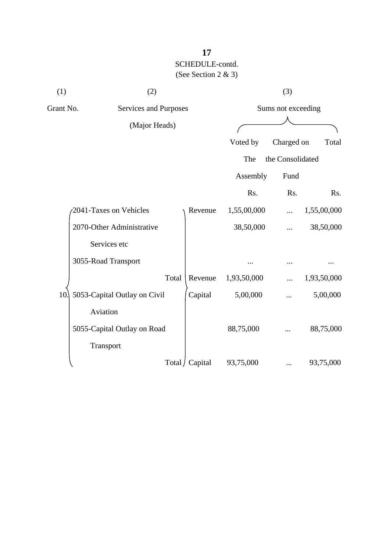| (1)       | (2)                          |                 |             | (3)                |             |
|-----------|------------------------------|-----------------|-------------|--------------------|-------------|
| Grant No. | Services and Purposes        |                 |             | Sums not exceeding |             |
|           | (Major Heads)                |                 |             |                    |             |
|           |                              |                 | Voted by    | Charged on         | Total       |
|           |                              |                 | The         | the Consolidated   |             |
|           |                              |                 | Assembly    | Fund               |             |
|           |                              |                 | Rs.         | Rs.                | Rs.         |
|           | 2041-Taxes on Vehicles       | Revenue         | 1,55,00,000 |                    | 1,55,00,000 |
|           | 2070-Other Administrative    |                 | 38,50,000   |                    | 38,50,000   |
|           | Services etc                 |                 |             |                    |             |
|           | 3055-Road Transport          |                 |             |                    |             |
|           | Total                        | Revenue         | 1,93,50,000 |                    | 1,93,50,000 |
| 10.       | 5053-Capital Outlay on Civil | Capital         | 5,00,000    |                    | 5,00,000    |
|           | Aviation                     |                 |             |                    |             |
|           | 5055-Capital Outlay on Road  |                 | 88,75,000   |                    | 88,75,000   |
|           | Transport                    |                 |             |                    |             |
|           |                              | Total / Capital | 93,75,000   |                    | 93,75,000   |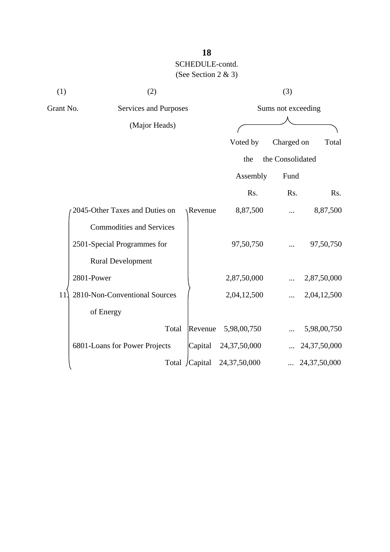| (1)       | (2)                             |                |                 | (3)                |                 |
|-----------|---------------------------------|----------------|-----------------|--------------------|-----------------|
| Grant No. | <b>Services and Purposes</b>    |                |                 | Sums not exceeding |                 |
|           | (Major Heads)                   |                |                 |                    |                 |
|           |                                 |                | Voted by        | Charged on         | Total           |
|           |                                 |                | the             | the Consolidated   |                 |
|           |                                 |                | Assembly        | Fund               |                 |
|           |                                 |                | Rs.             | Rs.                | Rs.             |
|           | 2045-Other Taxes and Duties on  | <b>Revenue</b> | 8,87,500        |                    | 8,87,500        |
|           | <b>Commodities and Services</b> |                |                 |                    |                 |
|           | 2501-Special Programmes for     |                | 97,50,750       |                    | 97,50,750       |
|           | <b>Rural Development</b>        |                |                 |                    |                 |
|           | 2801-Power                      |                | 2,87,50,000     |                    | 2,87,50,000     |
| 11        | 2810-Non-Conventional Sources   |                | 2,04,12,500     |                    | 2,04,12,500     |
|           | of Energy                       |                |                 |                    |                 |
|           | Total                           | Revenue        | 5,98,00,750     |                    | 5,98,00,750     |
|           | 6801-Loans for Power Projects   | Capital        | 24, 37, 50, 000 |                    | 24,37,50,000    |
|           |                                 | Total /Capital | 24, 37, 50, 000 |                    | 24, 37, 50, 000 |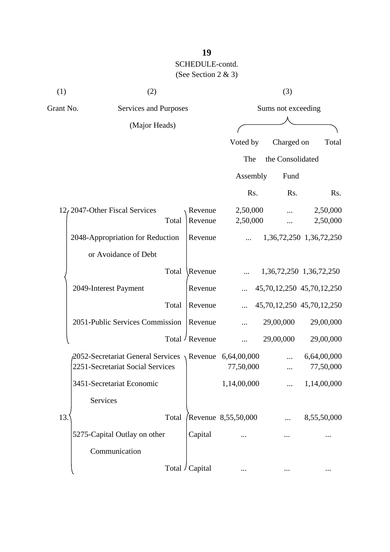| (1)       | (2)                                                           |                 |                     | (3)                |                           |
|-----------|---------------------------------------------------------------|-----------------|---------------------|--------------------|---------------------------|
| Grant No. | Services and Purposes                                         |                 |                     | Sums not exceeding |                           |
|           | (Major Heads)                                                 |                 |                     |                    |                           |
|           |                                                               |                 | Voted by            | Charged on         | Total                     |
|           |                                                               |                 | The                 | the Consolidated   |                           |
|           |                                                               |                 | Assembly            | Fund               |                           |
|           |                                                               |                 | Rs.                 | Rs.                | Rs.                       |
|           | 12, 2047-Other Fiscal Services                                | Revenue         | 2,50,000            |                    | 2,50,000                  |
|           | Total                                                         | Revenue         | 2,50,000            |                    | 2,50,000                  |
|           | 2048-Appropriation for Reduction                              | Revenue         |                     |                    | 1,36,72,250 1,36,72,250   |
|           | or Avoidance of Debt                                          |                 |                     |                    |                           |
|           | Total                                                         | Revenue         |                     |                    | 1,36,72,250 1,36,72,250   |
|           | 2049-Interest Payment                                         | Revenue         |                     |                    | 45,70,12,250 45,70,12,250 |
|           | Total                                                         | Revenue         |                     |                    | 45,70,12,250 45,70,12,250 |
|           | 2051-Public Services Commission                               | Revenue         |                     | 29,00,000          | 29,00,000                 |
|           |                                                               | Total / Revenue |                     | 29,00,000          | 29,00,000                 |
|           | $\beta$ 052-Secretariat General Services \Revenue 6,64,00,000 |                 |                     |                    | 6,64,00,000               |
|           | 2251-Secretariat Social Services                              |                 | 77,50,000           |                    | 77,50,000                 |
|           | 3451-Secretariat Economic                                     |                 | 1,14,00,000         |                    | 1,14,00,000               |
|           | Services                                                      |                 |                     |                    |                           |
| 13.       | Total                                                         |                 | Revenue 8,55,50,000 |                    | 8,55,50,000               |
|           | 5275-Capital Outlay on other                                  | Capital         |                     |                    |                           |
|           | Communication                                                 |                 |                     |                    |                           |
|           |                                                               | Total / Capital |                     |                    | $\cdots$                  |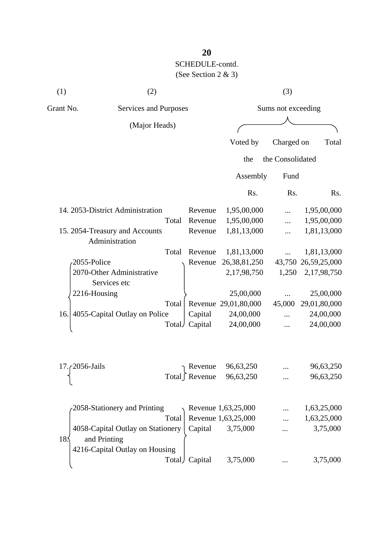| (1)                | (2)                                                                                 |       |         |                           | (3)                |                     |
|--------------------|-------------------------------------------------------------------------------------|-------|---------|---------------------------|--------------------|---------------------|
| Grant No.          | Services and Purposes                                                               |       |         |                           | Sums not exceeding |                     |
|                    | (Major Heads)                                                                       |       |         |                           |                    |                     |
|                    |                                                                                     |       |         | Voted by                  | Charged on         | Total               |
|                    |                                                                                     |       |         | the                       | the Consolidated   |                     |
|                    |                                                                                     |       |         | Assembly                  | Fund               |                     |
|                    |                                                                                     |       |         | Rs.                       | Rs.                | Rs.                 |
|                    | 14. 2053-District Administration                                                    |       | Revenue | 1,95,00,000               |                    | 1,95,00,000         |
|                    |                                                                                     | Total | Revenue | 1,95,00,000               |                    | 1,95,00,000         |
|                    | 15. 2054-Treasury and Accounts<br>Administration                                    |       | Revenue | 1,81,13,000               |                    | 1,81,13,000         |
|                    |                                                                                     | Total | Revenue | 1,81,13,000               |                    | 1,81,13,000         |
|                    | 2055-Police                                                                         |       | Revenue | 26, 38, 81, 250           |                    | 43,750 26,59,25,000 |
|                    | 2070-Other Administrative<br>Services etc                                           |       |         | 2,17,98,750               | 1,250              | 2,17,98,750         |
|                    | 2216-Housing                                                                        |       |         | 25,00,000                 |                    | 25,00,000           |
|                    |                                                                                     | Total |         | Revenue 29,01,80,000      | 45,000             | 29,01,80,000        |
| 16.                | 4055-Capital Outlay on Police                                                       |       | Capital | 24,00,000                 |                    | 24,00,000           |
|                    |                                                                                     | Total | Capital | 24,00,000                 |                    | 24,00,000           |
| 17. $c$ 2056-Jails |                                                                                     |       | Revenue | 96,63,250                 |                    | 96,63,250           |
|                    |                                                                                     |       |         | Total Revenue $96,63,250$ |                    | 96,63,250           |
|                    | 2058-Stationery and Printing                                                        |       |         | Revenue 1,63,25,000       |                    | 1,63,25,000         |
|                    |                                                                                     | Total |         | Revenue 1,63,25,000       |                    | 1,63,25,000         |
| 18:                | 4058-Capital Outlay on Stationery<br>and Printing<br>4216-Capital Outlay on Housing |       | Capital | 3,75,000                  |                    | 3,75,000            |
|                    |                                                                                     | Total | Capital | 3,75,000                  |                    | 3,75,000            |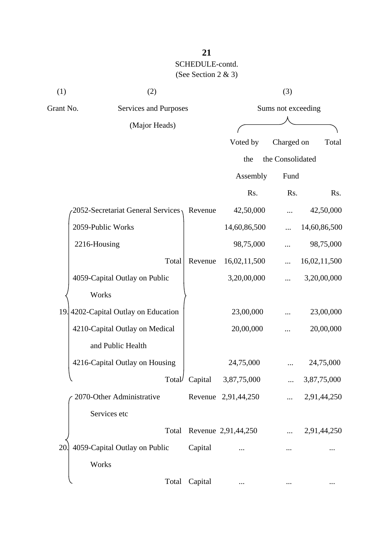| (1)       | (2)                                 |         |                             | (3)                |              |
|-----------|-------------------------------------|---------|-----------------------------|--------------------|--------------|
| Grant No. | Services and Purposes               |         |                             | Sums not exceeding |              |
|           | (Major Heads)                       |         |                             |                    |              |
|           |                                     |         | Voted by                    | Charged on         | Total        |
|           |                                     |         | the                         | the Consolidated   |              |
|           |                                     |         | Assembly                    | Fund               |              |
|           |                                     |         | Rs.                         | Rs.                | Rs.          |
|           | 2052-Secretariat General Services,  | Revenue | 42,50,000                   |                    | 42,50,000    |
|           | 2059-Public Works                   |         | 14,60,86,500                |                    | 14,60,86,500 |
|           | 2216-Housing                        |         | 98,75,000                   |                    | 98,75,000    |
|           | Total                               | Revenue | 16,02,11,500                |                    | 16,02,11,500 |
|           | 4059-Capital Outlay on Public       |         | 3,20,00,000                 |                    | 3,20,00,000  |
|           | Works                               |         |                             |                    |              |
|           | 19.4202-Capital Outlay on Education |         | 23,00,000                   |                    | 23,00,000    |
|           | 4210-Capital Outlay on Medical      |         | 20,00,000                   |                    | 20,00,000    |
|           | and Public Health                   |         |                             |                    |              |
|           | 4216-Capital Outlay on Housing      |         | 24,75,000                   |                    | 24,75,000    |
|           |                                     |         | Total Capital $3,87,75,000$ |                    | 3,87,75,000  |
|           | 2070-Other Administrative           |         | Revenue 2,91,44,250         |                    | 2,91,44,250  |
|           | Services etc                        |         |                             |                    |              |
|           | Total                               |         | Revenue 2,91,44,250         |                    | 2,91,44,250  |
| 20        | 4059-Capital Outlay on Public       | Capital |                             |                    |              |
|           | Works                               |         |                             |                    |              |
|           | Total                               | Capital |                             |                    | $\ddotsc$    |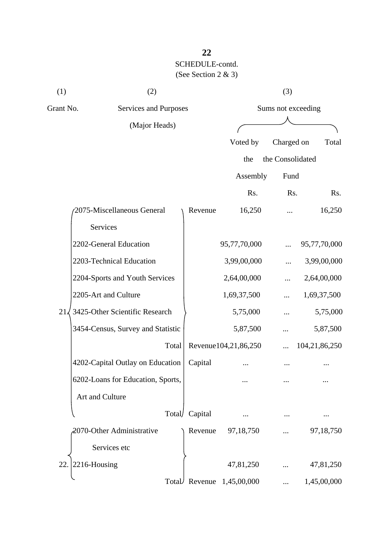| (1)          | (2)                               |         |                      | (3)                |               |
|--------------|-----------------------------------|---------|----------------------|--------------------|---------------|
| Grant No.    | Services and Purposes             |         |                      | Sums not exceeding |               |
|              | (Major Heads)                     |         |                      |                    |               |
|              |                                   |         | Voted by             | Charged on         | Total         |
|              |                                   |         | the                  | the Consolidated   |               |
|              |                                   |         | Assembly             | Fund               |               |
|              |                                   |         | Rs.                  | Rs.                | Rs.           |
|              | 2075-Miscellaneous General        | Revenue | 16,250               | .                  | 16,250        |
|              | Services                          |         |                      |                    |               |
|              | 2202-General Education            |         | 95,77,70,000         |                    | 95,77,70,000  |
|              | 2203-Technical Education          |         | 3,99,00,000          |                    | 3,99,00,000   |
|              | 2204-Sports and Youth Services    |         | 2,64,00,000          |                    | 2,64,00,000   |
|              | 2205-Art and Culture              |         | 1,69,37,500          | .                  | 1,69,37,500   |
| $21\sqrt{ }$ | 3425-Other Scientific Research    |         | 5,75,000             |                    | 5,75,000      |
|              | 3454-Census, Survey and Statistic |         | 5,87,500             |                    | 5,87,500      |
|              | Total                             |         | Revenue104,21,86,250 |                    | 104,21,86,250 |
|              | 4202-Capital Outlay on Education  | Capital |                      |                    |               |
|              | 6202-Loans for Education, Sports, |         |                      |                    |               |
|              | Art and Culture                   |         |                      |                    |               |
|              | Total/                            | Capital |                      |                    |               |
|              | 2070-Other Administrative         | Revenue | 97,18,750            |                    | 97,18,750     |
|              | Services etc                      |         |                      |                    |               |
| 22           | 2216-Housing                      |         | 47,81,250            |                    | 47,81,250     |
|              | Total                             | Revenue | 1,45,00,000          | $\cdots$           | 1,45,00,000   |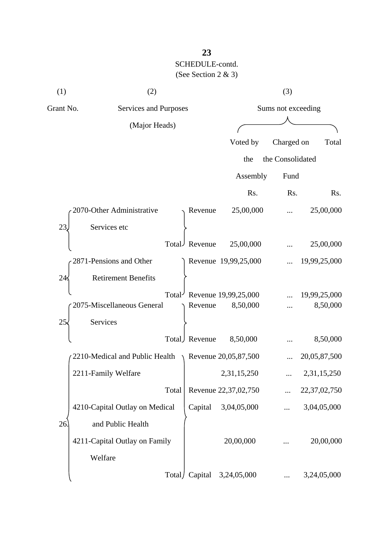| (1)       | (2)                            |               |                        | (3)                |                 |  |
|-----------|--------------------------------|---------------|------------------------|--------------------|-----------------|--|
| Grant No. | Services and Purposes          |               |                        | Sums not exceeding |                 |  |
|           | (Major Heads)                  |               |                        |                    |                 |  |
|           |                                |               | Voted by               | Charged on         | Total           |  |
|           |                                |               | the                    | the Consolidated   |                 |  |
|           |                                |               | Assembly               | Fund               |                 |  |
|           |                                |               | Rs.                    | Rs.                | Rs.             |  |
|           | 2070-Other Administrative      | Revenue       | 25,00,000              |                    | 25,00,000       |  |
| 23        | Services etc                   |               |                        |                    |                 |  |
|           |                                | Total Revenue | 25,00,000              |                    | 25,00,000       |  |
|           | 2871-Pensions and Other        |               | Revenue 19,99,25,000   |                    | 19,99,25,000    |  |
| 24        | <b>Retirement Benefits</b>     |               |                        |                    |                 |  |
|           | Total <sup></sup>              |               | Revenue 19,99,25,000   |                    | 19,99,25,000    |  |
|           | 2075-Miscellaneous General     | Revenue       | 8,50,000               |                    | 8,50,000        |  |
| 25        | Services                       |               |                        |                    |                 |  |
|           | Total)                         | Revenue       | 8,50,000               |                    | 8,50,000        |  |
|           | 2210-Medical and Public Health |               | Revenue $20,05,87,500$ |                    | 20,05,87,500    |  |
|           | 2211-Family Welfare            |               | 2,31,15,250            |                    | 2,31,15,250     |  |
|           | Total                          |               | Revenue 22,37,02,750   |                    | 22, 37, 02, 750 |  |
|           | 4210-Capital Outlay on Medical | Capital       | 3,04,05,000            |                    | 3,04,05,000     |  |
| 26        | and Public Health              |               |                        |                    |                 |  |
|           | 4211-Capital Outlay on Family  |               | 20,00,000              |                    | 20,00,000       |  |
|           | Welfare                        |               |                        |                    |                 |  |
|           | Total/                         | Capital       | 3,24,05,000            |                    | 3,24,05,000     |  |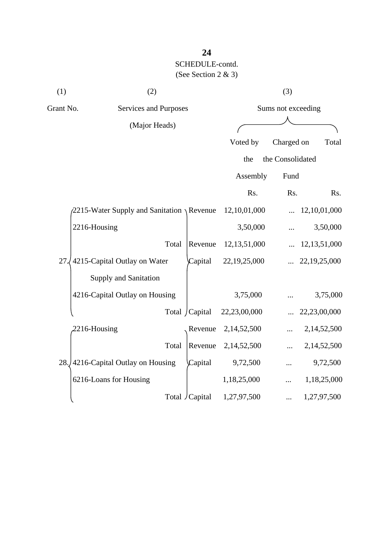| (1)       | (2)                                                 |                 |                 | (3)                |                 |
|-----------|-----------------------------------------------------|-----------------|-----------------|--------------------|-----------------|
| Grant No. | Services and Purposes                               |                 |                 | Sums not exceeding |                 |
|           | (Major Heads)                                       |                 |                 |                    |                 |
|           |                                                     |                 | Voted by        | Charged on         | Total           |
|           |                                                     |                 | the             | the Consolidated   |                 |
|           |                                                     |                 | Assembly        | Fund               |                 |
|           |                                                     |                 | Rs.             | Rs.                | Rs.             |
|           | $\sqrt{2215}$ -Water Supply and Sanitation \Revenue |                 | 12,10,01,000    |                    | 12,10,01,000    |
|           | 2216-Housing                                        |                 | 3,50,000        |                    | 3,50,000        |
|           | Total                                               | Revenue         | 12, 13, 51, 000 |                    | 12, 13, 51, 000 |
| 27        | 4215-Capital Outlay on Water                        | Capital         | 22,19,25,000    |                    | 22,19,25,000    |
|           | Supply and Sanitation                               |                 |                 |                    |                 |
|           | 4216-Capital Outlay on Housing                      |                 | 3,75,000        |                    | 3,75,000        |
|           |                                                     | Total / Capital | 22,23,00,000    |                    | 22,23,00,000    |
|           | 2216-Housing                                        | Revenue         | 2,14,52,500     |                    | 2,14,52,500     |
|           | Total                                               | Revenue         | 2,14,52,500     |                    | 2,14,52,500     |
|           | 28. 4216-Capital Outlay on Housing                  | Capital         | 9,72,500        |                    | 9,72,500        |
|           | 6216-Loans for Housing                              |                 | 1,18,25,000     |                    | 1,18,25,000     |
|           |                                                     | Total / Capital | 1,27,97,500     |                    | 1,27,97,500     |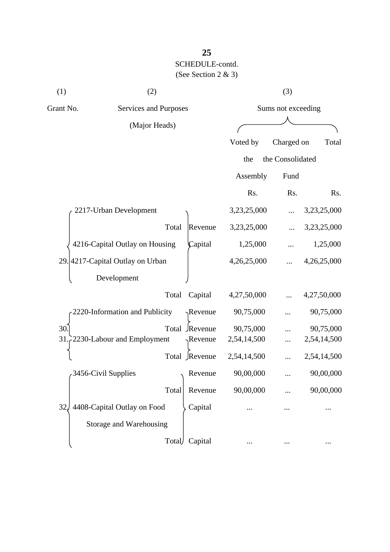| (1)             | (2)                              |                  |             | (3)                |             |
|-----------------|----------------------------------|------------------|-------------|--------------------|-------------|
| Grant No.       | Services and Purposes            |                  |             | Sums not exceeding |             |
|                 | (Major Heads)                    |                  |             |                    |             |
|                 |                                  |                  | Voted by    | Charged on         | Total       |
|                 |                                  |                  | the         | the Consolidated   |             |
|                 |                                  |                  | Assembly    | Fund               |             |
|                 |                                  |                  | Rs.         | Rs.                | Rs.         |
|                 | 2217-Urban Development           |                  | 3,23,25,000 |                    | 3,23,25,000 |
|                 | Total                            | Revenue          | 3,23,25,000 |                    | 3,23,25,000 |
|                 | 4216-Capital Outlay on Housing   | Capital          | 1,25,000    |                    | 1,25,000    |
|                 | 29. 4217-Capital Outlay on Urban |                  | 4,26,25,000 |                    | 4,26,25,000 |
|                 | Development                      |                  |             |                    |             |
|                 | Total                            | Capital          | 4,27,50,000 |                    | 4,27,50,000 |
|                 | 2220-Information and Publicity   | $\gamma$ Revenue | 90,75,000   |                    | 90,75,000   |
| 30              |                                  | Total Revenue    | 90,75,000   |                    | 90,75,000   |
| 31              | 2230-Labour and Employment       | $\sqrt{$ Revenue | 2,54,14,500 |                    | 2,54,14,500 |
|                 |                                  | Total Revenue    | 2,54,14,500 |                    | 2,54,14,500 |
|                 | 3456-Civil Supplies              | Revenue          | 90,00,000   |                    | 90,00,000   |
|                 | Total                            | Revenue          | 90,00,000   |                    | 90,00,000   |
| 32 <sub>1</sub> | 4408-Capital Outlay on Food      | Capital          |             |                    |             |
|                 | Storage and Warehousing          |                  |             |                    |             |
|                 | Total                            | Capital          |             |                    |             |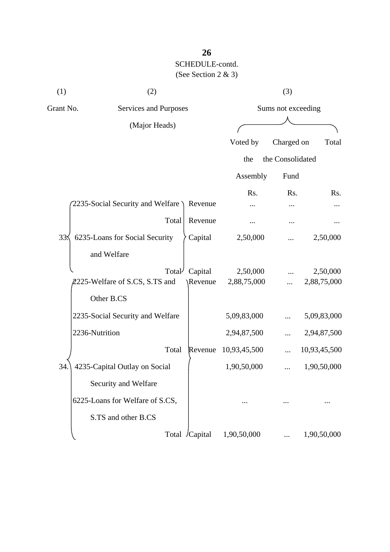| (1)             | (2)                              |                |              | (3)                |              |
|-----------------|----------------------------------|----------------|--------------|--------------------|--------------|
| Grant No.       | Services and Purposes            |                |              | Sums not exceeding |              |
|                 | (Major Heads)                    |                |              |                    |              |
|                 |                                  |                | Voted by     | Charged on         | Total        |
|                 |                                  |                | the          | the Consolidated   |              |
|                 |                                  |                | Assembly     | Fund               |              |
|                 |                                  |                | Rs.          | Rs.                | Rs.          |
|                 | 2235-Social Security and Welfare | Revenue        |              |                    |              |
|                 | Total                            | Revenue        |              |                    |              |
| 33 <sub>2</sub> | 6235-Loans for Social Security   | Capital        | 2,50,000     |                    | 2,50,000     |
|                 | and Welfare                      |                |              |                    |              |
|                 | Total <sup>/</sup>               | Capital        | 2,50,000     |                    | 2,50,000     |
|                 | 2225-Welfare of S.CS, S.TS and   | \Revenue       | 2,88,75,000  | .                  | 2,88,75,000  |
|                 | Other B.CS                       |                |              |                    |              |
|                 | 2235-Social Security and Welfare |                | 5,09,83,000  |                    | 5,09,83,000  |
|                 | 2236-Nutrition                   |                | 2,94,87,500  |                    | 2,94,87,500  |
|                 | Total                            | Revenue        | 10,93,45,500 |                    | 10,93,45,500 |
| 34.             | 4235-Capital Outlay on Social    |                | 1,90,50,000  |                    | 1,90,50,000  |
|                 | Security and Welfare             |                |              |                    |              |
|                 | 6225-Loans for Welfare of S.CS,  |                |              |                    |              |
|                 | S.TS and other B.CS              |                |              |                    |              |
|                 |                                  | Total /Capital | 1,90,50,000  |                    | 1,90,50,000  |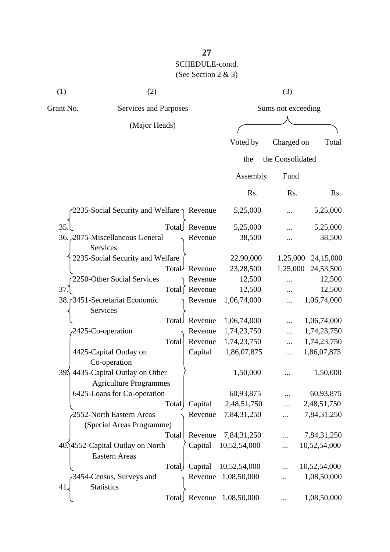| (1)       | (2)                                                   |          | (3)                |          |
|-----------|-------------------------------------------------------|----------|--------------------|----------|
| Grant No. | Services and Purposes                                 |          | Sums not exceeding |          |
|           | (Major Heads)                                         |          |                    |          |
|           |                                                       | Voted by | Charged on         | Total    |
|           |                                                       | the      | the Consolidated   |          |
|           |                                                       | Assembly | Fund               |          |
|           |                                                       | Rs.      | Rs.                | Rs.      |
|           | $-2235$ -Social Security and Welfare $\gamma$ Revenue | 5,25,000 | $\cdots$           | 5,25,000 |
| 35        | Revenue<br>Total                                      | 5,25,000 | $\ddotsc$          | 5,25,000 |

| 35.L                                   |                    | Total Revenue   | 5,25,000                    |            | 5,25,000     |
|----------------------------------------|--------------------|-----------------|-----------------------------|------------|--------------|
| 36. 2075-Miscellaneous General         |                    | Revenue         | 38,500                      |            | 38,500       |
| Services                               |                    |                 |                             |            |              |
| 2235-Social Security and Welfare       |                    |                 | 22,90,000                   | 1,25,000   | 24,15,000    |
|                                        | Total <sup>J</sup> | Revenue         | 23,28,500                   | 1,25,000   | 24,53,500    |
| 2250-Other Social Services             |                    | Revenue         | 12,500                      |            | 12,500       |
| 37.                                    |                    | Total [ Revenue | 12,500                      | .          | 12,500       |
| 38. 3451-Secretariat Economic          |                    | Revenue         | 1,06,74,000                 | $\dddotsc$ | 1,06,74,000  |
| Services                               |                    |                 |                             |            |              |
|                                        | Total              | Revenue         | 1,06,74,000                 | $\cdots$   | 1,06,74,000  |
| 2425-Co-operation                      |                    | Revenue         | 1,74,23,750                 | $\dddotsc$ | 1,74,23,750  |
|                                        | Total              | Revenue         | 1,74,23,750                 |            | 1,74,23,750  |
| 4425-Capital Outlay on                 |                    | Capital         | 1,86,07,875                 |            | 1,86,07,875  |
| Co-operation                           |                    |                 |                             |            |              |
| 4435-Capital Outlay on Other<br>$39\%$ |                    |                 | 1,50,000                    |            | 1,50,000     |
| <b>Agriculture Programmes</b>          |                    |                 |                             |            |              |
| 6425-Loans for Co-operation            |                    |                 | 60,93,875                   |            | 60,93,875    |
|                                        | Total              | Capital         | 2,48,51,750                 |            | 2,48,51,750  |
| 2552-North Eastern Areas               |                    | Revenue         | 7,84,31,250                 |            | 7,84,31,250  |
| (Special Areas Programme)              |                    |                 |                             |            |              |
|                                        | Total              | Revenue         | 7,84,31,250                 |            | 7,84,31,250  |
| 40.14552-Capital Outlay on North       |                    | Capital         | 10,52,54,000                | $\cdots$   | 10,52,54,000 |
| <b>Eastern Areas</b>                   |                    |                 |                             |            |              |
|                                        | Total              | Capital         | 10,52,54,000                | $\dddotsc$ | 10,52,54,000 |
| 3454-Census, Surveys and               |                    | Revenue         | 1,08,50,000                 | .          | 1,08,50,000  |
| <b>Statistics</b><br>41.               |                    |                 |                             |            |              |
|                                        |                    |                 | Total Revenue $1,08,50,000$ |            | 1,08,50,000  |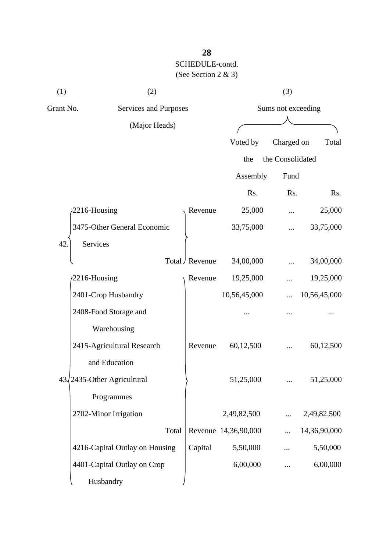| (1)       | (2)                            |       |               |                      | (3)                |              |  |
|-----------|--------------------------------|-------|---------------|----------------------|--------------------|--------------|--|
| Grant No. | Services and Purposes          |       |               |                      | Sums not exceeding |              |  |
|           | (Major Heads)                  |       |               |                      |                    |              |  |
|           |                                |       |               | Voted by             | Charged on         | Total        |  |
|           |                                |       |               | the                  | the Consolidated   |              |  |
|           |                                |       |               | Assembly             | Fund               |              |  |
|           |                                |       |               | Rs.                  | Rs.                | Rs.          |  |
|           | 2216-Housing                   |       | Revenue       | 25,000               |                    | 25,000       |  |
|           | 3475-Other General Economic    |       |               | 33,75,000            |                    | 33,75,000    |  |
| 42        | Services                       |       |               |                      |                    |              |  |
|           |                                |       | Total Revenue | 34,00,000            |                    | 34,00,000    |  |
|           | 2216-Housing                   |       | Revenue       | 19,25,000            |                    | 19,25,000    |  |
|           | 2401-Crop Husbandry            |       |               | 10,56,45,000         |                    | 10,56,45,000 |  |
|           | 2408-Food Storage and          |       |               |                      |                    |              |  |
|           | Warehousing                    |       |               |                      |                    |              |  |
|           | 2415-Agricultural Research     |       | Revenue       | 60,12,500            |                    | 60,12,500    |  |
|           | and Education                  |       |               |                      |                    |              |  |
|           | 43/2435-Other Agricultural     |       |               | 51,25,000            |                    | 51,25,000    |  |
|           | Programmes                     |       |               |                      |                    |              |  |
|           | 2702-Minor Irrigation          |       |               | 2,49,82,500          | $\cdots$           | 2,49,82,500  |  |
|           |                                | Total |               | Revenue 14,36,90,000 |                    | 14,36,90,000 |  |
|           | 4216-Capital Outlay on Housing |       | Capital       | 5,50,000             |                    | 5,50,000     |  |
|           | 4401-Capital Outlay on Crop    |       |               | 6,00,000             |                    | 6,00,000     |  |
|           | Husbandry                      |       |               |                      |                    |              |  |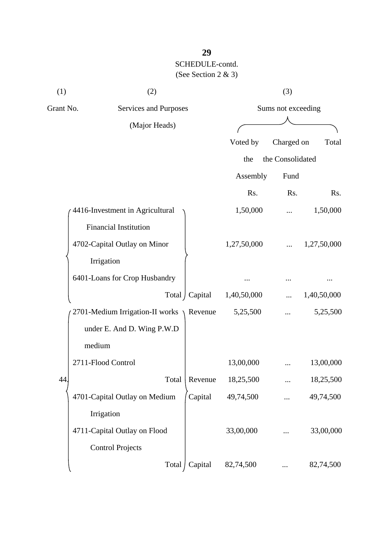| (1)       | (2)                                       |                 |             | (3)                |             |
|-----------|-------------------------------------------|-----------------|-------------|--------------------|-------------|
| Grant No. | Services and Purposes                     |                 |             | Sums not exceeding |             |
|           | (Major Heads)                             |                 |             |                    |             |
|           |                                           |                 | Voted by    | Charged on         | Total       |
|           |                                           |                 | the         | the Consolidated   |             |
|           |                                           |                 | Assembly    | Fund               |             |
|           |                                           |                 | Rs.         | Rs.                | Rs.         |
|           | 4416-Investment in Agricultural           |                 | 1,50,000    |                    | 1,50,000    |
|           | <b>Financial Institution</b>              |                 |             |                    |             |
|           | 4702-Capital Outlay on Minor              |                 | 1,27,50,000 |                    | 1,27,50,000 |
|           | Irrigation                                |                 |             |                    |             |
|           | 6401-Loans for Crop Husbandry             |                 |             |                    |             |
|           |                                           | Total / Capital | 1,40,50,000 |                    | 1,40,50,000 |
|           | 2701-Medium Irrigation-II works \ Revenue |                 | 5,25,500    |                    | 5,25,500    |
|           | under E. And D. Wing P.W.D                |                 |             |                    |             |
|           | medium                                    |                 |             |                    |             |
|           | 2711-Flood Control                        |                 | 13,00,000   |                    | 13,00,000   |
| 44        | Total                                     | Revenue         | 18,25,500   |                    | 18,25,500   |
|           | 4701-Capital Outlay on Medium             | Capital         | 49,74,500   |                    | 49,74,500   |
|           | Irrigation                                |                 |             |                    |             |
|           | 4711-Capital Outlay on Flood              |                 | 33,00,000   |                    | 33,00,000   |
|           | <b>Control Projects</b>                   |                 |             |                    |             |
|           | Total                                     | Capital         | 82,74,500   |                    | 82,74,500   |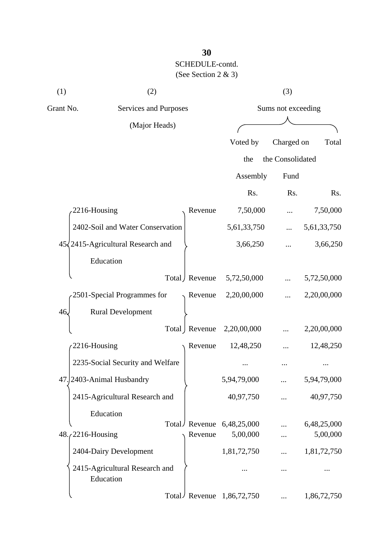| (1)                                | (2)                                         |                 |                    | (3)              |             |
|------------------------------------|---------------------------------------------|-----------------|--------------------|------------------|-------------|
| Grant No.<br>Services and Purposes |                                             |                 | Sums not exceeding |                  |             |
|                                    | (Major Heads)                               |                 |                    |                  |             |
|                                    |                                             |                 | Voted by           | Charged on       | Total       |
|                                    |                                             |                 | the                | the Consolidated |             |
|                                    |                                             |                 | Assembly           | Fund             |             |
|                                    |                                             |                 | Rs.                | Rs.              | Rs.         |
|                                    | 2216-Housing                                | Revenue         | 7,50,000           |                  | 7,50,000    |
|                                    | 2402-Soil and Water Conservation            |                 | 5,61,33,750        |                  | 5,61,33,750 |
|                                    | $45\sqrt{2415}$ -Agricultural Research and  |                 | 3,66,250           |                  | 3,66,250    |
|                                    | Education                                   |                 |                    |                  |             |
|                                    |                                             | Total / Revenue | 5,72,50,000        |                  | 5,72,50,000 |
|                                    | 2501-Special Programmes for                 | Revenue         | 2,20,00,000        |                  | 2,20,00,000 |
| 46.                                | <b>Rural Development</b>                    |                 |                    |                  |             |
|                                    |                                             | Total   Revenue | 2,20,00,000        |                  | 2,20,00,000 |
|                                    | 2216-Housing                                | Revenue         | 12,48,250          |                  | 12,48,250   |
|                                    | 2235-Social Security and Welfare            |                 |                    |                  |             |
|                                    | 47. 2403-Animal Husbandry                   |                 | 5,94,79,000        |                  | 5,94,79,000 |
|                                    | 2415-Agricultural Research and              |                 | 40,97,750          |                  | 40,97,750   |
|                                    | Education                                   |                 |                    |                  |             |
|                                    | Total/                                      | Revenue         | 6,48,25,000        |                  | 6,48,25,000 |
|                                    | $48.72216$ -Housing                         | Revenue         | 5,00,000           |                  | 5,00,000    |
|                                    | 2404-Dairy Development                      |                 | 1,81,72,750        |                  | 1,81,72,750 |
|                                    | 2415-Agricultural Research and<br>Education |                 |                    |                  |             |
|                                    |                                             | Total Revenue   | 1,86,72,750        |                  | 1,86,72,750 |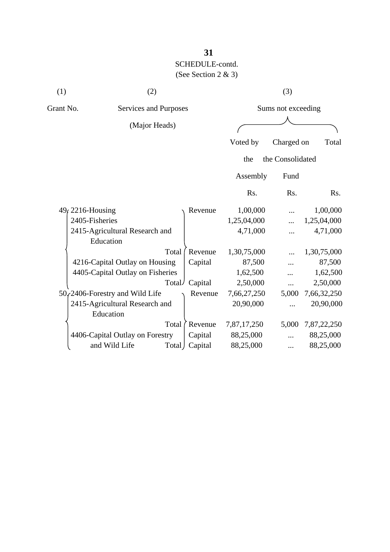| (1)       | (2)                              |         |             | (3)                |             |
|-----------|----------------------------------|---------|-------------|--------------------|-------------|
| Grant No. | Services and Purposes            |         |             | Sums not exceeding |             |
|           | (Major Heads)                    |         |             |                    |             |
|           |                                  |         | Voted by    | Charged on         | Total       |
|           |                                  |         | the         | the Consolidated   |             |
|           |                                  |         | Assembly    | Fund               |             |
|           |                                  |         | Rs.         | Rs.                | Rs.         |
|           | 49, 2216-Housing                 | Revenue | 1,00,000    |                    | 1,00,000    |
|           | 2405-Fisheries                   |         | 1,25,04,000 |                    | 1,25,04,000 |
|           | 2415-Agricultural Research and   |         | 4,71,000    |                    | 4,71,000    |
|           | Education                        |         |             |                    |             |
|           | Total                            | Revenue | 1,30,75,000 |                    | 1,30,75,000 |
|           | 4216-Capital Outlay on Housing   | Capital | 87,500      | .                  | 87,500      |
|           | 4405-Capital Outlay on Fisheries |         | 1,62,500    |                    | 1,62,500    |
|           | Total/                           | Capital | 2,50,000    |                    | 2,50,000    |
|           | 50, 2406-Forestry and Wild Life  | Revenue | 7,66,27,250 | 5,000              | 7,66,32,250 |
|           | 2415-Agricultural Research and   |         | 20,90,000   |                    | 20,90,000   |
|           | Education                        |         |             |                    |             |
|           | Total                            | Revenue | 7,87,17,250 | 5,000              | 7,87,22,250 |
|           | 4406-Capital Outlay on Forestry  | Capital | 88,25,000   |                    | 88,25,000   |
|           | and Wild Life<br>Total J         | Capital | 88,25,000   |                    | 88,25,000   |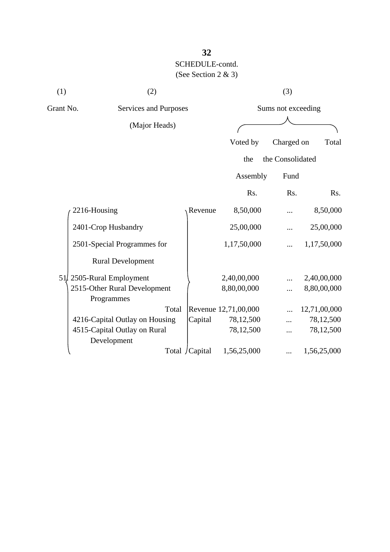| (1)       | (2)                                        |                 |                      | (3)                |              |
|-----------|--------------------------------------------|-----------------|----------------------|--------------------|--------------|
| Grant No. | Services and Purposes                      |                 |                      | Sums not exceeding |              |
|           | (Major Heads)                              |                 |                      |                    |              |
|           |                                            |                 | Voted by             | Charged on         | Total        |
|           |                                            |                 | the                  | the Consolidated   |              |
|           |                                            |                 | Assembly             | Fund               |              |
|           |                                            |                 | Rs.                  | Rs.                | Rs.          |
|           | 2216-Housing                               | Revenue         | 8,50,000             |                    | 8,50,000     |
|           | 2401-Crop Husbandry                        |                 | 25,00,000            |                    | 25,00,000    |
|           | 2501-Special Programmes for                |                 | 1,17,50,000          |                    | 1,17,50,000  |
|           | <b>Rural Development</b>                   |                 |                      |                    |              |
|           | 51. 2505-Rural Employment                  |                 | 2,40,00,000          |                    | 2,40,00,000  |
|           | 2515-Other Rural Development<br>Programmes |                 | 8,80,00,000          |                    | 8,80,00,000  |
|           | Total                                      |                 | Revenue 12,71,00,000 |                    | 12,71,00,000 |
|           | 4216-Capital Outlay on Housing             | Capital         | 78,12,500            |                    | 78,12,500    |
|           | 4515-Capital Outlay on Rural               |                 | 78,12,500            |                    | 78,12,500    |
|           | Development                                |                 |                      |                    |              |
|           |                                            | Total / Capital | 1,56,25,000          |                    | 1,56,25,000  |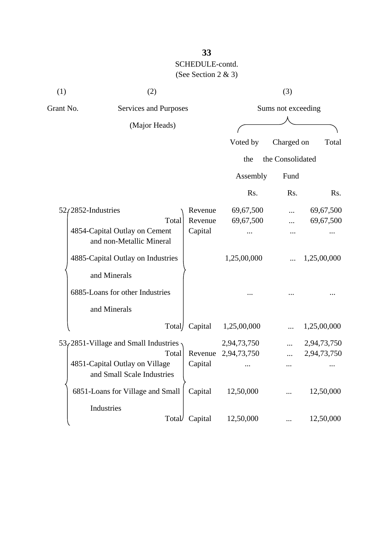| (1)                                                       | (2)                                                          |         |                     | (3)              |             |
|-----------------------------------------------------------|--------------------------------------------------------------|---------|---------------------|------------------|-------------|
| Grant No.                                                 | Services and Purposes                                        |         | Sums not exceeding  |                  |             |
|                                                           | (Major Heads)                                                |         |                     |                  |             |
|                                                           |                                                              |         |                     |                  |             |
|                                                           |                                                              |         | Voted by            | Charged on       | Total       |
|                                                           |                                                              |         | the                 | the Consolidated |             |
|                                                           |                                                              |         | Assembly            | Fund             |             |
|                                                           |                                                              |         | Rs.                 | Rs.              | Rs.         |
|                                                           | $52/2852$ -Industries                                        | Revenue | 69,67,500           |                  | 69,67,500   |
|                                                           | Total                                                        | Revenue | 69,67,500           |                  | 69,67,500   |
| 4854-Capital Outlay on Cement<br>and non-Metallic Mineral | Capital                                                      |         |                     |                  |             |
|                                                           | 4885-Capital Outlay on Industries                            |         | 1,25,00,000         |                  | 1,25,00,000 |
|                                                           | and Minerals                                                 |         |                     |                  |             |
|                                                           | 6885-Loans for other Industries                              |         |                     |                  |             |
|                                                           | and Minerals                                                 |         |                     |                  |             |
|                                                           | Total/                                                       | Capital | 1,25,00,000         |                  | 1,25,00,000 |
|                                                           | $53/2851$ -Village and Small Industries                      |         | 2,94,73,750         |                  | 2,94,73,750 |
|                                                           | Total                                                        |         | Revenue 2,94,73,750 |                  | 2,94,73,750 |
|                                                           | 4851-Capital Outlay on Village<br>and Small Scale Industries | Capital |                     | $\cdots$         |             |
|                                                           | 6851-Loans for Village and Small                             | Capital | 12,50,000           |                  | 12,50,000   |
|                                                           | Industries                                                   |         |                     |                  |             |
|                                                           | Total                                                        | Capital | 12,50,000           |                  | 12,50,000   |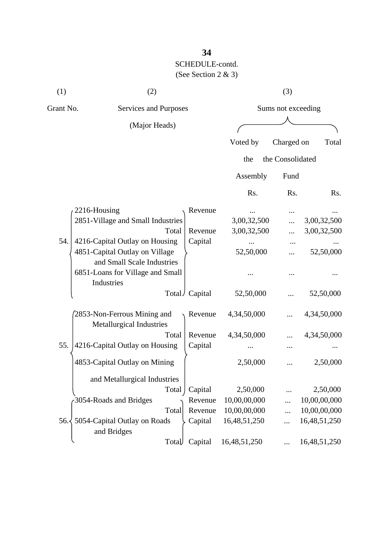| (1)       | (2)                                                            |                 |                         | (3)        |              |
|-----------|----------------------------------------------------------------|-----------------|-------------------------|------------|--------------|
| Grant No. | Services and Purposes                                          |                 | Sums not exceeding      |            |              |
|           | (Major Heads)                                                  |                 |                         |            |              |
|           |                                                                |                 | Voted by                | Charged on | Total        |
|           |                                                                |                 | the Consolidated<br>the |            |              |
|           |                                                                |                 | Assembly                | Fund       |              |
|           |                                                                |                 | Rs.                     | Rs.        | Rs.          |
|           | 2216-Housing                                                   | Revenue         |                         |            |              |
|           | 2851-Village and Small Industries                              |                 | 3,00,32,500             |            | 3,00,32,500  |
|           | Total                                                          | Revenue         | 3,00,32,500             |            | 3,00,32,500  |
| 54.       | 4216-Capital Outlay on Housing                                 | Capital         |                         |            |              |
|           | 4851-Capital Outlay on Village<br>and Small Scale Industries   |                 | 52,50,000               |            | 52,50,000    |
|           | 6851-Loans for Village and Small<br>Industries                 |                 |                         |            |              |
|           |                                                                | Total / Capital | 52,50,000               |            | 52,50,000    |
|           | 2853-Non-Ferrous Mining and<br><b>Metallurgical Industries</b> | Revenue         | 4,34,50,000             |            | 4,34,50,000  |
|           | Total                                                          | Revenue         | 4,34,50,000             |            | 4,34,50,000  |
| 55.       | 4216-Capital Outlay on Housing                                 | Capital         |                         |            |              |
|           | 4853-Capital Outlay on Mining                                  |                 | 2,50,000                |            | 2,50,000     |
|           | and Metallurgical Industries                                   |                 |                         |            |              |
|           | Total                                                          | Capital         | 2,50,000                |            | 2,50,000     |
|           | 3054-Roads and Bridges                                         | Revenue         | 10,00,00,000            |            | 10,00,00,000 |
|           | Total                                                          | Revenue         | 10,00,00,000            |            | 10,00,00,000 |
|           | 56. 5054-Capital Outlay on Roads<br>and Bridges                | Capital         | 16,48,51,250            |            | 16,48,51,250 |
|           | Total                                                          | Capital         | 16,48,51,250            |            | 16,48,51,250 |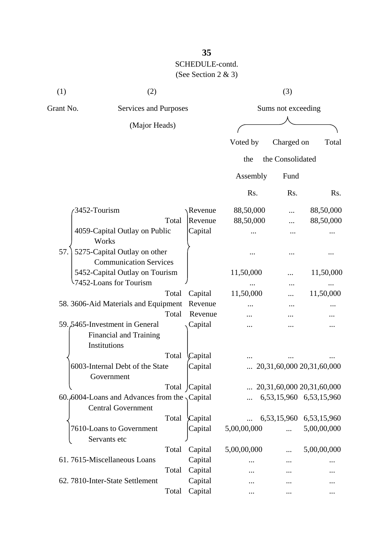| (1)       | (2)                                                                               |       |               |             | (3)                |                                    |
|-----------|-----------------------------------------------------------------------------------|-------|---------------|-------------|--------------------|------------------------------------|
| Grant No. | Services and Purposes                                                             |       |               |             | Sums not exceeding |                                    |
|           | (Major Heads)                                                                     |       |               |             |                    |                                    |
|           |                                                                                   |       |               | Voted by    | Charged on         | Total                              |
|           |                                                                                   |       |               | the         | the Consolidated   |                                    |
|           |                                                                                   |       |               |             |                    |                                    |
|           |                                                                                   |       |               | Assembly    | Fund               |                                    |
|           |                                                                                   |       |               | Rs.         | Rs.                | Rs.                                |
|           | 3452-Tourism                                                                      |       | Revenue       | 88,50,000   |                    | 88,50,000                          |
|           |                                                                                   | Total | Revenue       | 88,50,000   |                    | 88,50,000                          |
|           | 4059-Capital Outlay on Public<br>Works                                            |       | Capital       |             |                    |                                    |
| 57.       | 5275-Capital Outlay on other                                                      |       |               |             |                    |                                    |
|           | <b>Communication Services</b>                                                     |       |               |             |                    |                                    |
|           | 5452-Capital Outlay on Tourism                                                    |       |               | 11,50,000   |                    | 11,50,000                          |
|           | 7452-Loans for Tourism                                                            |       |               |             |                    |                                    |
|           |                                                                                   | Total | Capital       | 11,50,000   |                    | 11,50,000                          |
|           | 58. 3606-Aid Materials and Equipment                                              |       | Revenue       |             |                    |                                    |
|           |                                                                                   | Total | Revenue       |             |                    |                                    |
|           | 59.5465-Investment in General<br><b>Financial and Training</b><br>Institutions    |       | Capital       |             |                    |                                    |
|           |                                                                                   | Total | Capital       |             |                    |                                    |
|           | 6003-Internal Debt of the State<br>Government                                     |       | Capital       |             |                    | 20,31,60,000 20,31,60,000          |
|           |                                                                                   |       | Total Capital |             |                    | $\ldots$ 20,31,60,000 20,31,60,000 |
|           | 60.6004-Loans and Advances from the $\sqrt{$ Capital<br><b>Central Government</b> |       |               |             |                    | 6,53,15,960 6,53,15,960            |
|           |                                                                                   | Total | Capital       |             |                    | 6,53,15,960 6,53,15,960            |
|           | 7610-Loans to Government<br>Servants etc                                          |       | Capital       | 5,00,00,000 |                    | 5,00,00,000                        |
|           |                                                                                   | Total | Capital       | 5,00,00,000 |                    | 5,00,00,000                        |
|           | 61.7615-Miscellaneous Loans                                                       |       | Capital       |             |                    |                                    |
|           |                                                                                   | Total | Capital       |             |                    |                                    |
|           | 62. 7810-Inter-State Settlement                                                   |       | Capital       |             |                    |                                    |

Total Capital ... ... ... ... ...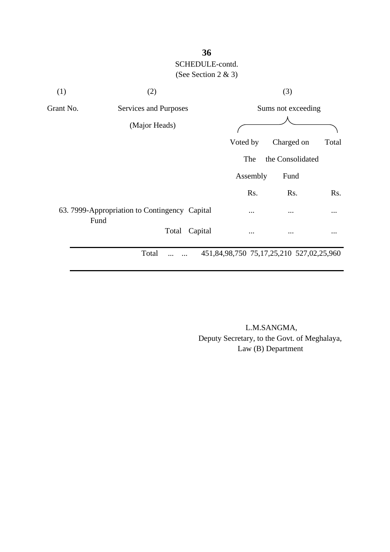

 L.M.SANGMA, Deputy Secretary, to the Govt. of Meghalaya, Law (B) Department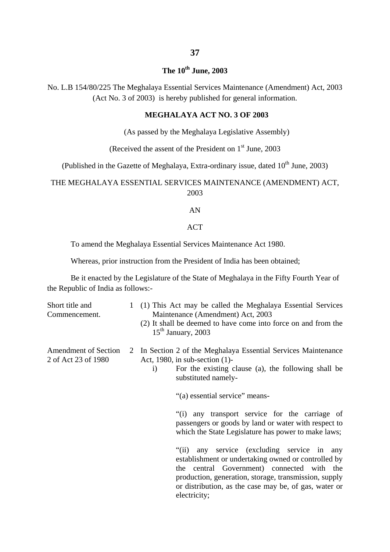# **37**

### **The 10th June, 2003**

No. L.B 154/80/225 The Meghalaya Essential Services Maintenance (Amendment) Act, 2003 (Act No. 3 of 2003) is hereby published for general information.

### **MEGHALAYA ACT NO. 3 OF 2003**

(As passed by the Meghalaya Legislative Assembly)

(Received the assent of the President on  $1<sup>st</sup>$  June, 2003

(Published in the Gazette of Meghalaya, Extra-ordinary issue, dated  $10^{th}$  June, 2003)

### THE MEGHALAYA ESSENTIAL SERVICES MAINTENANCE (AMENDMENT) ACT, 2003

#### AN

#### ACT

To amend the Meghalaya Essential Services Maintenance Act 1980.

Whereas, prior instruction from the President of India has been obtained;

Be it enacted by the Legislature of the State of Meghalaya in the Fifty Fourth Year of the Republic of India as follows:-

| Short title and<br>Commencement.                   | 1 (1) This Act may be called the Meghalaya Essential Services<br>Maintenance (Amendment) Act, 2003<br>(2) It shall be deemed to have come into force on and from the<br>$15th$ January, 2003                                                                                                   |
|----------------------------------------------------|------------------------------------------------------------------------------------------------------------------------------------------------------------------------------------------------------------------------------------------------------------------------------------------------|
| <b>Amendment of Section</b><br>2 of Act 23 of 1980 | 2 In Section 2 of the Meghalaya Essential Services Maintenance<br>Act, 1980, in sub-section (1)-<br>For the existing clause (a), the following shall be<br>$\mathbf{i}$<br>substituted namely-<br>"(a) essential service" means-                                                               |
|                                                    | "(i) any transport service for the carriage of<br>passengers or goods by land or water with respect to<br>which the State Legislature has power to make laws;                                                                                                                                  |
|                                                    | any service (excluding service in any<br>$\degree$ (ii)<br>establishment or undertaking owned or controlled by<br>the central Government) connected with the<br>production, generation, storage, transmission, supply<br>or distribution, as the case may be, of gas, water or<br>electricity; |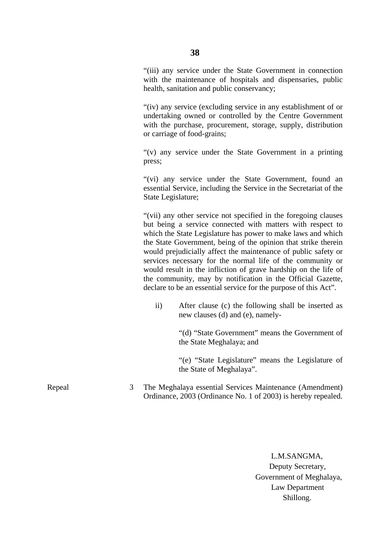"(iii) any service under the State Government in connection with the maintenance of hospitals and dispensaries, public health, sanitation and public conservancy;

"(iv) any service (excluding service in any establishment of or undertaking owned or controlled by the Centre Government with the purchase, procurement, storage, supply, distribution or carriage of food-grains;

"(v) any service under the State Government in a printing press;

"(vi) any service under the State Government, found an essential Service, including the Service in the Secretariat of the State Legislature;

"(vii) any other service not specified in the foregoing clauses but being a service connected with matters with respect to which the State Legislature has power to make laws and which the State Government, being of the opinion that strike therein would prejudicially affect the maintenance of public safety or services necessary for the normal life of the community or would result in the infliction of grave hardship on the life of the community, may by notification in the Official Gazette, declare to be an essential service for the purpose of this Act".

ii) After clause (c) the following shall be inserted as new clauses (d) and (e), namely-

> "(d) "State Government" means the Government of the State Meghalaya; and

> "(e) "State Legislature" means the Legislature of the State of Meghalaya".

The Meghalaya essential Services Maintenance (Amendment) Ordinance, 2003 (Ordinance No. 1 of 2003) is hereby repealed.

> L.M.SANGMA, Deputy Secretary, Government of Meghalaya, Law Department Shillong.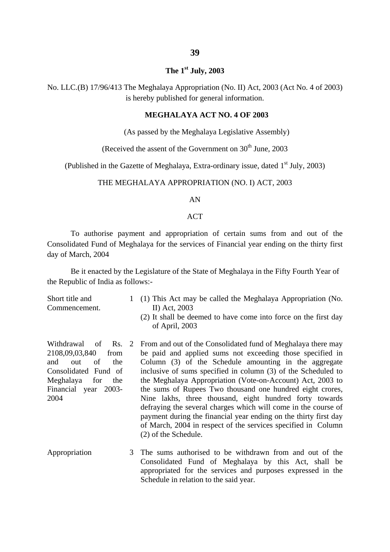### **39**

#### **The 1st July, 2003**

No. LLC.(B) 17/96/413 The Meghalaya Appropriation (No. II) Act, 2003 (Act No. 4 of 2003) is hereby published for general information.

#### **MEGHALAYA ACT NO. 4 OF 2003**

(As passed by the Meghalaya Legislative Assembly)

(Received the assent of the Government on  $30<sup>th</sup>$  June, 2003)

(Published in the Gazette of Meghalaya, Extra-ordinary issue, dated  $1<sup>st</sup>$  July, 2003)

#### THE MEGHALAYA APPROPRIATION (NO. I) ACT, 2003

#### AN

#### ACT

 To authorise payment and appropriation of certain sums from and out of the Consolidated Fund of Meghalaya for the services of Financial year ending on the thirty first day of March, 2004

Be it enacted by the Legislature of the State of Meghalaya in the Fifty Fourth Year of the Republic of India as follows:-

- Short title and Commencement. Withdrawal of 2108,09,03,840 from and out of the Consolidated Fund of Meghalaya for the Financial year 2003- 2004 1 (1) This Act may be called the Meghalaya Appropriation (No. Rs. 2 II) Act, 2003 (2) It shall be deemed to have come into force on the first day of April, 2003 From and out of the Consolidated fund of Meghalaya there may be paid and applied sums not exceeding those specified in Column (3) of the Schedule amounting in the aggregate inclusive of sums specified in column (3) of the Scheduled to the Meghalaya Appropriation (Vote-on-Account) Act, 2003 to the sums of Rupees Two thousand one hundred eight crores, Nine lakhs, three thousand, eight hundred forty towards defraying the several charges which will come in the course of payment during the financial year ending on the thirty first day of March, 2004 in respect of the services specified in Column (2) of the Schedule.
- Appropriation 3 The sums authorised to be withdrawn from and out of the Consolidated Fund of Meghalaya by this Act, shall be appropriated for the services and purposes expressed in the Schedule in relation to the said year.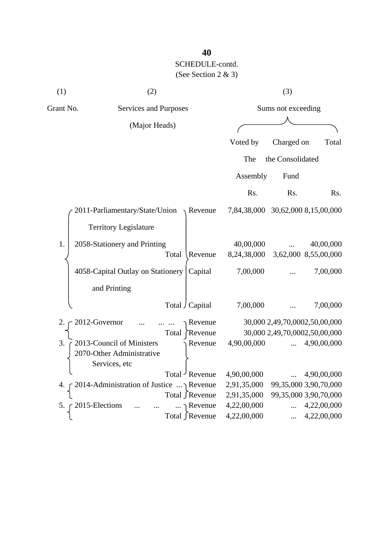| (1)       | (2)                                                                     |                   |                                   | (3)                |                               |
|-----------|-------------------------------------------------------------------------|-------------------|-----------------------------------|--------------------|-------------------------------|
| Grant No. | <b>Services and Purposes</b>                                            |                   |                                   | Sums not exceeding |                               |
|           | (Major Heads)                                                           |                   |                                   |                    |                               |
|           |                                                                         |                   | Voted by                          | Charged on         | Total                         |
|           |                                                                         |                   | The                               | the Consolidated   |                               |
|           |                                                                         |                   | Assembly                          | Fund               |                               |
|           |                                                                         |                   | Rs.                               | Rs.                | Rs.                           |
|           | 2011-Parliamentary/State/Union                                          | $\lambda$ Revenue | 7,84,38,000 30,62,000 8,15,00,000 |                    |                               |
|           | <b>Territory Legislature</b>                                            |                   |                                   |                    |                               |
| 1.        | 2058-Stationery and Printing                                            |                   | 40,00,000                         |                    | 40,00,000                     |
|           | Total                                                                   | Revenue           | 8,24,38,000                       |                    | 3,62,000 8,55,00,000          |
|           | 4058-Capital Outlay on Stationery                                       | Capital           | 7,00,000                          |                    | 7,00,000                      |
|           | and Printing                                                            |                   |                                   |                    |                               |
|           | Total / Capital                                                         |                   | 7,00,000                          |                    | 7,00,000                      |
| 2.        | 2012-Governor                                                           | Revenue           |                                   |                    | 30,000 2,49,70,0002,50,00,000 |
|           | Total                                                                   | Revenue           |                                   |                    | 30,000 2,49,70,0002,50,00,000 |
| 3.        | 2013-Council of Ministers<br>2070-Other Administrative<br>Services, etc | Revenue           | 4,90,00,000                       |                    | 4,90,00,000                   |
|           | Total Revenue                                                           |                   | 4,90,00,000                       |                    | 4,90,00,000                   |
|           | 2014-Administration of Justice  Revenue                                 |                   | 2,91,35,000                       |                    | 99,35,000 3,90,70,000         |
|           | Total ∫Revenue                                                          |                   | 2,91,35,000                       |                    | 99,35,000 3,90,70,000         |
| 5.        | 2015-Elections                                                          | Revenue           | 4,22,00,000                       |                    | 4,22,00,000                   |
|           | Total ∫Revenue                                                          |                   | 4,22,00,000                       | $\cdots$           | 4,22,00,000                   |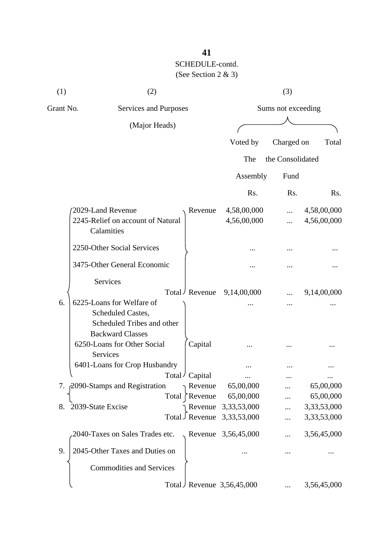| (1)       | (2)                                                                        |       |                   |                             | (3)                |                            |
|-----------|----------------------------------------------------------------------------|-------|-------------------|-----------------------------|--------------------|----------------------------|
| Grant No. | Services and Purposes                                                      |       |                   |                             | Sums not exceeding |                            |
|           | (Major Heads)                                                              |       |                   |                             |                    |                            |
|           |                                                                            |       |                   | Voted by                    | Charged on         | Total                      |
|           |                                                                            |       |                   | The                         | the Consolidated   |                            |
|           |                                                                            |       |                   | Assembly                    | Fund               |                            |
|           |                                                                            |       |                   |                             |                    |                            |
|           |                                                                            |       |                   | Rs.                         | Rs.                | R <sub>s</sub> .           |
|           | 2029-Land Revenue<br>2245-Relief on account of Natural<br>Calamities       |       | Revenue           | 4,58,00,000<br>4,56,00,000  | <br>               | 4,58,00,000<br>4,56,00,000 |
|           | 2250-Other Social Services                                                 |       |                   |                             |                    |                            |
|           | 3475-Other General Economic                                                |       |                   |                             |                    |                            |
|           | Services                                                                   |       | Total / Revenue   | 9,14,00,000                 |                    | 9,14,00,000                |
| 6.        | 6225-Loans for Welfare of                                                  |       |                   |                             |                    |                            |
|           | Scheduled Castes,<br>Scheduled Tribes and other<br><b>Backward Classes</b> |       |                   |                             |                    |                            |
|           | 6250-Loans for Other Social<br>Services                                    |       | Capital           |                             |                    |                            |
|           | 6401-Loans for Crop Husbandry                                              |       |                   |                             |                    |                            |
|           |                                                                            | Total | ' Capital         |                             |                    |                            |
|           | 7. 2090-Stamps and Registration                                            |       | Revenue           | 65,00,000                   |                    | 65,00,000                  |
|           |                                                                            | Total | $\bigcap$ Revenue | 65,00,000                   |                    | 65,00,000                  |
| 8.        | 2039-State Excise                                                          |       | Revenue           | 3,33,53,000                 |                    | 3,33,53,000                |
|           |                                                                            |       | Total Revenue     | 3,33,53,000                 |                    | 3,33,53,000                |
|           | 2040-Taxes on Sales Trades etc.                                            |       |                   | Revenue 3,56,45,000         |                    | 3,56,45,000                |
| 9.        | 2045-Other Taxes and Duties on                                             |       |                   |                             |                    |                            |
|           | <b>Commodities and Services</b>                                            |       |                   |                             |                    |                            |
|           |                                                                            |       |                   | Total Revenue $3,56,45,000$ |                    | 3,56,45,000                |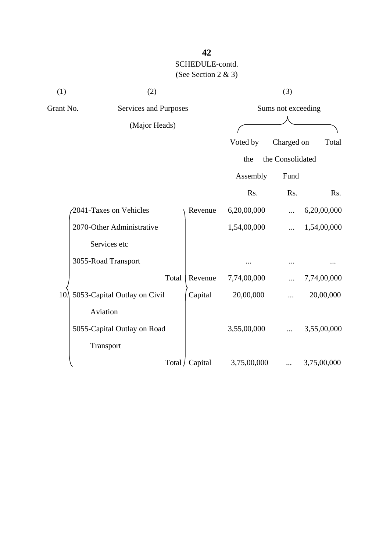| (1)       | (2)                          |                 |             | (3)                |             |
|-----------|------------------------------|-----------------|-------------|--------------------|-------------|
| Grant No. | <b>Services and Purposes</b> |                 |             | Sums not exceeding |             |
|           | (Major Heads)                |                 |             |                    |             |
|           |                              |                 | Voted by    | Charged on         | Total       |
|           |                              |                 | the         | the Consolidated   |             |
|           |                              |                 | Assembly    | Fund               |             |
|           |                              |                 | Rs.         | Rs.                | Rs.         |
|           | 2041-Taxes on Vehicles       | Revenue         | 6,20,00,000 |                    | 6,20,00,000 |
|           | 2070-Other Administrative    |                 | 1,54,00,000 |                    | 1,54,00,000 |
|           | Services etc                 |                 |             |                    |             |
|           | 3055-Road Transport          |                 |             |                    |             |
|           | Total                        | Revenue         | 7,74,00,000 |                    | 7,74,00,000 |
| 10.       | 5053-Capital Outlay on Civil | Capital         | 20,00,000   |                    | 20,00,000   |
|           | Aviation                     |                 |             |                    |             |
|           | 5055-Capital Outlay on Road  |                 | 3,55,00,000 |                    | 3,55,00,000 |
|           | Transport                    |                 |             |                    |             |
|           |                              | Total / Capital | 3,75,00,000 |                    | 3,75,00,000 |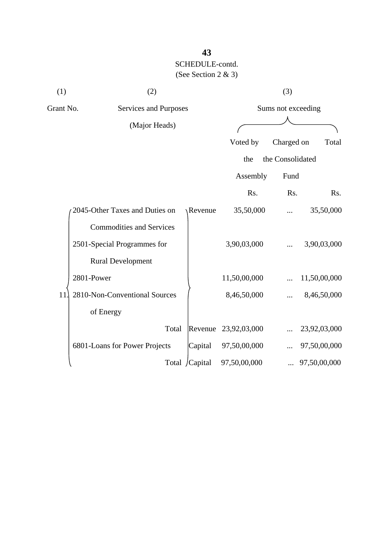| (1)       | (2)                             |                |              | (3)                |              |
|-----------|---------------------------------|----------------|--------------|--------------------|--------------|
| Grant No. | Services and Purposes           |                |              | Sums not exceeding |              |
|           | (Major Heads)                   |                |              |                    |              |
|           |                                 |                | Voted by     | Charged on         | Total        |
|           |                                 |                | the          | the Consolidated   |              |
|           |                                 |                | Assembly     | Fund               |              |
|           |                                 |                | Rs.          | Rs.                | Rs.          |
|           | 2045-Other Taxes and Duties on  | Revenue        | 35,50,000    |                    | 35,50,000    |
|           | <b>Commodities and Services</b> |                |              |                    |              |
|           | 2501-Special Programmes for     |                | 3,90,03,000  | $\cdots$           | 3,90,03,000  |
|           | <b>Rural Development</b>        |                |              |                    |              |
|           | 2801-Power                      |                | 11,50,00,000 |                    | 11,50,00,000 |
| 11        | 2810-Non-Conventional Sources   |                | 8,46,50,000  |                    | 8,46,50,000  |
|           | of Energy                       |                |              |                    |              |
|           | Total                           | Revenue        | 23,92,03,000 |                    | 23,92,03,000 |
|           | 6801-Loans for Power Projects   | Capital        | 97,50,00,000 |                    | 97,50,00,000 |
|           |                                 | Total /Capital | 97,50,00,000 |                    | 97,50,00,000 |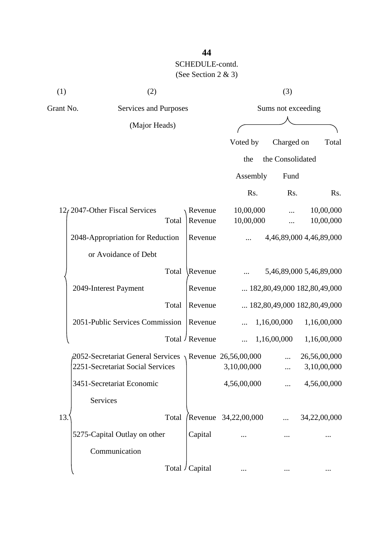| (1)       | (2)                                                            |                 |                      | (3)                |                                      |
|-----------|----------------------------------------------------------------|-----------------|----------------------|--------------------|--------------------------------------|
| Grant No. | Services and Purposes                                          |                 |                      | Sums not exceeding |                                      |
|           | (Major Heads)                                                  |                 |                      |                    |                                      |
|           |                                                                |                 | Voted by             | Charged on         | Total                                |
|           |                                                                |                 | the                  | the Consolidated   |                                      |
|           |                                                                |                 | Assembly             | Fund               |                                      |
|           |                                                                |                 | Rs.                  | Rs.                | R <sub>s</sub> .                     |
|           | 12, 2047-Other Fiscal Services                                 | Revenue         | 10,00,000            |                    | 10,00,000                            |
|           | Total                                                          | Revenue         | 10,00,000            |                    | 10,00,000                            |
|           | 2048-Appropriation for Reduction                               | Revenue         |                      |                    | 4,46,89,000 4,46,89,000              |
|           | or Avoidance of Debt                                           |                 |                      |                    |                                      |
|           | Total                                                          | Revenue         |                      |                    | 5,46,89,000 5,46,89,000              |
|           | 2049-Interest Payment                                          | Revenue         |                      |                    | $\ldots$ 182,80,49,000 182,80,49,000 |
|           | Total                                                          | Revenue         |                      |                    | $\ldots$ 182,80,49,000 182,80,49,000 |
|           | 2051-Public Services Commission                                | Revenue         |                      | 1,16,00,000        | 1,16,00,000                          |
|           |                                                                | Total / Revenue |                      | 1,16,00,000        | 1,16,00,000                          |
|           | $\beta$ 052-Secretariat General Services \Revenue 26,56,00,000 |                 |                      |                    | 26,56,00,000                         |
|           | 2251-Secretariat Social Services                               |                 | 3,10,00,000          |                    | 3,10,00,000                          |
|           | 3451-Secretariat Economic                                      |                 | 4,56,00,000          |                    | 4,56,00,000                          |
|           | Services                                                       |                 |                      |                    |                                      |
| 13.       | Total                                                          |                 | Revenue 34,22,00,000 |                    | 34,22,00,000                         |
|           | 5275-Capital Outlay on other                                   | Capital         |                      |                    |                                      |
|           | Communication                                                  |                 |                      |                    |                                      |
|           |                                                                | Total / Capital |                      |                    | $\cdots$                             |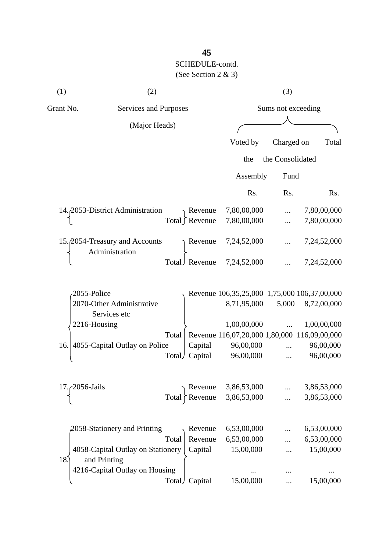| (1)               | (2)                                               |        |                 |                                              | (3)                |                  |
|-------------------|---------------------------------------------------|--------|-----------------|----------------------------------------------|--------------------|------------------|
| Grant No.         | Services and Purposes                             |        |                 |                                              | Sums not exceeding |                  |
|                   | (Major Heads)                                     |        |                 |                                              |                    |                  |
|                   |                                                   |        |                 | Voted by                                     | Charged on         | Total            |
|                   |                                                   |        |                 | the                                          | the Consolidated   |                  |
|                   |                                                   |        |                 |                                              |                    |                  |
|                   |                                                   |        |                 | Assembly                                     | Fund               |                  |
|                   |                                                   |        |                 | Rs.                                          | Rs.                | R <sub>s</sub> . |
|                   | 14. 2053-District Administration                  |        | Revenue         | 7,80,00,000                                  |                    | 7,80,00,000      |
|                   |                                                   |        | Total ∫ Revenue | 7,80,00,000                                  |                    | 7,80,00,000      |
|                   | 15. 2054-Treasury and Accounts<br>Administration  |        | Revenue         | 7,24,52,000                                  |                    | 7,24,52,000      |
|                   |                                                   |        | Total Revenue   | 7,24,52,000                                  |                    | 7,24,52,000      |
| 2055-Police       |                                                   |        |                 | Revenue 106,35,25,000 1,75,000 106,37,00,000 |                    |                  |
|                   | 2070-Other Administrative<br>Services etc         |        |                 | 8,71,95,000                                  | 5,000              | 8,72,00,000      |
|                   | 2216-Housing                                      |        |                 | 1,00,00,000                                  |                    | 1,00,00,000      |
|                   |                                                   | Total  |                 | Revenue 116,07,20,000 1,80,000 116,09,00,000 |                    |                  |
| 16.               | 4055-Capital Outlay on Police                     |        | Capital         | 96,00,000                                    |                    | 96,00,000        |
|                   |                                                   | Total) | Capital         | 96,00,000                                    |                    | 96,00,000        |
| $17.62056$ -Jails |                                                   |        | Revenue         | 3,86,53,000                                  |                    | 3,86,53,000      |
|                   |                                                   | Total  | Revenue         | 3,86,53,000                                  |                    | 3,86,53,000      |
|                   | $\lambda$ 2058-Stationery and Printing            |        | Revenue         | 6,53,00,000                                  |                    | 6,53,00,000      |
|                   |                                                   | Total  | Revenue         | 6,53,00,000                                  |                    | 6,53,00,000      |
| 18.               | 4058-Capital Outlay on Stationery<br>and Printing |        | Capital         | 15,00,000                                    |                    | 15,00,000        |
|                   | 4216-Capital Outlay on Housing                    |        |                 |                                              |                    |                  |
|                   |                                                   |        | Total Capital   | 15,00,000                                    |                    | 15,00,000        |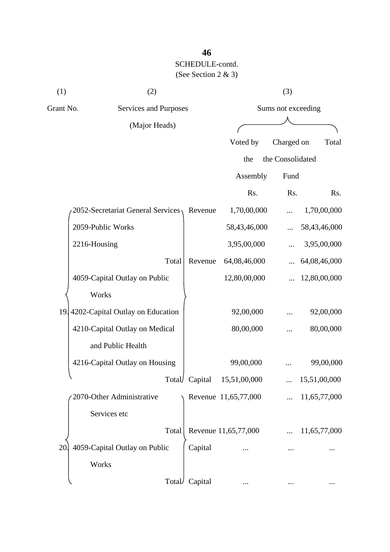| (1)       | (2)                                  |                |                      | (3)                |              |
|-----------|--------------------------------------|----------------|----------------------|--------------------|--------------|
| Grant No. | Services and Purposes                |                |                      | Sums not exceeding |              |
|           | (Major Heads)                        |                |                      |                    |              |
|           |                                      |                | Voted by             | Charged on         | Total        |
|           |                                      |                | the                  | the Consolidated   |              |
|           |                                      |                | Assembly             | Fund               |              |
|           |                                      |                | Rs.                  | Rs.                | Rs.          |
|           | 2052-Secretariat General Services    | Revenue        | 1,70,00,000          |                    | 1,70,00,000  |
|           | 2059-Public Works                    |                | 58,43,46,000         |                    | 58,43,46,000 |
|           | 2216-Housing                         |                | 3,95,00,000          |                    | 3,95,00,000  |
|           | Total                                | Revenue        | 64,08,46,000         |                    | 64,08,46,000 |
|           | 4059-Capital Outlay on Public        |                | 12,80,00,000         |                    | 12,80,00,000 |
|           | Works                                |                |                      |                    |              |
|           | 19. 4202-Capital Outlay on Education |                | 92,00,000            |                    | 92,00,000    |
|           | 4210-Capital Outlay on Medical       |                | 80,00,000            |                    | 80,00,000    |
|           | and Public Health                    |                |                      |                    |              |
|           | 4216-Capital Outlay on Housing       |                | 99,00,000            |                    | 99,00,000    |
|           |                                      | Total/ Capital | 15,51,00,000         |                    | 15,51,00,000 |
|           | 2070-Other Administrative            |                | Revenue 11,65,77,000 |                    | 11,65,77,000 |
|           | Services etc                         |                |                      |                    |              |
|           | Total                                |                | Revenue 11,65,77,000 |                    | 11,65,77,000 |
| 20        | 4059-Capital Outlay on Public        | Capital        |                      |                    |              |
|           | Works                                |                |                      |                    |              |
|           | Total                                | Capital        |                      |                    |              |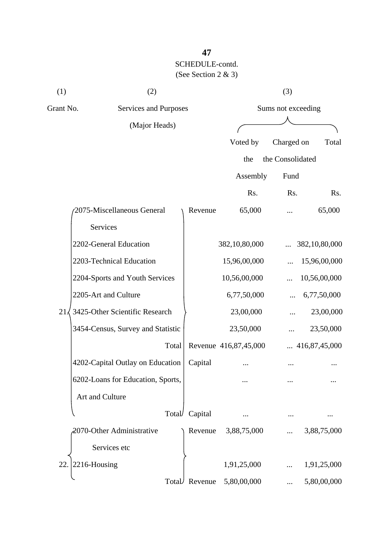| (1)              | (2)                               |         |                       | (3)                |                        |
|------------------|-----------------------------------|---------|-----------------------|--------------------|------------------------|
| Grant No.        | Services and Purposes             |         |                       | Sums not exceeding |                        |
|                  | (Major Heads)                     |         |                       |                    |                        |
|                  |                                   |         | Voted by              | Charged on         | Total                  |
|                  |                                   |         | the                   | the Consolidated   |                        |
|                  |                                   |         | Assembly              | Fund               |                        |
|                  |                                   |         | Rs.                   | Rs.                | Rs.                    |
|                  | 2075-Miscellaneous General        | Revenue | 65,000                |                    | 65,000                 |
|                  | Services                          |         |                       |                    |                        |
|                  | 2202-General Education            |         | 382,10,80,000         |                    | 382,10,80,000          |
|                  | 2203-Technical Education          |         | 15,96,00,000          |                    | 15,96,00,000           |
|                  | 2204-Sports and Youth Services    |         | 10,56,00,000          |                    | 10,56,00,000           |
|                  | 2205-Art and Culture              |         | 6,77,50,000           |                    | 6,77,50,000            |
| $21\overline{5}$ | 3425-Other Scientific Research    |         | 23,00,000             |                    | 23,00,000              |
|                  | 3454-Census, Survey and Statistic |         | 23,50,000             |                    | 23,50,000              |
|                  | Total                             |         | Revenue 416,87,45,000 |                    | $\ldots$ 416,87,45,000 |
|                  | 4202-Capital Outlay on Education  | Capital |                       |                    |                        |
|                  | 6202-Loans for Education, Sports, |         |                       |                    |                        |
|                  | Art and Culture                   |         |                       |                    |                        |
|                  | Total                             | Capital |                       |                    |                        |
|                  | 2070-Other Administrative         | Revenue | 3,88,75,000           |                    | 3,88,75,000            |
|                  | Services etc                      |         |                       |                    |                        |
| 22               | 2216-Housing                      |         | 1,91,25,000           |                    | 1,91,25,000            |
|                  | Total                             | Revenue | 5,80,00,000           |                    | 5,80,00,000            |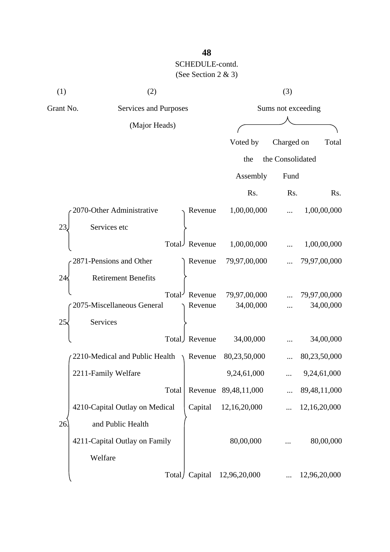| (1)       | (2)                            |                     |                      | (3)              |              |
|-----------|--------------------------------|---------------------|----------------------|------------------|--------------|
| Grant No. | Services and Purposes          | Sums not exceeding  |                      |                  |              |
|           | (Major Heads)                  |                     |                      |                  |              |
|           |                                |                     | Voted by             | Charged on       | Total        |
|           |                                |                     | the                  | the Consolidated |              |
|           |                                |                     | Assembly             | Fund             |              |
|           |                                |                     | Rs.                  | Rs.              | Rs.          |
|           | 2070-Other Administrative      | Revenue             | 1,00,00,000          |                  | 1,00,00,000  |
| 23        | Services etc                   |                     |                      |                  |              |
|           | Total                          | Revenue             | 1,00,00,000          |                  | 1,00,00,000  |
|           | 2871-Pensions and Other        | Revenue             | 79,97,00,000         |                  | 79,97,00,000 |
| 24        | <b>Retirement Benefits</b>     |                     |                      |                  |              |
|           | Total <sup>-</sup>             | Revenue             | 79,97,00,000         |                  | 79,97,00,000 |
|           | 2075-Miscellaneous General     | Revenue             | 34,00,000            |                  | 34,00,000    |
| 25        | Services                       |                     |                      |                  |              |
|           | Total)                         | Revenue             | 34,00,000            |                  | 34,00,000    |
|           | 2210-Medical and Public Health | $\setminus$ Revenue | 80,23,50,000         |                  | 80,23,50,000 |
|           | 2211-Family Welfare            |                     | 9,24,61,000          |                  | 9,24,61,000  |
|           | Total                          |                     | Revenue 89,48,11,000 |                  | 89,48,11,000 |
|           | 4210-Capital Outlay on Medical | Capital             | 12,16,20,000         |                  | 12,16,20,000 |
| 26        | and Public Health              |                     |                      |                  |              |
|           | 4211-Capital Outlay on Family  |                     | 80,00,000            |                  | 80,00,000    |
|           | Welfare                        |                     |                      |                  |              |
|           | Total/                         | Capital             | 12,96,20,000         |                  | 12,96,20,000 |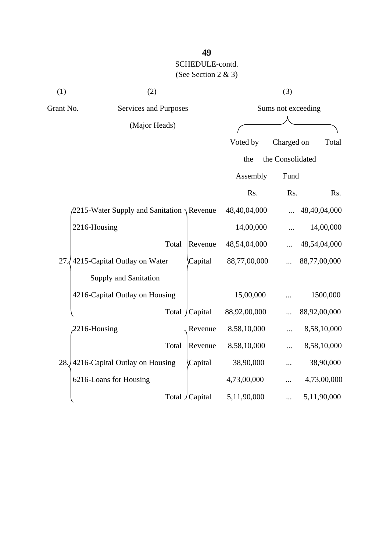| (1)       | (2)                                          |                 |              | (3)                |              |
|-----------|----------------------------------------------|-----------------|--------------|--------------------|--------------|
| Grant No. | Services and Purposes                        |                 |              | Sums not exceeding |              |
|           | (Major Heads)                                |                 |              |                    |              |
|           |                                              |                 | Voted by     | Charged on         | Total        |
|           |                                              |                 | the          | the Consolidated   |              |
|           |                                              |                 | Assembly     | Fund               |              |
|           |                                              |                 | Rs.          | Rs.                | Rs.          |
|           | $2215$ -Water Supply and Sanitation \Revenue |                 | 48,40,04,000 |                    | 48,40,04,000 |
|           | 2216-Housing                                 |                 | 14,00,000    |                    | 14,00,000    |
|           | Total                                        | Revenue         | 48,54,04,000 |                    | 48,54,04,000 |
| 27        | 4215-Capital Outlay on Water                 | Capital         | 88,77,00,000 |                    | 88,77,00,000 |
|           | <b>Supply and Sanitation</b>                 |                 |              |                    |              |
|           | 4216-Capital Outlay on Housing               |                 | 15,00,000    |                    | 1500,000     |
|           |                                              | Total / Capital | 88,92,00,000 |                    | 88,92,00,000 |
|           | 2216-Housing                                 | Revenue         | 8,58,10,000  |                    | 8,58,10,000  |
|           | Total                                        | Revenue         | 8,58,10,000  |                    | 8,58,10,000  |
|           | 28. 4216-Capital Outlay on Housing           | Capital         | 38,90,000    |                    | 38,90,000    |
|           | 6216-Loans for Housing                       |                 | 4,73,00,000  |                    | 4,73,00,000  |
|           |                                              | Total / Capital | 5,11,90,000  |                    | 5,11,90,000  |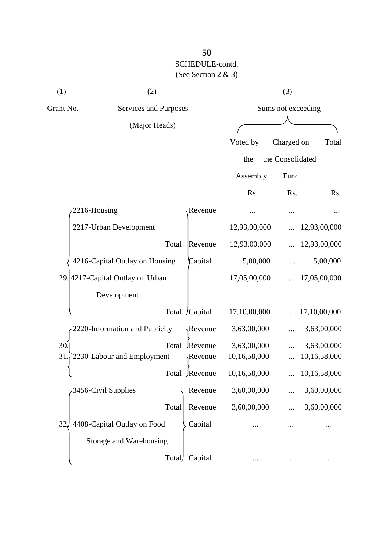| (1)       | (2)                              |       |                  |              | (3)                |              |  |
|-----------|----------------------------------|-------|------------------|--------------|--------------------|--------------|--|
| Grant No. | Services and Purposes            |       |                  |              | Sums not exceeding |              |  |
|           | (Major Heads)                    |       |                  |              |                    |              |  |
|           |                                  |       |                  | Voted by     | Charged on         | Total        |  |
|           |                                  |       |                  | the          | the Consolidated   |              |  |
|           |                                  |       |                  | Assembly     | Fund               |              |  |
|           |                                  |       |                  | Rs.          | Rs.                | Rs.          |  |
|           | 2216-Housing                     |       | Revenue          |              |                    |              |  |
|           | 2217-Urban Development           |       |                  | 12,93,00,000 |                    | 12,93,00,000 |  |
|           |                                  | Total | Revenue          | 12,93,00,000 |                    | 12,93,00,000 |  |
|           | 4216-Capital Outlay on Housing   |       | Capital          | 5,00,000     |                    | 5,00,000     |  |
|           | 29. 4217-Capital Outlay on Urban |       |                  | 17,05,00,000 |                    | 17,05,00,000 |  |
|           | Development                      |       |                  |              |                    |              |  |
|           |                                  |       | Total /Capital   | 17,10,00,000 |                    | 17,10,00,000 |  |
|           | 2220-Information and Publicity   |       | $\gamma$ Revenue | 3,63,00,000  |                    | 3,63,00,000  |  |
| 30.       |                                  | Total | Revenue          | 3,63,00,000  |                    | 3,63,00,000  |  |
| 31        | 2230-Labour and Employment       |       | $\neg$ Revenue   | 10,16,58,000 |                    | 10,16,58,000 |  |
|           |                                  | Total | Revenue          | 10,16,58,000 |                    | 10,16,58,000 |  |
|           | 3456-Civil Supplies              |       | Revenue          | 3,60,00,000  |                    | 3,60,00,000  |  |
|           | Total                            |       | Revenue          | 3,60,00,000  |                    | 3,60,00,000  |  |
| 32.       | 4408-Capital Outlay on Food      |       | Capital          |              |                    |              |  |
|           | Storage and Warehousing          |       |                  |              |                    |              |  |
|           |                                  | Total | Capital          |              |                    |              |  |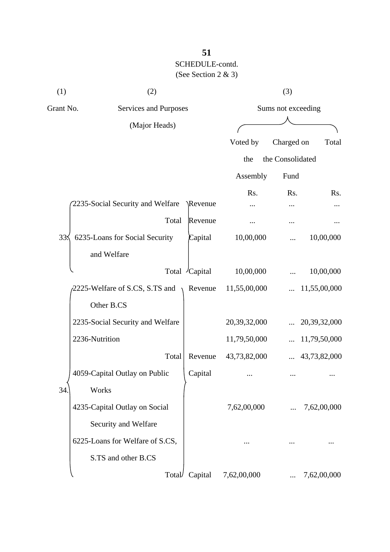| (1)                                                 | (2)                              |          |              | (3)                |                 |
|-----------------------------------------------------|----------------------------------|----------|--------------|--------------------|-----------------|
| Grant No.<br>Services and Purposes<br>(Major Heads) |                                  |          |              | Sums not exceeding |                 |
|                                                     |                                  |          |              |                    |                 |
|                                                     |                                  |          | Voted by     | Charged on         | Total           |
|                                                     |                                  |          | the          | the Consolidated   |                 |
|                                                     |                                  |          | Assembly     | Fund               |                 |
|                                                     | 2235-Social Security and Welfare | \Revenue | Rs.          | Rs.                | Rs.             |
|                                                     | Total                            | Revenue  |              |                    |                 |
| 33<                                                 | 6235-Loans for Social Security   | Capital  | 10,00,000    |                    | 10,00,000       |
|                                                     | and Welfare                      |          |              |                    |                 |
|                                                     | Total                            | /Capital | 10,00,000    |                    | 10,00,000       |
|                                                     | 2225-Welfare of S.CS, S.TS and   | Revenue  | 11,55,00,000 |                    | 11,55,00,000    |
|                                                     | Other B.CS                       |          |              |                    |                 |
|                                                     | 2235-Social Security and Welfare |          | 20,39,32,000 |                    | 20, 39, 32, 000 |
|                                                     | 2236-Nutrition                   |          | 11,79,50,000 |                    | 11,79,50,000    |
|                                                     | Total                            | Revenue  | 43,73,82,000 |                    | 43,73,82,000    |
|                                                     | 4059-Capital Outlay on Public    | Capital  |              |                    |                 |
| 34                                                  | Works                            |          |              |                    |                 |
|                                                     | 4235-Capital Outlay on Social    |          | 7,62,00,000  |                    | 7,62,00,000     |
|                                                     | Security and Welfare             |          |              |                    |                 |
|                                                     | 6225-Loans for Welfare of S.CS,  |          |              |                    |                 |
|                                                     | S.TS and other B.CS              |          |              |                    |                 |
|                                                     | Total/                           | Capital  | 7,62,00,000  |                    | 7,62,00,000     |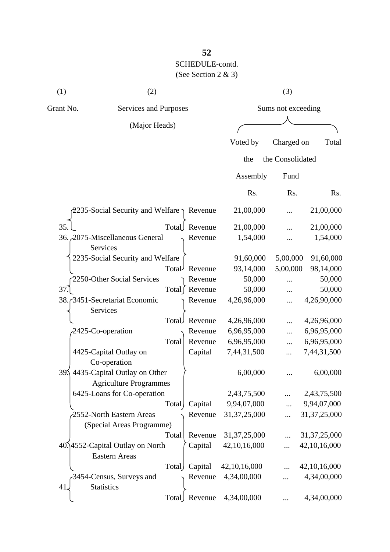| (1)       | (2)                   |          | (3)                |       |
|-----------|-----------------------|----------|--------------------|-------|
| Grant No. | Services and Purposes |          | Sums not exceeding |       |
|           | (Major Heads)         |          |                    |       |
|           |                       | Voted by | Charged on         | Total |

|                                                   |                |               | the             | the Consolidated |                 |
|---------------------------------------------------|----------------|---------------|-----------------|------------------|-----------------|
|                                                   |                |               | Assembly        | Fund             |                 |
|                                                   |                |               | Rs.             | Rs.              | Rs.             |
| 2235-Social Security and Welfare $\gamma$ Revenue |                |               | 21,00,000       |                  | 21,00,000       |
| 35.                                               | Total          | Revenue       | 21,00,000       |                  | 21,00,000       |
| 36. 2075-Miscellaneous General<br>Services        |                | Revenue       | 1,54,000        |                  | 1,54,000        |
| 2235-Social Security and Welfare                  |                |               | 91,60,000       | 5,00,000         | 91,60,000       |
|                                                   | Total          | Revenue       | 93,14,000       | 5,00,000         | 98,14,000       |
| 2250-Other Social Services                        |                | Revenue       | 50,000          |                  | 50,000          |
| $37$ .                                            | Total $\lceil$ | Revenue       | 50,000          | $\cdots$         | 50,000          |
| 38. 3451-Secretariat Economic                     |                | Revenue       | 4,26,96,000     | $\cdots$         | 4,26,90,000     |
| Services                                          |                |               |                 |                  |                 |
|                                                   | Total          | Revenue       | 4,26,96,000     |                  | 4,26,96,000     |
| 2425-Co-operation                                 |                | Revenue       | 6,96,95,000     |                  | 6,96,95,000     |
|                                                   | Total          | Revenue       | 6,96,95,000     |                  | 6,96,95,000     |
| 4425-Capital Outlay on                            |                | Capital       | 7,44,31,500     | .                | 7,44,31,500     |
| Co-operation                                      |                |               |                 |                  |                 |
| 39. 4435-Capital Outlay on Other                  |                |               | 6,00,000        |                  | 6,00,000        |
| <b>Agriculture Programmes</b>                     |                |               |                 |                  |                 |
| 6425-Loans for Co-operation                       |                |               | 2,43,75,500     |                  | 2,43,75,500     |
|                                                   | Total          | Capital       | 9,94,07,000     | .                | 9,94,07,000     |
| 2552-North Eastern Areas                          |                | Revenue       | 31, 37, 25, 000 | $\cdots$         | 31, 37, 25, 000 |
| (Special Areas Programme)                         |                |               |                 |                  |                 |
|                                                   | Total          | Revenue       | 31, 37, 25, 000 |                  | 31, 37, 25, 000 |
| 40.14552-Capital Outlay on North                  |                | Capital       | 42, 10, 16, 000 |                  | 42, 10, 16, 000 |
| <b>Eastern Areas</b>                              |                |               |                 |                  |                 |
|                                                   | Total)         | Capital       | 42,10,16,000    |                  | 42, 10, 16, 000 |
| -3454-Census, Surveys and                         |                | Revenue       | 4,34,00,000     |                  | 4,34,00,000     |
| <b>Statistics</b><br>41.                          |                |               |                 |                  |                 |
|                                                   |                | Total Revenue | 4,34,00,000     |                  | 4,34,00,000     |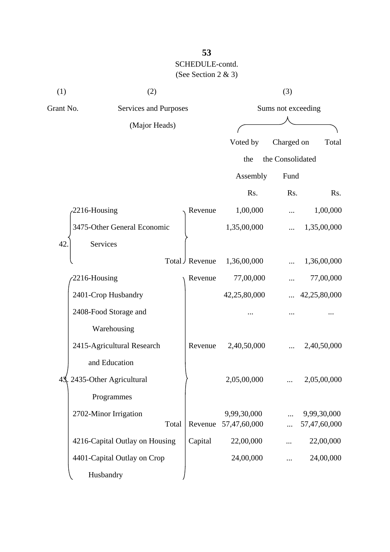| (1)       | (2)                            |       | (3)                |              |                  |              |
|-----------|--------------------------------|-------|--------------------|--------------|------------------|--------------|
| Grant No. | Services and Purposes          |       | Sums not exceeding |              |                  |              |
|           | (Major Heads)                  |       |                    |              |                  |              |
|           |                                |       |                    | Voted by     | Charged on       | Total        |
|           |                                |       |                    | the          | the Consolidated |              |
|           |                                |       |                    | Assembly     | Fund             |              |
|           |                                |       |                    | Rs.          | Rs.              | Rs.          |
|           | 2216-Housing                   |       | Revenue            | 1,00,000     |                  | 1,00,000     |
|           | 3475-Other General Economic    |       |                    | 1,35,00,000  |                  | 1,35,00,000  |
| 42        | Services                       |       |                    |              |                  |              |
|           |                                |       | Total J Revenue    | 1,36,00,000  |                  | 1,36,00,000  |
|           | 2216-Housing                   |       | Revenue            | 77,00,000    |                  | 77,00,000    |
|           | 2401-Crop Husbandry            |       |                    | 42,25,80,000 |                  | 42,25,80,000 |
|           | 2408-Food Storage and          |       |                    |              |                  |              |
|           | Warehousing                    |       |                    |              |                  |              |
|           | 2415-Agricultural Research     |       | Revenue            | 2,40,50,000  |                  | 2,40,50,000  |
|           | and Education                  |       |                    |              |                  |              |
|           | 43, 2435-Other Agricultural    |       |                    | 2,05,00,000  |                  | 2,05,00,000  |
|           | Programmes                     |       |                    |              |                  |              |
|           | 2702-Minor Irrigation          |       |                    | 9,99,30,000  |                  | 9,99,30,000  |
|           |                                | Total | Revenue            | 57,47,60,000 | $\ddots$         | 57,47,60,000 |
|           | 4216-Capital Outlay on Housing |       | Capital            | 22,00,000    |                  | 22,00,000    |
|           | 4401-Capital Outlay on Crop    |       |                    | 24,00,000    | $\cdots$         | 24,00,000    |
|           | Husbandry                      |       |                    |              |                  |              |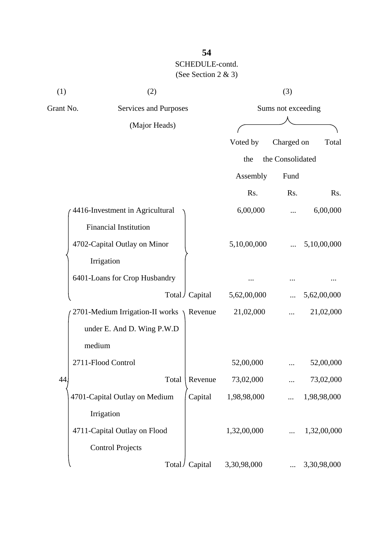| (1)       | (2)                             |                 |             | (3)                |             |  |  |
|-----------|---------------------------------|-----------------|-------------|--------------------|-------------|--|--|
| Grant No. | Services and Purposes           |                 |             | Sums not exceeding |             |  |  |
|           | (Major Heads)                   |                 |             |                    |             |  |  |
|           |                                 |                 | Voted by    | Charged on         | Total       |  |  |
|           |                                 |                 | the         | the Consolidated   |             |  |  |
|           |                                 |                 | Assembly    | Fund               |             |  |  |
|           |                                 |                 | Rs.         | Rs.                | Rs.         |  |  |
|           | 4416-Investment in Agricultural |                 | 6,00,000    |                    | 6,00,000    |  |  |
|           | <b>Financial Institution</b>    |                 |             |                    |             |  |  |
|           | 4702-Capital Outlay on Minor    |                 | 5,10,00,000 |                    | 5,10,00,000 |  |  |
|           | Irrigation                      |                 |             |                    |             |  |  |
|           | 6401-Loans for Crop Husbandry   |                 |             |                    |             |  |  |
|           |                                 | Total / Capital | 5,62,00,000 |                    | 5,62,00,000 |  |  |
|           | 2701-Medium Irrigation-II works | Revenue         | 21,02,000   |                    | 21,02,000   |  |  |
|           | under E. And D. Wing P.W.D      |                 |             |                    |             |  |  |
|           | medium                          |                 |             |                    |             |  |  |
|           | 2711-Flood Control              |                 | 52,00,000   |                    | 52,00,000   |  |  |
| 44        | Total                           | Revenue         | 73,02,000   | $\cdots$           | 73,02,000   |  |  |
|           | 4701-Capital Outlay on Medium   | Capital         | 1,98,98,000 |                    | 1,98,98,000 |  |  |
|           | Irrigation                      |                 |             |                    |             |  |  |
|           | 4711-Capital Outlay on Flood    |                 | 1,32,00,000 |                    | 1,32,00,000 |  |  |
|           | <b>Control Projects</b>         |                 |             |                    |             |  |  |
|           | Total/                          | Capital         | 3,30,98,000 |                    | 3,30,98,000 |  |  |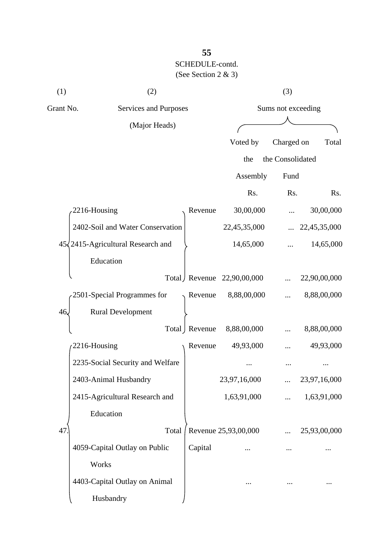| (1)       | (2)                                        |                 |                      | (3)                |              |  |
|-----------|--------------------------------------------|-----------------|----------------------|--------------------|--------------|--|
| Grant No. | Services and Purposes                      |                 |                      | Sums not exceeding |              |  |
|           | (Major Heads)                              |                 |                      |                    |              |  |
|           |                                            |                 | Voted by             | Charged on         | Total        |  |
|           |                                            |                 | the                  | the Consolidated   |              |  |
|           |                                            |                 | Assembly             | Fund               |              |  |
|           |                                            |                 | Rs.                  | Rs.                | Rs.          |  |
|           | 2216-Housing                               | Revenue         | 30,00,000            |                    | 30,00,000    |  |
|           | 2402-Soil and Water Conservation           |                 | 22,45,35,000         |                    | 22,45,35,000 |  |
|           | $45\sqrt{2415}$ -Agricultural Research and |                 | 14,65,000            |                    | 14,65,000    |  |
|           | Education                                  |                 |                      |                    |              |  |
|           |                                            | Total Revenue   | 22,90,00,000         |                    | 22,90,00,000 |  |
|           | 2501-Special Programmes for                | Revenue         | 8,88,00,000          |                    | 8,88,00,000  |  |
| 46.       | <b>Rural Development</b>                   |                 |                      |                    |              |  |
|           |                                            | Total   Revenue | 8,88,00,000          |                    | 8,88,00,000  |  |
|           | 2216-Housing                               | Revenue         | 49,93,000            |                    | 49,93,000    |  |
|           | 2235-Social Security and Welfare           |                 |                      |                    |              |  |
|           | 2403-Animal Husbandry                      |                 | 23,97,16,000         |                    | 23,97,16,000 |  |
|           | 2415-Agricultural Research and             |                 | 1,63,91,000          |                    | 1,63,91,000  |  |
|           | Education                                  |                 |                      |                    |              |  |
| 47        | Total                                      |                 | Revenue 25,93,00,000 |                    | 25,93,00,000 |  |
|           | 4059-Capital Outlay on Public              | Capital         |                      |                    |              |  |
|           | Works                                      |                 |                      |                    |              |  |
|           | 4403-Capital Outlay on Animal              |                 |                      |                    |              |  |
|           | Husbandry                                  |                 |                      |                    |              |  |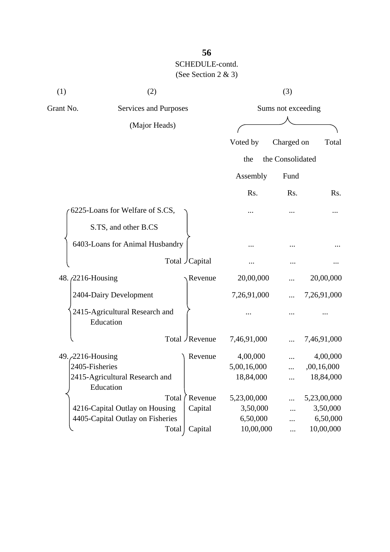| (1)                                                 | (2)                                         |       |                 | (3)         |                    |             |  |
|-----------------------------------------------------|---------------------------------------------|-------|-----------------|-------------|--------------------|-------------|--|
| Grant No.<br>Services and Purposes<br>(Major Heads) |                                             |       |                 |             | Sums not exceeding |             |  |
|                                                     |                                             |       |                 |             |                    |             |  |
|                                                     |                                             |       |                 | Voted by    | Charged on         | Total       |  |
|                                                     |                                             |       |                 | the         | the Consolidated   |             |  |
|                                                     |                                             |       |                 | Assembly    | Fund               |             |  |
|                                                     |                                             |       |                 | Rs.         | Rs.                | Rs.         |  |
|                                                     | 6225-Loans for Welfare of S.CS,             |       |                 |             |                    |             |  |
|                                                     | S.TS, and other B.CS                        |       |                 |             |                    |             |  |
|                                                     | 6403-Loans for Animal Husbandry             |       |                 |             |                    |             |  |
|                                                     |                                             |       | Total Capital   |             |                    |             |  |
| 48. <i>(2216-Housing)</i>                           |                                             |       | Revenue         | 20,00,000   |                    | 20,00,000   |  |
|                                                     | 2404-Dairy Development                      |       |                 | 7,26,91,000 |                    | 7,26,91,000 |  |
|                                                     | 2415-Agricultural Research and<br>Education |       |                 |             |                    |             |  |
|                                                     |                                             |       | Total / Revenue | 7,46,91,000 |                    | 7,46,91,000 |  |
| 49. 2216-Housing                                    |                                             |       | Revenue         | 4,00,000    |                    | 4,00,000    |  |
| 2405-Fisheries                                      |                                             |       |                 | 5,00,16,000 |                    | ,00,16,000  |  |
|                                                     | 2415-Agricultural Research and<br>Education |       |                 | 18,84,000   |                    | 18,84,000   |  |
|                                                     |                                             | Total | Revenue         | 5,23,00,000 | .                  | 5,23,00,000 |  |
|                                                     | 4216-Capital Outlay on Housing              |       | Capital         | 3,50,000    |                    | 3,50,000    |  |
|                                                     | 4405-Capital Outlay on Fisheries            |       |                 | 6,50,000    |                    | 6,50,000    |  |
|                                                     |                                             | Total | Capital         | 10,00,000   |                    | 10,00,000   |  |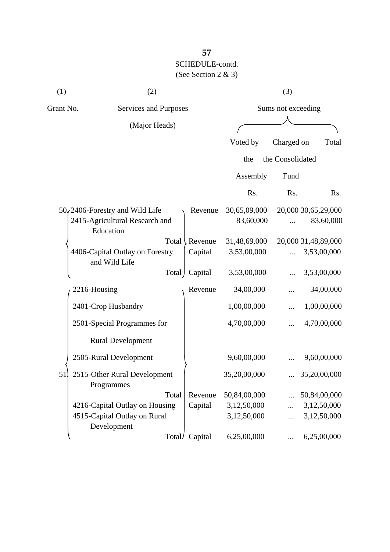| (1) | (2)                                                 |        |                    |              | (3)              |                     |
|-----|-----------------------------------------------------|--------|--------------------|--------------|------------------|---------------------|
|     | Grant No.<br>Services and Purposes<br>(Major Heads) |        | Sums not exceeding |              |                  |                     |
|     |                                                     |        |                    |              |                  |                     |
|     |                                                     |        |                    | Voted by     | Charged on       | Total               |
|     |                                                     |        |                    | the          | the Consolidated |                     |
|     |                                                     |        |                    | Assembly     | Fund             |                     |
|     |                                                     |        |                    | Rs.          | Rs.              | Rs.                 |
|     | $50$ <sub>s</sub> $2406$ -Forestry and Wild Life    |        | Revenue            | 30,65,09,000 |                  | 20,000 30,65,29,000 |
|     | 2415-Agricultural Research and<br>Education         |        |                    | 83,60,000    |                  | 83,60,000           |
|     |                                                     | Total  | Revenue            | 31,48,69,000 |                  | 20,000 31,48,89,000 |
|     | 4406-Capital Outlay on Forestry<br>and Wild Life    |        | Capital            | 3,53,00,000  |                  | 3,53,00,000         |
|     |                                                     | Total  | Capital            | 3,53,00,000  |                  | 3,53,00,000         |
|     | 2216-Housing                                        |        | Revenue            | 34,00,000    |                  | 34,00,000           |
|     | 2401-Crop Husbandry                                 |        |                    | 1,00,00,000  |                  | 1,00,00,000         |
|     | 2501-Special Programmes for                         |        |                    | 4,70,00,000  |                  | 4,70,00,000         |
|     | <b>Rural Development</b>                            |        |                    |              |                  |                     |
|     | 2505-Rural Development                              |        |                    | 9,60,00,000  |                  | 9,60,00,000         |
| 51  | 2515-Other Rural Development<br>Programmes          |        |                    | 35,20,00,000 |                  | 35,20,00,000        |
|     |                                                     | Total  | Revenue            | 50,84,00,000 |                  | 50,84,00,000        |
|     | 4216-Capital Outlay on Housing                      |        | Capital            | 3,12,50,000  |                  | 3,12,50,000         |
|     | 4515-Capital Outlay on Rural<br>Development         |        |                    | 3,12,50,000  |                  | 3,12,50,000         |
|     |                                                     | Total/ | Capital            | 6,25,00,000  |                  | 6,25,00,000         |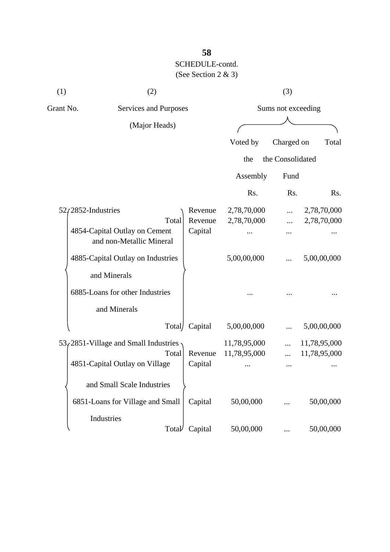| (1)                                                       | (2)                                     |         |                    | (3)              |              |
|-----------------------------------------------------------|-----------------------------------------|---------|--------------------|------------------|--------------|
| Grant No.                                                 | Services and Purposes                   |         | Sums not exceeding |                  |              |
|                                                           | (Major Heads)                           |         |                    |                  |              |
|                                                           |                                         |         | Voted by           | Charged on       | Total        |
|                                                           |                                         |         |                    |                  |              |
|                                                           |                                         |         | the                | the Consolidated |              |
|                                                           |                                         |         | Assembly           | Fund             |              |
|                                                           |                                         |         | Rs.                | Rs.              | Rs.          |
|                                                           | $52/2852$ -Industries                   | Revenue | 2,78,70,000        | $\cdots$         | 2,78,70,000  |
|                                                           | Total                                   | Revenue | 2,78,70,000        |                  | 2,78,70,000  |
| 4854-Capital Outlay on Cement<br>and non-Metallic Mineral | Capital                                 |         |                    |                  |              |
|                                                           | 4885-Capital Outlay on Industries       |         | 5,00,00,000        |                  | 5,00,00,000  |
|                                                           | and Minerals                            |         |                    |                  |              |
|                                                           | 6885-Loans for other Industries         |         |                    |                  |              |
|                                                           | and Minerals                            |         |                    |                  |              |
|                                                           | Total                                   | Capital | 5,00,00,000        |                  | 5,00,00,000  |
|                                                           | $53/2851$ -Village and Small Industries |         | 11,78,95,000       |                  | 11,78,95,000 |
|                                                           | Total                                   | Revenue | 11,78,95,000       |                  | 11,78,95,000 |
|                                                           | 4851-Capital Outlay on Village          | Capital |                    |                  |              |
|                                                           | and Small Scale Industries              |         |                    |                  |              |
|                                                           | 6851-Loans for Village and Small        | Capital | 50,00,000          |                  | 50,00,000    |
|                                                           | Industries                              |         |                    |                  |              |
|                                                           | Total                                   | Capital | 50,00,000          |                  | 50,00,000    |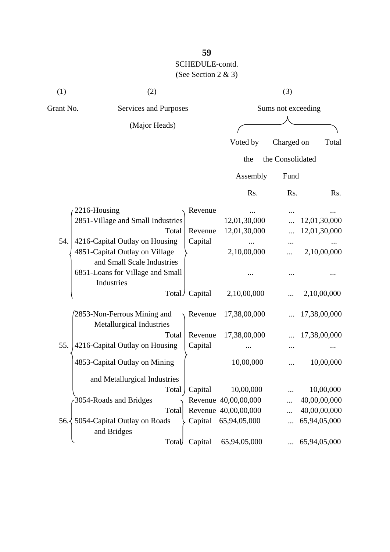| (1)           | (2)                                                          |                 |                      | (3)                |              |
|---------------|--------------------------------------------------------------|-----------------|----------------------|--------------------|--------------|
| Grant No.     | Services and Purposes                                        |                 |                      | Sums not exceeding |              |
|               | (Major Heads)                                                |                 |                      |                    |              |
|               |                                                              |                 | Voted by             | Charged on         | Total        |
|               |                                                              |                 | the                  | the Consolidated   |              |
|               |                                                              |                 | Assembly             | Fund               |              |
|               |                                                              |                 | Rs.                  | Rs.                | Rs.          |
|               | 2216-Housing                                                 | Revenue         |                      |                    |              |
|               | 2851-Village and Small Industries                            |                 | 12,01,30,000         |                    | 12,01,30,000 |
|               | Total                                                        | Revenue         | 12,01,30,000         |                    | 12,01,30,000 |
| 54.           | 4216-Capital Outlay on Housing                               | Capital         |                      |                    |              |
|               | 4851-Capital Outlay on Village<br>and Small Scale Industries |                 | 2,10,00,000          |                    | 2,10,00,000  |
|               | 6851-Loans for Village and Small<br>Industries               |                 |                      |                    |              |
|               |                                                              | Total / Capital | 2,10,00,000          |                    | 2,10,00,000  |
|               | 2853-Non-Ferrous Mining and<br>Metallurgical Industries      | Revenue         | 17,38,00,000         |                    | 17,38,00,000 |
|               | Total                                                        | Revenue         | 17,38,00,000         |                    | 17,38,00,000 |
| 55.           | 4216-Capital Outlay on Housing                               | Capital         |                      |                    |              |
|               | 4853-Capital Outlay on Mining                                |                 | 10,00,000            |                    | 10,00,000    |
|               | and Metallurgical Industries                                 |                 |                      |                    |              |
|               | Total                                                        | Capital         | 10,00,000            |                    | 10,00,000    |
|               | 3054-Roads and Bridges                                       |                 | Revenue 40,00,00,000 |                    | 40,00,00,000 |
|               | Total                                                        |                 | Revenue 40,00,00,000 |                    | 40,00,00,000 |
| $56. \langle$ | 5054-Capital Outlay on Roads<br>and Bridges                  | Capital         | 65,94,05,000         |                    | 65,94,05,000 |
|               | Total                                                        | Capital         | 65,94,05,000         |                    | 65,94,05,000 |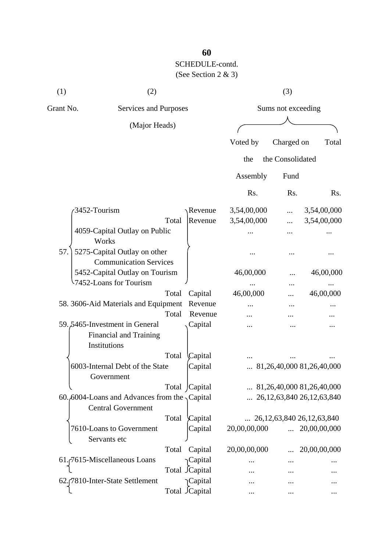| (1)          | (2)                                                                               |                       |                    |              | (3)                |                                    |  |  |
|--------------|-----------------------------------------------------------------------------------|-----------------------|--------------------|--------------|--------------------|------------------------------------|--|--|
| Grant No.    |                                                                                   | Services and Purposes |                    |              | Sums not exceeding |                                    |  |  |
|              | (Major Heads)                                                                     |                       |                    |              |                    |                                    |  |  |
|              |                                                                                   |                       |                    | Voted by     | Charged on         | Total                              |  |  |
|              |                                                                                   |                       |                    | the          | the Consolidated   |                                    |  |  |
|              |                                                                                   |                       |                    | Assembly     | Fund               |                                    |  |  |
|              |                                                                                   |                       |                    | Rs.          | Rs.                | Rs.                                |  |  |
| 3452-Tourism |                                                                                   |                       | Revenue            | 3,54,00,000  |                    | 3,54,00,000                        |  |  |
|              |                                                                                   | Total                 | Revenue            | 3,54,00,000  |                    | 3,54,00,000                        |  |  |
|              | 4059-Capital Outlay on Public<br>Works                                            |                       |                    |              |                    |                                    |  |  |
| 57.          | 5275-Capital Outlay on other                                                      |                       |                    |              |                    |                                    |  |  |
|              | <b>Communication Services</b>                                                     |                       |                    |              |                    |                                    |  |  |
|              | 5452-Capital Outlay on Tourism                                                    |                       |                    | 46,00,000    |                    | 46,00,000                          |  |  |
|              | 7452-Loans for Tourism                                                            |                       |                    |              |                    |                                    |  |  |
|              |                                                                                   | Total                 | Capital            | 46,00,000    |                    | 46,00,000                          |  |  |
|              | 58. 3606-Aid Materials and Equipment                                              |                       | Revenue            |              |                    |                                    |  |  |
|              |                                                                                   | Total                 | Revenue            |              |                    |                                    |  |  |
|              | 59.5465-Investment in General<br><b>Financial and Training</b>                    |                       | Capital            |              |                    |                                    |  |  |
|              | Institutions                                                                      |                       |                    |              |                    |                                    |  |  |
|              |                                                                                   | Total                 | Capital            |              |                    |                                    |  |  |
|              | 6003-Internal Debt of the State<br>Government                                     |                       | Capital            |              |                    | 81,26,40,000 81,26,40,000          |  |  |
|              |                                                                                   |                       | Total Capital      |              |                    | 81,26,40,000 81,26,40,000          |  |  |
|              | 60.6004-Loans and Advances from the $\sqrt{$ Capital<br><b>Central Government</b> |                       |                    |              |                    | 26, 12, 63, 840 26, 12, 63, 840    |  |  |
|              |                                                                                   | Total                 | Capital            |              |                    | $\ldots$ 26,12,63,840 26,12,63,840 |  |  |
|              | 7610-Loans to Government<br>Servants etc                                          |                       | Capital            | 20,00,00,000 |                    | $\ldots$ 20,00,00,000              |  |  |
|              |                                                                                   |                       |                    |              |                    |                                    |  |  |
|              |                                                                                   | Total                 | Capital            | 20,00,00,000 |                    | 20,00,00,000                       |  |  |
|              | 61.7615-Miscellaneous Loans                                                       |                       | <sub>Capital</sub> | .            |                    |                                    |  |  |
|              |                                                                                   |                       | Total Capital      |              |                    |                                    |  |  |
|              | 62. [7810-Inter-State Settlement                                                  |                       | Capital            |              |                    |                                    |  |  |
|              |                                                                                   |                       | Total JCapital     |              |                    |                                    |  |  |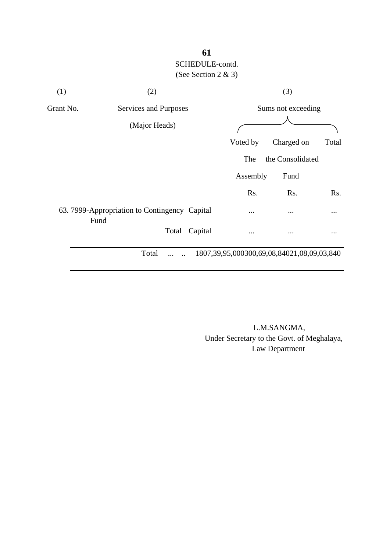| (1)       | (2)                                           |         | (3)                                                  |                  |           |  |
|-----------|-----------------------------------------------|---------|------------------------------------------------------|------------------|-----------|--|
| Grant No. | Services and Purposes                         |         | Sums not exceeding                                   |                  |           |  |
|           | (Major Heads)                                 |         |                                                      |                  |           |  |
|           |                                               |         | Voted by                                             | Charged on       | Total     |  |
|           |                                               |         | The                                                  | the Consolidated |           |  |
|           |                                               |         | Assembly                                             | Fund             |           |  |
|           |                                               |         | Rs.                                                  | Rs.              | Rs.       |  |
| Fund      | 63. 7999-Appropriation to Contingency Capital |         | $\cdots$                                             | $\cdots$         | $\cdots$  |  |
|           | Total                                         | Capital | $\ddotsc$                                            | $\cdots$         | $\ddotsc$ |  |
|           | Total<br>.                                    |         | 1807, 39, 95, 000300, 69, 08, 84021, 08, 09, 03, 840 |                  |           |  |

 L.M.SANGMA, Under Secretary to the Govt. of Meghalaya, Law Department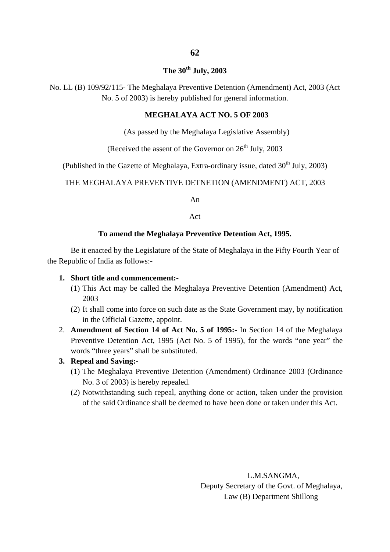### **The 30th July, 2003**

No. LL (B) 109/92/115- The Meghalaya Preventive Detention (Amendment) Act, 2003 (Act No. 5 of 2003) is hereby published for general information.

#### **MEGHALAYA ACT NO. 5 OF 2003**

(As passed by the Meghalaya Legislative Assembly)

(Received the assent of the Governor on  $26<sup>th</sup>$  July, 2003

(Published in the Gazette of Meghalaya, Extra-ordinary issue, dated  $30<sup>th</sup>$  July, 2003)

THE MEGHALAYA PREVENTIVE DETNETION (AMENDMENT) ACT, 2003

An

Act

#### **To amend the Meghalaya Preventive Detention Act, 1995.**

Be it enacted by the Legislature of the State of Meghalaya in the Fifty Fourth Year of the Republic of India as follows:-

#### **1. Short title and commencement:-**

- (1) This Act may be called the Meghalaya Preventive Detention (Amendment) Act, 2003
- (2) It shall come into force on such date as the State Government may, by notification in the Official Gazette, appoint.
- 2. **Amendment of Section 14 of Act No. 5 of 1995:-** In Section 14 of the Meghalaya Preventive Detention Act, 1995 (Act No. 5 of 1995), for the words "one year" the words "three years" shall be substituted.

#### **3. Repeal and Saving:-**

- (1) The Meghalaya Preventive Detention (Amendment) Ordinance 2003 (Ordinance No. 3 of 2003) is hereby repealed.
- (2) Notwithstanding such repeal, anything done or action, taken under the provision of the said Ordinance shall be deemed to have been done or taken under this Act.

 L.M.SANGMA, Deputy Secretary of the Govt. of Meghalaya, Law (B) Department Shillong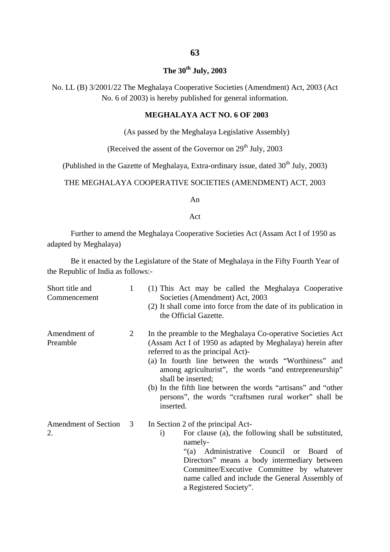### **The 30th July, 2003**

No. LL (B) 3/2001/22 The Meghalaya Cooperative Societies (Amendment) Act, 2003 (Act No. 6 of 2003) is hereby published for general information.

### **MEGHALAYA ACT NO. 6 OF 2003**

(As passed by the Meghalaya Legislative Assembly)

(Received the assent of the Governor on  $29<sup>th</sup>$  July, 2003)

(Published in the Gazette of Meghalaya, Extra-ordinary issue, dated  $30<sup>th</sup>$  July, 2003)

### THE MEGHALAYA COOPERATIVE SOCIETIES (AMENDMENT) ACT, 2003

An

#### Act

Further to amend the Meghalaya Cooperative Societies Act (Assam Act I of 1950 as adapted by Meghalaya)

Be it enacted by the Legislature of the State of Meghalaya in the Fifty Fourth Year of the Republic of India as follows:-

| Short title and<br>Commencement | 1 | (1) This Act may be called the Meghalaya Cooperative<br>Societies (Amendment) Act, 2003<br>(2) It shall come into force from the date of its publication in<br>the Official Gazette.                                                                                                                                                                                                                                                            |
|---------------------------------|---|-------------------------------------------------------------------------------------------------------------------------------------------------------------------------------------------------------------------------------------------------------------------------------------------------------------------------------------------------------------------------------------------------------------------------------------------------|
| Amendment of<br>Preamble        | 2 | In the preamble to the Meghalaya Co-operative Societies Act<br>(Assam Act I of 1950 as adapted by Meghalaya) herein after<br>referred to as the principal Act)-<br>(a) In fourth line between the words "Worthiness" and<br>among agriculturist", the words "and entrepreneurship"<br>shall be inserted;<br>(b) In the fifth line between the words "artisans" and "other<br>persons", the words "craftsmen rural worker" shall be<br>inserted. |
| Amendment of Section<br>2.      | 3 | In Section 2 of the principal Act-<br>For clause (a), the following shall be substituted,<br>$\rm i)$<br>namely-<br>"(a) Administrative Council or Board<br>- of<br>Directors" means a body intermediary between<br>Committee/Executive Committee by whatever<br>name called and include the General Assembly of<br>a Registered Society".                                                                                                      |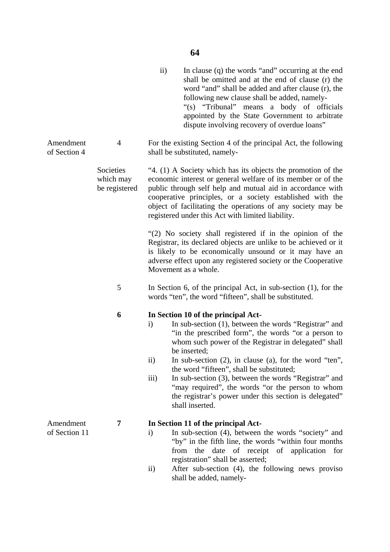|                           |                                         | $\mathbf{ii}$                                 | In clause (q) the words "and" occurring at the end<br>shall be omitted and at the end of clause (r) the<br>word "and" shall be added and after clause (r), the<br>following new clause shall be added, namely-<br>"(s) "Tribunal" means a body of officials<br>appointed by the State Government to arbitrate<br>dispute involving recovery of overdue loans"                                                                                                                                                                      |
|---------------------------|-----------------------------------------|-----------------------------------------------|------------------------------------------------------------------------------------------------------------------------------------------------------------------------------------------------------------------------------------------------------------------------------------------------------------------------------------------------------------------------------------------------------------------------------------------------------------------------------------------------------------------------------------|
| Amendment<br>of Section 4 | $\overline{4}$                          |                                               | For the existing Section 4 of the principal Act, the following<br>shall be substituted, namely-                                                                                                                                                                                                                                                                                                                                                                                                                                    |
|                           | Societies<br>which may<br>be registered |                                               | "4. (1) A Society which has its objects the promotion of the<br>economic interest or general welfare of its member or of the<br>public through self help and mutual aid in accordance with<br>cooperative principles, or a society established with the<br>object of facilitating the operations of any society may be<br>registered under this Act with limited liability.                                                                                                                                                        |
|                           |                                         |                                               | "(2) No society shall registered if in the opinion of the<br>Registrar, its declared objects are unlike to be achieved or it<br>is likely to be economically unsound or it may have an<br>adverse effect upon any registered society or the Cooperative<br>Movement as a whole.                                                                                                                                                                                                                                                    |
|                           | 5                                       |                                               | In Section 6, of the principal Act, in sub-section $(1)$ , for the<br>words "ten", the word "fifteen", shall be substituted.                                                                                                                                                                                                                                                                                                                                                                                                       |
|                           | 6                                       | $\mathbf{i}$<br>$\rm ii)$<br>$\overline{iii}$ | In Section 10 of the principal Act-<br>In sub-section (1), between the words "Registrar" and<br>"in the prescribed form", the words "or a person to<br>whom such power of the Registrar in delegated" shall<br>be inserted;<br>In sub-section $(2)$ , in clause $(a)$ , for the word "ten",<br>the word "fifteen", shall be substituted;<br>In sub-section (3), between the words "Registrar" and<br>"may required", the words "or the person to whom<br>the registrar's power under this section is delegated"<br>shall inserted. |
| Amendment                 | 7                                       |                                               | In Section 11 of the principal Act-                                                                                                                                                                                                                                                                                                                                                                                                                                                                                                |
| of Section 11             |                                         | $\mathbf{i}$                                  | In sub-section (4), between the words "society" and<br>"by" in the fifth line, the words "within four months"<br>the<br>date<br>of receipt of application<br>from<br>for<br>registration" shall be asserted;                                                                                                                                                                                                                                                                                                                       |
|                           |                                         | $\rm ii)$                                     | After sub-section (4), the following news proviso<br>shall be added, namely-                                                                                                                                                                                                                                                                                                                                                                                                                                                       |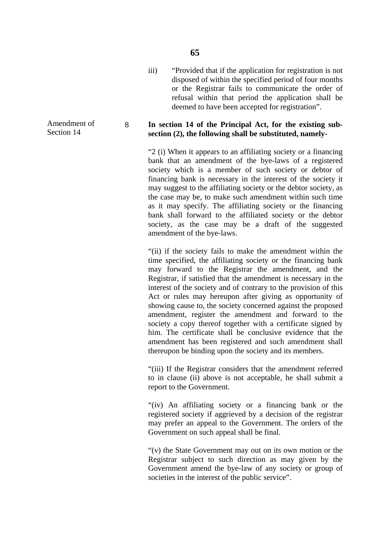iii) "Provided that if the application for registration is not disposed of within the specified period of four months or the Registrar fails to communicate the order of refusal within that period the application shall be deemed to have been accepted for registration".

#### 8 **In section 14 of the Principal Act, for the existing subsection (2), the following shall be substituted, namely-**

"2 (i) When it appears to an affiliating society or a financing bank that an amendment of the bye-laws of a registered society which is a member of such society or debtor of financing bank is necessary in the interest of the society it may suggest to the affiliating society or the debtor society, as the case may be, to make such amendment within such time as it may specify. The affiliating society or the financing bank shall forward to the affiliated society or the debtor society, as the case may be a draft of the suggested amendment of the bye-laws.

"(ii) if the society fails to make the amendment within the time specified, the affiliating society or the financing bank may forward to the Registrar the amendment, and the Registrar, if satisfied that the amendment is necessary in the interest of the society and of contrary to the provision of this Act or rules may hereupon after giving as opportunity of showing cause to, the society concerned against the proposed amendment, register the amendment and forward to the society a copy thereof together with a certificate signed by him. The certificate shall be conclusive evidence that the amendment has been registered and such amendment shall thereupon be binding upon the society and its members.

"(iii) If the Registrar considers that the amendment referred to in clause (ii) above is not acceptable, he shall submit a report to the Government.

"(iv) An affiliating society or a financing bank or the registered society if aggrieved by a decision of the registrar may prefer an appeal to the Government. The orders of the Government on such appeal shall be final.

"(v) the State Government may out on its own motion or the Registrar subject to such direction as may given by the Government amend the bye-law of any society or group of societies in the interest of the public service".

Amendment of Section 14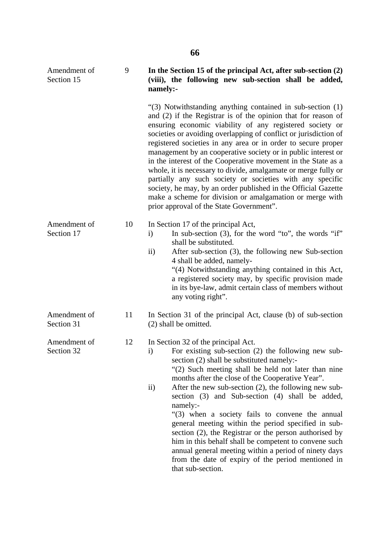| Amendment of<br>Section 15 | 9  | In the Section 15 of the principal Act, after sub-section (2)<br>(viii), the following new sub-section shall be added,<br>namely:-                                                                                                                                                                                                                                                                                                                                                                                                                                                                                                                                                                                                                                      |
|----------------------------|----|-------------------------------------------------------------------------------------------------------------------------------------------------------------------------------------------------------------------------------------------------------------------------------------------------------------------------------------------------------------------------------------------------------------------------------------------------------------------------------------------------------------------------------------------------------------------------------------------------------------------------------------------------------------------------------------------------------------------------------------------------------------------------|
|                            |    | "(3) Notwithstanding anything contained in sub-section (1)<br>and (2) if the Registrar is of the opinion that for reason of<br>ensuring economic viability of any registered society or<br>societies or avoiding overlapping of conflict or jurisdiction of<br>registered societies in any area or in order to secure proper<br>management by an cooperative society or in public interest or<br>in the interest of the Cooperative movement in the State as a<br>whole, it is necessary to divide, amalgamate or merge fully or<br>partially any such society or societies with any specific<br>society, he may, by an order published in the Official Gazette<br>make a scheme for division or amalgamation or merge with<br>prior approval of the State Government". |
| Amendment of<br>Section 17 | 10 | In Section 17 of the principal Act,<br>In sub-section $(3)$ , for the word "to", the words "if"<br>$\mathbf{i}$<br>shall be substituted.<br>After sub-section (3), the following new Sub-section<br>$\rm ii)$<br>4 shall be added, namely-<br>"(4) Notwithstanding anything contained in this Act,<br>a registered society may, by specific provision made<br>in its bye-law, admit certain class of members without<br>any voting right".                                                                                                                                                                                                                                                                                                                              |
| Amendment of<br>Section 31 | 11 | In Section 31 of the principal Act, clause (b) of sub-section<br>(2) shall be omitted.                                                                                                                                                                                                                                                                                                                                                                                                                                                                                                                                                                                                                                                                                  |
| Amendment of<br>Section 32 | 12 | In Section 32 of the principal Act.<br>For existing sub-section $(2)$ the following new sub-<br>$\mathbf{i}$<br>section (2) shall be substituted namely:-<br>"(2) Such meeting shall be held not later than nine<br>months after the close of the Cooperative Year".<br>After the new sub-section $(2)$ , the following new sub-<br>$\rm ii)$<br>section (3) and Sub-section (4) shall be added,<br>namely:-<br>"(3) when a society fails to convene the annual<br>general meeting within the period specified in sub-<br>section (2), the Registrar or the person authorised by<br>him in this behalf shall be competent to convene such<br>annual general meeting within a period of ninety days<br>from the date of expiry of the period mentioned in                |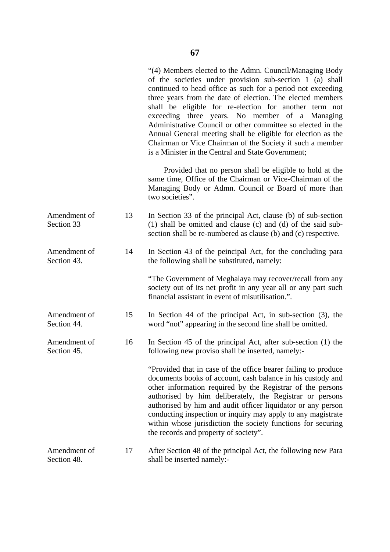|                             |    | "(4) Members elected to the Admn. Council/Managing Body<br>of the societies under provision sub-section 1 (a) shall<br>continued to head office as such for a period not exceeding<br>three years from the date of election. The elected members<br>shall be eligible for re-election for another term not<br>exceeding three years. No member of a Managing<br>Administrative Council or other committee so elected in the<br>Annual General meeting shall be eligible for election as the<br>Chairman or Vice Chairman of the Society if such a member<br>is a Minister in the Central and State Government; |
|-----------------------------|----|----------------------------------------------------------------------------------------------------------------------------------------------------------------------------------------------------------------------------------------------------------------------------------------------------------------------------------------------------------------------------------------------------------------------------------------------------------------------------------------------------------------------------------------------------------------------------------------------------------------|
|                             |    | Provided that no person shall be eligible to hold at the<br>same time, Office of the Chairman or Vice-Chairman of the<br>Managing Body or Admn. Council or Board of more than<br>two societies".                                                                                                                                                                                                                                                                                                                                                                                                               |
| Amendment of<br>Section 33  | 13 | In Section 33 of the principal Act, clause (b) of sub-section<br>(1) shall be omitted and clause (c) and (d) of the said sub-<br>section shall be re-numbered as clause (b) and (c) respective.                                                                                                                                                                                                                                                                                                                                                                                                                |
| Amendment of<br>Section 43. | 14 | In Section 43 of the peincipal Act, for the concluding para<br>the following shall be substituted, namely:                                                                                                                                                                                                                                                                                                                                                                                                                                                                                                     |
|                             |    | "The Government of Meghalaya may recover/recall from any<br>society out of its net profit in any year all or any part such<br>financial assistant in event of misutilisation.".                                                                                                                                                                                                                                                                                                                                                                                                                                |
| Amendment of<br>Section 44. | 15 | In Section 44 of the principal Act, in sub-section $(3)$ , the<br>word "not" appearing in the second line shall be omitted.                                                                                                                                                                                                                                                                                                                                                                                                                                                                                    |
| Amendment of<br>Section 45. | 16 | In Section 45 of the principal Act, after sub-section (1) the<br>following new proviso shall be inserted, namely:-                                                                                                                                                                                                                                                                                                                                                                                                                                                                                             |
|                             |    | "Provided that in case of the office bearer failing to produce<br>documents books of account, cash balance in his custody and<br>other information required by the Registrar of the persons<br>authorised by him deliberately, the Registrar or persons<br>authorised by him and audit officer liquidator or any person<br>conducting inspection or inquiry may apply to any magistrate<br>within whose jurisdiction the society functions for securing<br>the records and property of society".                                                                                                               |
| Amendment of<br>Section 48. | 17 | After Section 48 of the principal Act, the following new Para<br>shall be inserted namely:-                                                                                                                                                                                                                                                                                                                                                                                                                                                                                                                    |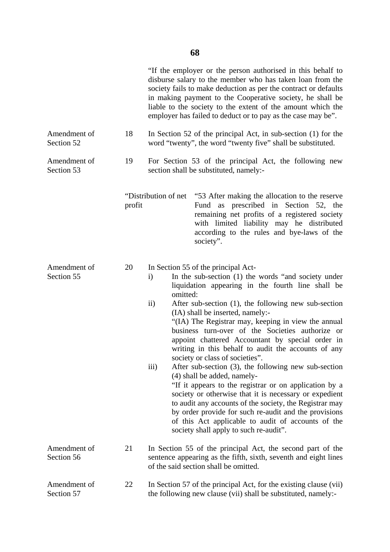|                            |        | "If the employer or the person authorised in this behalf to<br>disburse salary to the member who has taken loan from the<br>society fails to make deduction as per the contract or defaults<br>in making payment to the Cooperative society, he shall be<br>liable to the society to the extent of the amount which the<br>employer has failed to deduct or to pay as the case may be".                                                                                                                                                                                                                                                                                                                                                                                                                                                                                                                                                                                                  |  |  |
|----------------------------|--------|------------------------------------------------------------------------------------------------------------------------------------------------------------------------------------------------------------------------------------------------------------------------------------------------------------------------------------------------------------------------------------------------------------------------------------------------------------------------------------------------------------------------------------------------------------------------------------------------------------------------------------------------------------------------------------------------------------------------------------------------------------------------------------------------------------------------------------------------------------------------------------------------------------------------------------------------------------------------------------------|--|--|
| Amendment of<br>Section 52 | 18     | In Section 52 of the principal Act, in sub-section (1) for the<br>word "twenty", the word "twenty five" shall be substituted.                                                                                                                                                                                                                                                                                                                                                                                                                                                                                                                                                                                                                                                                                                                                                                                                                                                            |  |  |
| Amendment of<br>Section 53 | 19     | For Section 53 of the principal Act, the following new<br>section shall be substituted, namely:-                                                                                                                                                                                                                                                                                                                                                                                                                                                                                                                                                                                                                                                                                                                                                                                                                                                                                         |  |  |
|                            | profit | "Distribution of net "53 After making the allocation to the reserve<br>Fund as prescribed in Section 52, the<br>remaining net profits of a registered society<br>with limited liability may he distributed<br>according to the rules and bye-laws of the<br>society".                                                                                                                                                                                                                                                                                                                                                                                                                                                                                                                                                                                                                                                                                                                    |  |  |
| Amendment of<br>Section 55 | 20     | In Section 55 of the principal Act-<br>In the sub-section (1) the words "and society under<br>$\mathbf{i}$<br>liquidation appearing in the fourth line shall be<br>omitted:<br>$\mathbf{ii}$<br>After sub-section (1), the following new sub-section<br>(IA) shall be inserted, namely:-<br>"(IA) The Registrar may, keeping in view the annual<br>business turn-over of the Societies authorize or<br>appoint chattered Accountant by special order in<br>writing in this behalf to audit the accounts of any<br>society or class of societies".<br>iii)<br>After sub-section (3), the following new sub-section<br>(4) shall be added, namely-<br>"If it appears to the registrar or on application by a<br>society or otherwise that it is necessary or expedient<br>to audit any accounts of the society, the Registrar may<br>by order provide for such re-audit and the provisions<br>of this Act applicable to audit of accounts of the<br>society shall apply to such re-audit". |  |  |
| Amendment of<br>Section 56 | 21     | In Section 55 of the principal Act, the second part of the<br>sentence appearing as the fifth, sixth, seventh and eight lines<br>of the said section shall be omitted.                                                                                                                                                                                                                                                                                                                                                                                                                                                                                                                                                                                                                                                                                                                                                                                                                   |  |  |
| Amendment of<br>Section 57 | 22     | In Section 57 of the principal Act, for the existing clause (vii)<br>the following new clause (vii) shall be substituted, namely:-                                                                                                                                                                                                                                                                                                                                                                                                                                                                                                                                                                                                                                                                                                                                                                                                                                                       |  |  |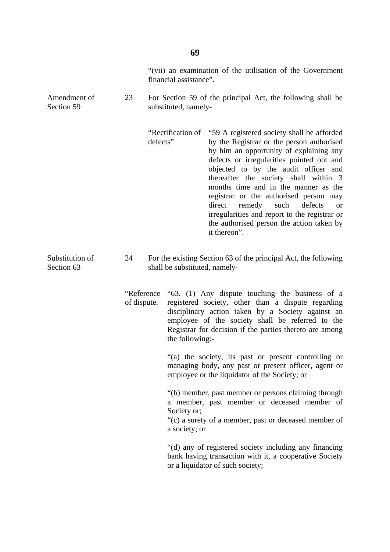|                               |                            | "(vii) an examination of the utilisation of the Government<br>financial assistance". |                                                                                     |                                                                                                                                                                                                                                                                                                                                                                                                                                                                                                                      |  |
|-------------------------------|----------------------------|--------------------------------------------------------------------------------------|-------------------------------------------------------------------------------------|----------------------------------------------------------------------------------------------------------------------------------------------------------------------------------------------------------------------------------------------------------------------------------------------------------------------------------------------------------------------------------------------------------------------------------------------------------------------------------------------------------------------|--|
| Amendment of<br>Section 59    | 23                         |                                                                                      | For Section 59 of the principal Act, the following shall be<br>substituted, namely- |                                                                                                                                                                                                                                                                                                                                                                                                                                                                                                                      |  |
|                               |                            | defects"                                                                             | "Rectification of                                                                   | "59 A registered society shall be afforded<br>by the Registrar or the person authorised<br>by him an opportunity of explaining any<br>defects or irregularities pointed out and<br>objected to by the audit officer and<br>thereafter the society shall within 3<br>months time and in the manner as the<br>registrar or the authorised person may<br>direct<br>remedy<br>such<br>defects<br><b>or</b><br>irregularities and report to the registrar or<br>the authorised person the action taken by<br>it thereon". |  |
| Substitution of<br>Section 63 | 24                         |                                                                                      | shall be substituted, namely-                                                       | For the existing Section 63 of the principal Act, the following                                                                                                                                                                                                                                                                                                                                                                                                                                                      |  |
|                               | "Reference"<br>of dispute. |                                                                                      | the following:-                                                                     | "63. (1) Any dispute touching the business of a<br>registered society, other than a dispute regarding<br>disciplinary action taken by a Society against an<br>employee of the society shall be referred to the<br>Registrar for decision if the parties thereto are among                                                                                                                                                                                                                                            |  |
|                               |                            |                                                                                      |                                                                                     | "(a) the society, its past or present controlling or<br>managing body, any past or present officer, agent or<br>employee or the liquidator of the Society; or                                                                                                                                                                                                                                                                                                                                                        |  |
|                               |                            |                                                                                      | Society or;<br>a society; or                                                        | "(b) member, past member or persons claiming through<br>a member, past member or deceased member of<br>"(c) a surety of a member, past or deceased member of                                                                                                                                                                                                                                                                                                                                                         |  |
|                               |                            |                                                                                      |                                                                                     | "(d) any of registered society including any financing<br>bank having transaction with it, a cooperative Society<br>or a liquidator of such society;                                                                                                                                                                                                                                                                                                                                                                 |  |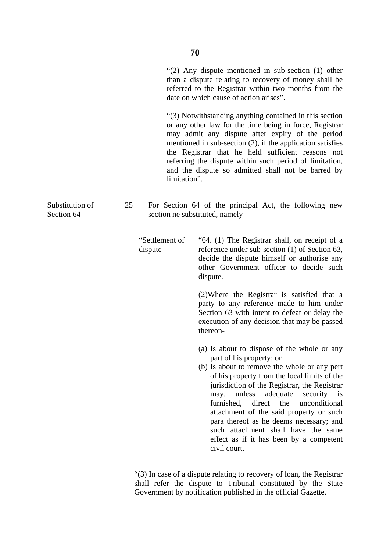|    | "(2) Any dispute mentioned in sub-section $(1)$ other<br>than a dispute relating to recovery of money shall be<br>referred to the Registrar within two months from the<br>date on which cause of action arises".                                                                                                                                                                                                                                                                                                            |
|----|-----------------------------------------------------------------------------------------------------------------------------------------------------------------------------------------------------------------------------------------------------------------------------------------------------------------------------------------------------------------------------------------------------------------------------------------------------------------------------------------------------------------------------|
|    | "(3) Notwithstanding anything contained in this section<br>or any other law for the time being in force, Registrar<br>may admit any dispute after expiry of the period<br>mentioned in sub-section $(2)$ , if the application satisfies<br>the Registrar that he held sufficient reasons not<br>referring the dispute within such period of limitation,<br>and the dispute so admitted shall not be barred by                                                                                                               |
| 25 | For Section 64 of the principal Act, the following new<br>section ne substituted, namely-                                                                                                                                                                                                                                                                                                                                                                                                                                   |
|    | "64. (1) The Registrar shall, on receipt of a<br>reference under sub-section (1) of Section 63,<br>decide the dispute himself or authorise any<br>other Government officer to decide such<br>dispute.                                                                                                                                                                                                                                                                                                                       |
|    | (2) Where the Registrar is satisfied that a<br>party to any reference made to him under<br>Section 63 with intent to defeat or delay the<br>execution of any decision that may be passed<br>thereon-                                                                                                                                                                                                                                                                                                                        |
|    | (a) Is about to dispose of the whole or any<br>part of his property; or<br>(b) Is about to remove the whole or any pert<br>of his property from the local limits of the<br>jurisdiction of the Registrar, the Registrar<br>unless<br>adequate<br>security<br>may,<br>$\overline{1}$<br>furnished,<br>direct<br>the<br>unconditional<br>attachment of the said property or such<br>para thereof as he deems necessary; and<br>such attachment shall have the same<br>effect as if it has been by a competent<br>civil court. |
|    | limitation".<br>"Settlement of<br>dispute                                                                                                                                                                                                                                                                                                                                                                                                                                                                                   |

"(3) In case of a dispute relating to recovery of loan, the Registrar shall refer the dispute to Tribunal constituted by the State Government by notification published in the official Gazette.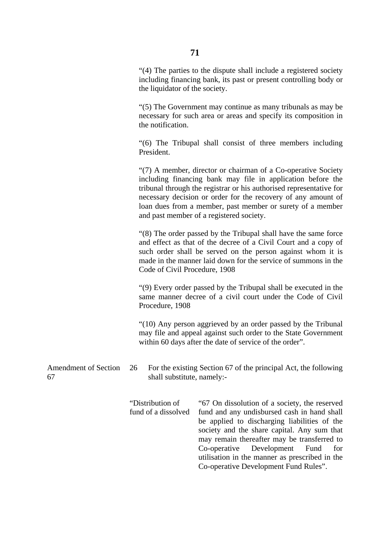"(4) The parties to the dispute shall include a registered society including financing bank, its past or present controlling body or the liquidator of the society.

"(5) The Government may continue as many tribunals as may be necessary for such area or areas and specify its composition in the notification.

"(6) The Tribupal shall consist of three members including President.

"(7) A member, director or chairman of a Co-operative Society including financing bank may file in application before the tribunal through the registrar or his authorised representative for necessary decision or order for the recovery of any amount of loan dues from a member, past member or surety of a member and past member of a registered society.

"(8) The order passed by the Tribupal shall have the same force and effect as that of the decree of a Civil Court and a copy of such order shall be served on the person against whom it is made in the manner laid down for the service of summons in the Code of Civil Procedure, 1908

"(9) Every order passed by the Tribupal shall be executed in the same manner decree of a civil court under the Code of Civil Procedure, 1908

"(10) Any person aggrieved by an order passed by the Tribunal may file and appeal against such order to the State Government within 60 days after the date of service of the order".

Amendment of Section 67 26 For the existing Section 67 of the principal Act, the following shall substitute, namely:-

> "Distribution of fund of a dissolved "67 On dissolution of a society, the reserved fund and any undisbursed cash in hand shall be applied to discharging liabilities of the society and the share capital. Any sum that may remain thereafter may be transferred to Co-operative Development Fund for utilisation in the manner as prescribed in the Co-operative Development Fund Rules".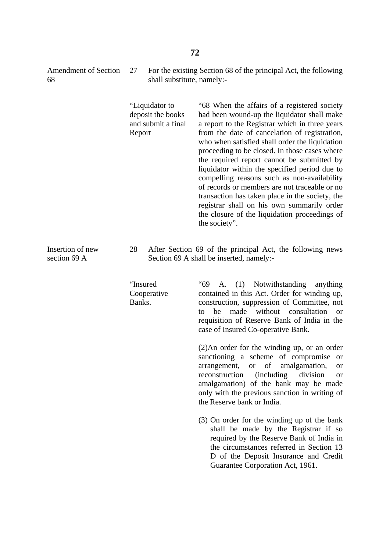27 For the existing Section 68 of the principal Act, the following shall substitute, namely:-

> "Liquidator to deposit the books and submit a final Report

"68 When the affairs of a registered society had been wound-up the liquidator shall make a report to the Registrar which in three years from the date of cancelation of registration, who when satisfied shall order the liquidation proceeding to be closed. In those cases where the required report cannot be submitted by liquidator within the specified period due to compelling reasons such as non-availability of records or members are not traceable or no transaction has taken place in the society, the registrar shall on his own summarily order the closure of the liquidation proceedings of the society".

Insertion of new section 69 A

28 After Section 69 of the principal Act, the following news Section 69 A shall be inserted, namely:-

"Insured Cooperative Banks.

"69 A. (1) Notwithstanding anything contained in this Act. Order for winding up, construction, suppression of Committee, not to be made without consultation or requisition of Reserve Bank of India in the case of Insured Co-operative Bank.

(2)An order for the winding up, or an order sanctioning a scheme of compromise or arrangement, or of amalgamation, or reconstruction (including division or amalgamation) of the bank may be made only with the previous sanction in writing of the Reserve bank or India.

(3) On order for the winding up of the bank shall be made by the Registrar if so required by the Reserve Bank of India in the circumstances referred in Section 13 D of the Deposit Insurance and Credit Guarantee Corporation Act, 1961.

Amendment of Section 68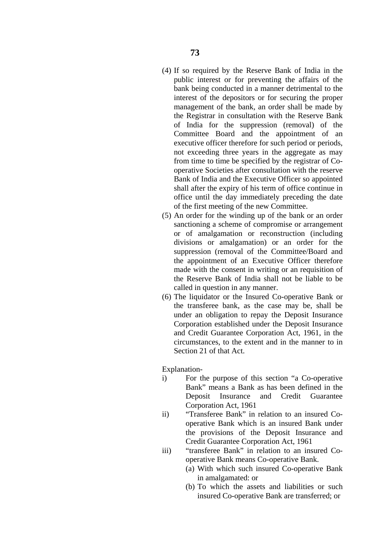- (4) If so required by the Reserve Bank of India in the public interest or for preventing the affairs of the bank being conducted in a manner detrimental to the interest of the depositors or for securing the proper management of the bank, an order shall be made by the Registrar in consultation with the Reserve Bank of India for the suppression (removal) of the Committee Board and the appointment of an executive officer therefore for such period or periods, not exceeding three years in the aggregate as may from time to time be specified by the registrar of Cooperative Societies after consultation with the reserve Bank of India and the Executive Officer so appointed shall after the expiry of his term of office continue in office until the day immediately preceding the date of the first meeting of the new Committee.
- (5) An order for the winding up of the bank or an order sanctioning a scheme of compromise or arrangement or of amalgamation or reconstruction (including divisions or amalgamation) or an order for the suppression (removal of the Committee/Board and the appointment of an Executive Officer therefore made with the consent in writing or an requisition of the Reserve Bank of India shall not be liable to be called in question in any manner.
- (6) The liquidator or the Insured Co-operative Bank or the transferee bank, as the case may be, shall be under an obligation to repay the Deposit Insurance Corporation established under the Deposit Insurance and Credit Guarantee Corporation Act, 1961, in the circumstances, to the extent and in the manner to in Section 21 of that Act.

Explanation-

- i) For the purpose of this section "a Co-operative Bank" means a Bank as has been defined in the Deposit Insurance and Credit Guarantee Corporation Act, 1961
- ii) "Transferee Bank" in relation to an insured Cooperative Bank which is an insured Bank under the provisions of the Deposit Insurance and Credit Guarantee Corporation Act, 1961
- iii) "transferee Bank" in relation to an insured Cooperative Bank means Co-operative Bank.
	- (a) With which such insured Co-operative Bank in amalgamated: or
	- (b) To which the assets and liabilities or such insured Co-operative Bank are transferred; or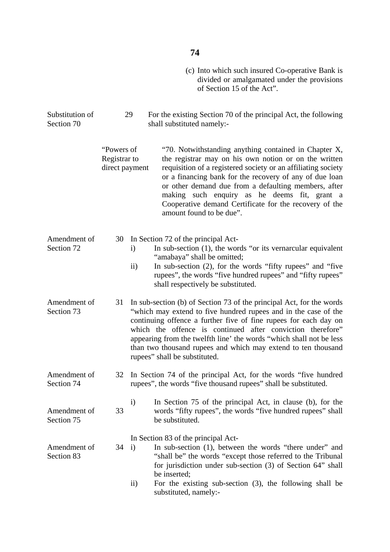## **74**

(c) Into which such insured Co-operative Bank is divided or amalgamated under the provisions of Section 15 of the Act".

Substitution of Section 70 29 For the existing Section 70 of the principal Act, the following shall substituted namely:-

| "Powers of     | "70. Notwithstanding anything contained in Chapter X,                              |
|----------------|------------------------------------------------------------------------------------|
| Registrar to   | the registrar may on his own notion or on the written                              |
| direct payment | requisition of a registered society or an affiliating society                      |
|                | or a financing bank for the recovery of any of due loan                            |
|                | or other demand due from a defaulting members, after                               |
|                | making such enquiry as he deems fit, grant a                                       |
|                | Cooperative demand Certificate for the recovery of the<br>amount found to be due". |
|                |                                                                                    |

#### Amendment of 30 In Section 72 of the principal Act-

Section 72

- i) In sub-section (1), the words "or its vernarcular equivalent "amabaya" shall be omitted;
	- ii) In sub-section (2), for the words "fifty rupees" and "five rupees", the words "five hundred rupees" and "fifty rupees" shall respectively be substituted.
- Amendment of Section 73 31 In sub-section (b) of Section 73 of the principal Act, for the words "which may extend to five hundred rupees and in the case of the continuing offence a further five of fine rupees for each day on which the offence is continued after conviction therefore" appearing from the twelfth line' the words "which shall not be less than two thousand rupees and which may extend to ten thousand rupees" shall be substituted.
- Amendment of Section 74 32 In Section 74 of the principal Act, for the words "five hundred rupees", the words "five thousand rupees" shall be substituted.
- Amendment of Section 75 33 i) In Section 75 of the principal Act, in clause (b), for the words "fifty rupees", the words "five hundred rupees" shall be substituted.

In Section 83 of the principal Act-

- Amendment of Section 83  $34 \quad i)$ In sub-section (1), between the words "there under" and "shall be" the words "except those referred to the Tribunal for jurisdiction under sub-section (3) of Section 64" shall be inserted;
	- ii) For the existing sub-section (3), the following shall be substituted, namely:-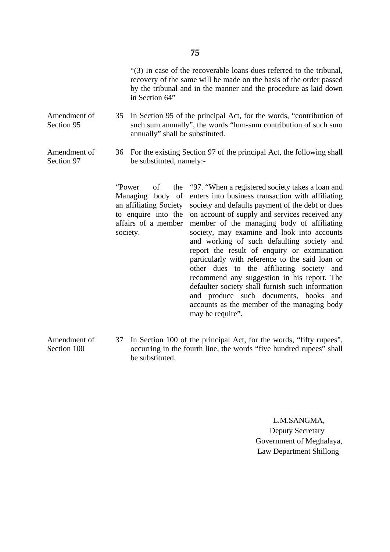"(3) In case of the recoverable loans dues referred to the tribunal, recovery of the same will be made on the basis of the order passed by the tribunal and in the manner and the procedure as laid down in Section 64"

- Amendment of Section 95 35 In Section 95 of the principal Act, for the words, "contribution of such sum annually", the words "lum-sum contribution of such sum annually" shall be substituted.
- Amendment of Section 97 36 For the existing Section 97 of the principal Act, the following shall be substituted, namely:-

"Power of the Managing body of an affiliating Society to enquire into the affairs of a member society.

"97. "When a registered society takes a loan and enters into business transaction with affiliating society and defaults payment of the debt or dues on account of supply and services received any member of the managing body of affiliating society, may examine and look into accounts and working of such defaulting society and report the result of enquiry or examination particularly with reference to the said loan or other dues to the affiliating society and recommend any suggestion in his report. The defaulter society shall furnish such information and produce such documents, books and accounts as the member of the managing body may be require".

Amendment of Section 100 37 In Section 100 of the principal Act, for the words, "fifty rupees", occurring in the fourth line, the words "five hundred rupees" shall be substituted.

> L.M.SANGMA, Deputy Secretary Government of Meghalaya, Law Department Shillong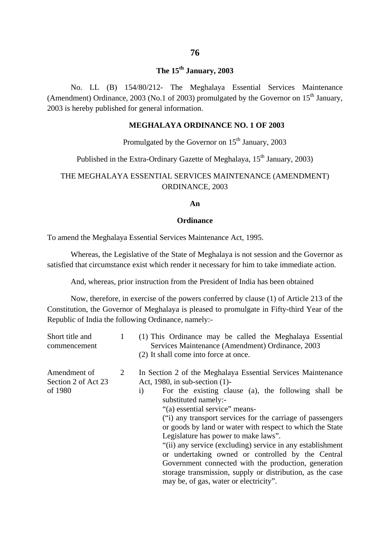# **The 15th January, 2003**

No. LL (B) 154/80/212- The Meghalaya Essential Services Maintenance (Amendment) Ordinance, 2003 (No.1 of 2003) promulgated by the Governor on  $15<sup>th</sup>$  January, 2003 is hereby published for general information.

### **MEGHALAYA ORDINANCE NO. 1 OF 2003**

## Promulgated by the Governor on  $15<sup>th</sup>$  January, 2003

## Published in the Extra-Ordinary Gazette of Meghalaya, 15<sup>th</sup> January, 2003)

## THE MEGHALAYA ESSENTIAL SERVICES MAINTENANCE (AMENDMENT) ORDINANCE, 2003

#### **An**

#### **Ordinance**

To amend the Meghalaya Essential Services Maintenance Act, 1995.

Whereas, the Legislative of the State of Meghalaya is not session and the Governor as satisfied that circumstance exist which render it necessary for him to take immediate action.

And, whereas, prior instruction from the President of India has been obtained

Now, therefore, in exercise of the powers conferred by clause (1) of Article 213 of the Constitution, the Governor of Meghalaya is pleased to promulgate in Fifty-third Year of the Republic of India the following Ordinance, namely:-

| Short title and<br>commencement                | 1 | (1) This Ordinance may be called the Meghalaya Essential<br>Services Maintenance (Amendment) Ordinance, 2003<br>(2) It shall come into force at once.                                                                                                                                                                                                                                                                                                                                                                                                                                                                                                                                   |
|------------------------------------------------|---|-----------------------------------------------------------------------------------------------------------------------------------------------------------------------------------------------------------------------------------------------------------------------------------------------------------------------------------------------------------------------------------------------------------------------------------------------------------------------------------------------------------------------------------------------------------------------------------------------------------------------------------------------------------------------------------------|
| Amendment of<br>Section 2 of Act 23<br>of 1980 | 2 | In Section 2 of the Meghalaya Essential Services Maintenance<br>Act, 1980, in sub-section $(1)$ -<br>For the existing clause (a), the following shall be<br>$\mathbf{i}$<br>substituted namely:-<br>"(a) essential service" means-<br>("i) any transport services for the carriage of passengers<br>or goods by land or water with respect to which the State<br>Legislature has power to make laws".<br>"(ii) any service (excluding) service in any establishment<br>or undertaking owned or controlled by the Central<br>Government connected with the production, generation<br>storage transmission, supply or distribution, as the case<br>may be, of gas, water or electricity". |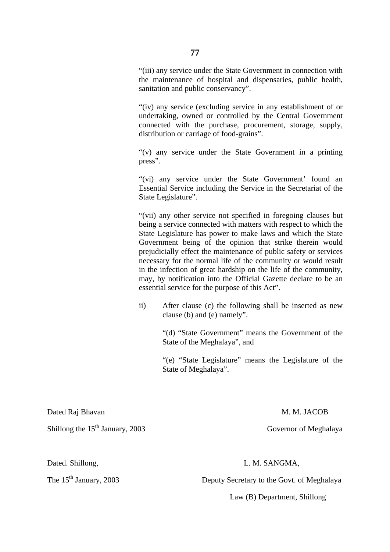"(iii) any service under the State Government in connection with the maintenance of hospital and dispensaries, public health, sanitation and public conservancy".

"(iv) any service (excluding service in any establishment of or undertaking, owned or controlled by the Central Government connected with the purchase, procurement, storage, supply, distribution or carriage of food-grains".

"(v) any service under the State Government in a printing press".

"(vi) any service under the State Government' found an Essential Service including the Service in the Secretariat of the State Legislature".

"(vii) any other service not specified in foregoing clauses but being a service connected with matters with respect to which the State Legislature has power to make laws and which the State Government being of the opinion that strike therein would prejudicially effect the maintenance of public safety or services necessary for the normal life of the community or would result in the infection of great hardship on the life of the community, may, by notification into the Official Gazette declare to be an essential service for the purpose of this Act".

ii) After clause (c) the following shall be inserted as new clause (b) and (e) namely".

> "(d) "State Government" means the Government of the State of the Meghalaya", and

> "(e) "State Legislature" means the Legislature of the State of Meghalaya".

Dated Raj Bhavan M. M. JACOB

Shillong the 15<sup>th</sup> January, 2003 Governor of Meghalaya

## Dated. Shillong, L. M. SANGMA,

The 15<sup>th</sup> January, 2003 Deputy Secretary to the Govt. of Meghalaya

Law (B) Department, Shillong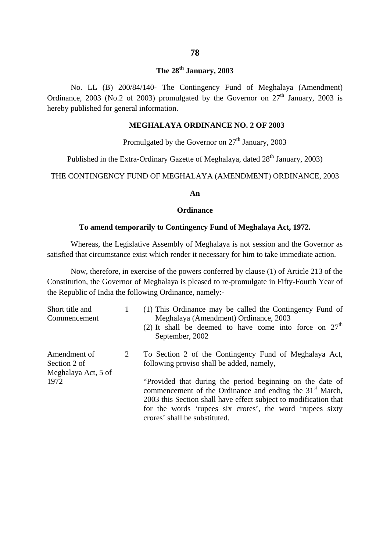# **The 28th January, 2003**

No. LL (B) 200/84/140- The Contingency Fund of Meghalaya (Amendment) Ordinance, 2003 (No.2 of 2003) promulgated by the Governor on  $27<sup>th</sup>$  January, 2003 is hereby published for general information.

### **MEGHALAYA ORDINANCE NO. 2 OF 2003**

Promulgated by the Governor on  $27<sup>th</sup>$  January, 2003

Published in the Extra-Ordinary Gazette of Meghalaya, dated  $28<sup>th</sup>$  January, 2003)

THE CONTINGENCY FUND OF MEGHALAYA (AMENDMENT) ORDINANCE, 2003

#### **An**

#### **Ordinance**

#### **To amend temporarily to Contingency Fund of Meghalaya Act, 1972.**

Whereas, the Legislative Assembly of Meghalaya is not session and the Governor as satisfied that circumstance exist which render it necessary for him to take immediate action.

Now, therefore, in exercise of the powers conferred by clause (1) of Article 213 of the Constitution, the Governor of Meghalaya is pleased to re-promulgate in Fifty-Fourth Year of the Republic of India the following Ordinance, namely:-

| Short title and<br>Commencement                     |   | (1) This Ordinance may be called the Contingency Fund of<br>Meghalaya (Amendment) Ordinance, 2003<br>(2) It shall be deemed to have come into force on $27th$<br>September, 2002                                                                                                                    |
|-----------------------------------------------------|---|-----------------------------------------------------------------------------------------------------------------------------------------------------------------------------------------------------------------------------------------------------------------------------------------------------|
| Amendment of<br>Section 2 of<br>Meghalaya Act, 5 of | 2 | To Section 2 of the Contingency Fund of Meghalaya Act,<br>following proviso shall be added, namely,                                                                                                                                                                                                 |
| 1972                                                |   | "Provided that during the period beginning on the date of<br>commencement of the Ordinance and ending the 31 <sup>st</sup> March,<br>2003 this Section shall have effect subject to modification that<br>for the words 'rupees six crores', the word 'rupees sixty<br>crores' shall be substituted. |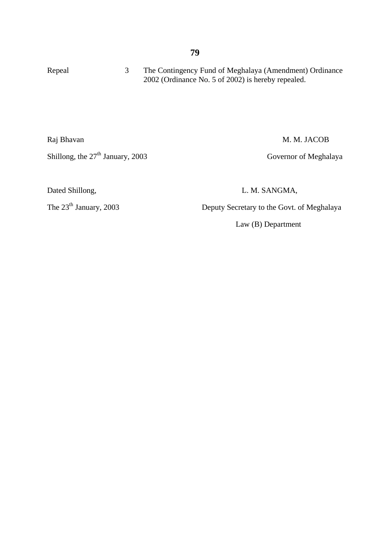| Repeal     | 3 | The Contingency Fund of Meghalaya (Amendment) Ordinance<br>2002 (Ordinance No. 5 of 2002) is hereby repealed. |
|------------|---|---------------------------------------------------------------------------------------------------------------|
| Raj Bhavan |   | M. M. JACOB                                                                                                   |

Shillong, the 27<sup>th</sup> January, 2003 Governor of Meghalaya

Dated Shillong, L. M. SANGMA,

The 23<sup>th</sup> January, 2003 Deputy Secretary to the Govt. of Meghalaya

Law (B) Department

## **79**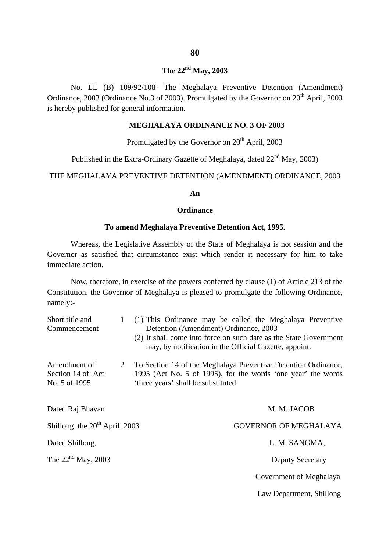**The 22nd May, 2003**

No. LL (B) 109/92/108- The Meghalaya Preventive Detention (Amendment) Ordinance, 2003 (Ordinance No.3 of 2003). Promulgated by the Governor on  $20<sup>th</sup>$  April, 2003 is hereby published for general information.

#### **MEGHALAYA ORDINANCE NO. 3 OF 2003**

Promulgated by the Governor on  $20<sup>th</sup>$  April, 2003

Published in the Extra-Ordinary Gazette of Meghalaya, dated  $22<sup>nd</sup>$  May, 2003)

THE MEGHALAYA PREVENTIVE DETENTION (AMENDMENT) ORDINANCE, 2003

#### **An**

#### **Ordinance**

#### **To amend Meghalaya Preventive Detention Act, 1995.**

Whereas, the Legislative Assembly of the State of Meghalaya is not session and the Governor as satisfied that circumstance exist which render it necessary for him to take immediate action.

Now, therefore, in exercise of the powers conferred by clause (1) of Article 213 of the Constitution, the Governor of Meghalaya is pleased to promulgate the following Ordinance, namely:-

| Short title and<br>Commencement                    | $\mathbf{1}$ | Detention (Amendment) Ordinance, 2003 | (1) This Ordinance may be called the Meghalaya Preventive<br>(2) It shall come into force on such date as the State Government<br>may, by notification in the Official Gazette, appoint. |
|----------------------------------------------------|--------------|---------------------------------------|------------------------------------------------------------------------------------------------------------------------------------------------------------------------------------------|
| Amendment of<br>Section 14 of Act<br>No. 5 of 1995 | 2            | 'three years' shall be substituted.   | To Section 14 of the Meghalaya Preventive Detention Ordinance,<br>1995 (Act No. 5 of 1995), for the words 'one year' the words                                                           |
| Dated Raj Bhavan                                   |              |                                       | M. M. JACOB                                                                                                                                                                              |
| Shillong, the $20th$ April, 2003                   |              |                                       | <b>GOVERNOR OF MEGHALAYA</b>                                                                                                                                                             |
| Dated Shillong,                                    |              |                                       | L. M. SANGMA,                                                                                                                                                                            |
| The $22nd$ May, 2003                               |              |                                       | <b>Deputy Secretary</b>                                                                                                                                                                  |
|                                                    |              |                                       | Government of Meghalaya                                                                                                                                                                  |
|                                                    |              |                                       | Law Department, Shillong                                                                                                                                                                 |